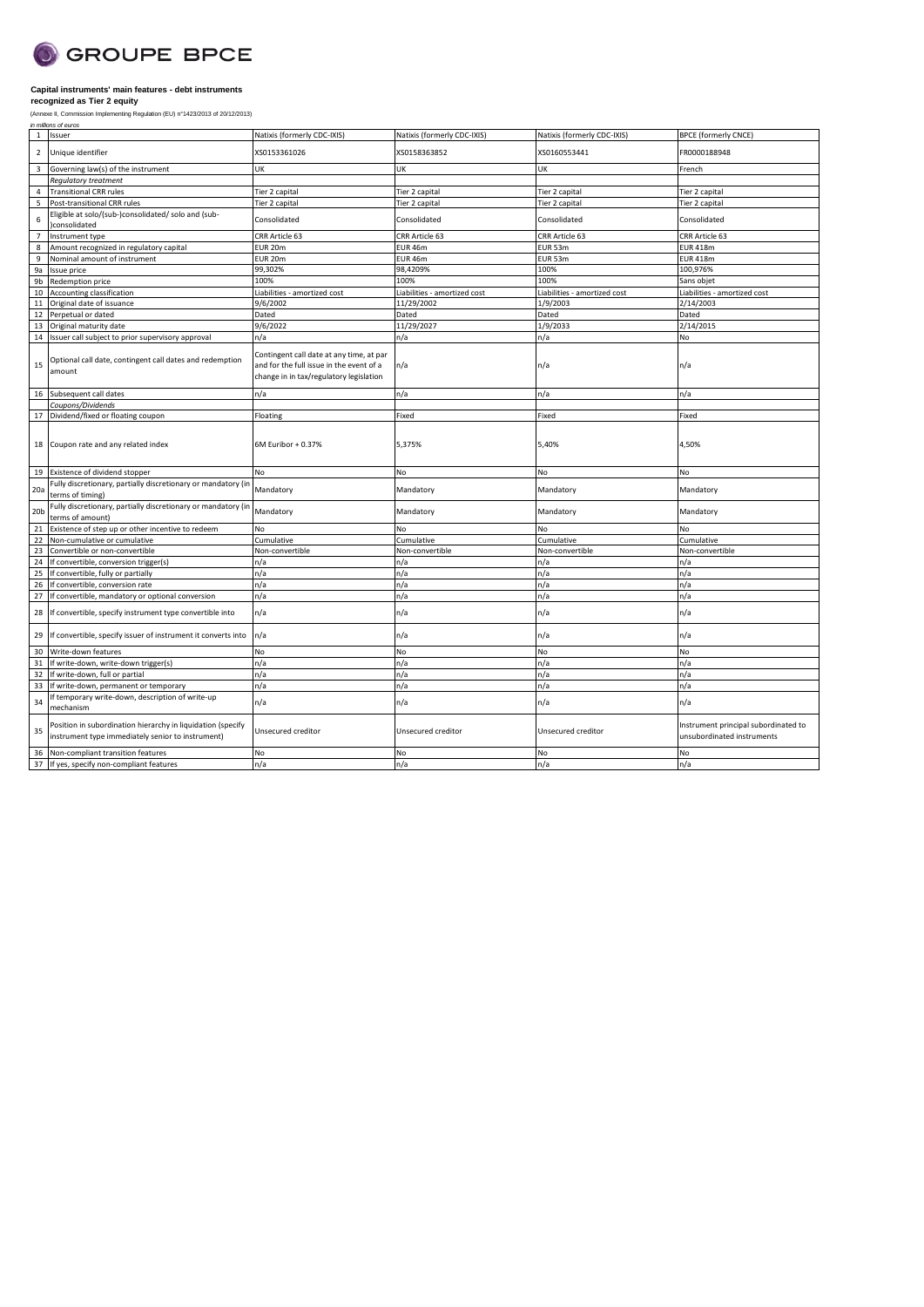

| 1               | Issuer                                                                                                           | Natixis (formerly CDC-IXIS)                                                                                                     | Natixis (formerly CDC-IXIS)  | Natixis (formerly CDC-IXIS)  | <b>BPCE</b> (formerly CNCE)                                        |
|-----------------|------------------------------------------------------------------------------------------------------------------|---------------------------------------------------------------------------------------------------------------------------------|------------------------------|------------------------------|--------------------------------------------------------------------|
| $\overline{2}$  | Unique identifier                                                                                                | XS0153361026                                                                                                                    | XS0158363852                 | XS0160553441                 | FR0000188948                                                       |
| $\overline{3}$  | Governing law(s) of the instrument                                                                               | UK                                                                                                                              | <b>UK</b>                    | UK                           | French                                                             |
|                 | Regulatory treatment                                                                                             |                                                                                                                                 |                              |                              |                                                                    |
| $\overline{4}$  | <b>Transitional CRR rules</b>                                                                                    | Tier 2 capital                                                                                                                  | Tier 2 capital               | Tier 2 capital               | Tier 2 capital                                                     |
| 5               | Post-transitional CRR rules                                                                                      | Tier 2 capital                                                                                                                  | Tier 2 capital               | Tier 2 capital               | Tier 2 capital                                                     |
| 6               | Eligible at solo/(sub-)consolidated/ solo and (sub-<br>consolidated                                              | Consolidated                                                                                                                    | Consolidated                 | Consolidated                 | Consolidated                                                       |
| $\overline{7}$  | Instrument type                                                                                                  | CRR Article 63                                                                                                                  | CRR Article 63               | CRR Article 63               | CRR Article 63                                                     |
| 8               | Amount recognized in regulatory capital                                                                          | EUR 20m                                                                                                                         | EUR 46m                      | EUR 53m                      | <b>EUR 418m</b>                                                    |
| 9               | Nominal amount of instrument                                                                                     | EUR 20m                                                                                                                         | <b>EUR 46m</b>               | EUR 53m                      | <b>EUR 418m</b>                                                    |
| 9a              | Issue price                                                                                                      | 99,302%                                                                                                                         | 98,4209%                     | 100%                         | 100,976%                                                           |
| 9b              | Redemption price                                                                                                 | 100%                                                                                                                            | 100%                         | 100%                         | Sans objet                                                         |
| 10              | Accounting classification                                                                                        | Liabilities - amortized cost                                                                                                    | Liabilities - amortized cost | Liabilities - amortized cost | Liabilities - amortized cost                                       |
| 11              | Original date of issuance                                                                                        | 9/6/2002                                                                                                                        | 11/29/2002                   | 1/9/2003                     | 2/14/2003                                                          |
| 12              | Perpetual or dated                                                                                               | Dated                                                                                                                           | Dated                        | Dated                        | Dated                                                              |
| 13              | Original maturity date                                                                                           | 9/6/2022                                                                                                                        | 11/29/2027                   | 1/9/2033                     | 2/14/2015                                                          |
| 14              | Issuer call subject to prior supervisory approval                                                                | n/a                                                                                                                             | n/a                          | n/a                          | No                                                                 |
| 15              | Optional call date, contingent call dates and redemption<br>amount                                               | Contingent call date at any time, at par<br>and for the full issue in the event of a<br>change in in tax/regulatory legislation | n/a                          | n/a                          | n/a                                                                |
| 16              | Subsequent call dates                                                                                            | n/a                                                                                                                             | n/a                          | n/a                          | n/a                                                                |
|                 | Coupons/Dividends                                                                                                |                                                                                                                                 |                              |                              |                                                                    |
|                 |                                                                                                                  | Floating                                                                                                                        | Fixed                        | Fixed                        | Fixed                                                              |
| 17              | Dividend/fixed or floating coupon                                                                                |                                                                                                                                 |                              |                              |                                                                    |
| 18              | Coupon rate and any related index                                                                                | 6M Euribor + 0.37%                                                                                                              | 5,375%                       | 5,40%                        | 4,50%                                                              |
| 19              | Existence of dividend stopper                                                                                    | No                                                                                                                              | No                           | No                           | No                                                                 |
| 20a             | Fully discretionary, partially discretionary or mandatory (in<br>terms of timing)                                | Mandatory                                                                                                                       | Mandatory                    | Mandatory                    | Mandatory                                                          |
| 20 <sub>b</sub> | Fully discretionary, partially discretionary or mandatory (in<br>terms of amount)                                | Mandatory                                                                                                                       | Mandatory                    | Mandatory                    | Mandatory                                                          |
| 21              | Existence of step up or other incentive to redeem                                                                | No                                                                                                                              | No                           | No                           | No                                                                 |
| 22              | Non-cumulative or cumulative                                                                                     | Cumulative                                                                                                                      | Cumulative                   | Cumulative                   | Cumulative                                                         |
| 23              | Convertible or non-convertible                                                                                   | Non-convertible                                                                                                                 | Non-convertible              | Non-convertible              | Non-convertible                                                    |
| 24              | If convertible, conversion trigger(s)                                                                            | n/a                                                                                                                             | n/a                          | n/a                          | n/a                                                                |
| 25              | If convertible, fully or partially                                                                               | n/a                                                                                                                             | n/a                          | n/a                          | n/a                                                                |
| 26              | If convertible, conversion rate                                                                                  | n/a                                                                                                                             | n/a                          | n/a                          | n/a                                                                |
| 27              | If convertible, mandatory or optional conversion                                                                 | n/a                                                                                                                             | n/a                          | n/a                          | n/a                                                                |
| 28              | If convertible, specify instrument type convertible into                                                         | n/a                                                                                                                             | n/a                          | n/a                          | n/a                                                                |
| 29              | If convertible, specify issuer of instrument it converts into                                                    | n/a                                                                                                                             | n/a                          | n/a                          | n/a                                                                |
| 30              | Write-down features                                                                                              | No                                                                                                                              | No                           | No                           | No                                                                 |
| 31              | If write-down, write-down trigger(s)                                                                             | n/a                                                                                                                             | n/a                          | n/a                          | n/a                                                                |
| 32              | If write-down, full or partial                                                                                   | n/a                                                                                                                             | n/a                          | n/a                          | n/a                                                                |
| 33              | If write-down, permanent or temporary                                                                            | n/a                                                                                                                             | n/a                          | n/a                          | n/a                                                                |
| 34              | If temporary write-down, description of write-up<br>mechanism                                                    | n/a                                                                                                                             | n/a                          | n/a                          | n/a                                                                |
| 35              | Position in subordination hierarchy in liquidation (specify<br>instrument type immediately senior to instrument) | Unsecured creditor                                                                                                              | Unsecured creditor           | Unsecured creditor           | Instrument principal subordinated to<br>unsubordinated instruments |
| 36              | Non-compliant transition features                                                                                | No                                                                                                                              | No                           | <b>No</b>                    | No                                                                 |
| 37              | If yes, specify non-compliant features                                                                           | n/a                                                                                                                             | n/a                          | n/a                          | n/a                                                                |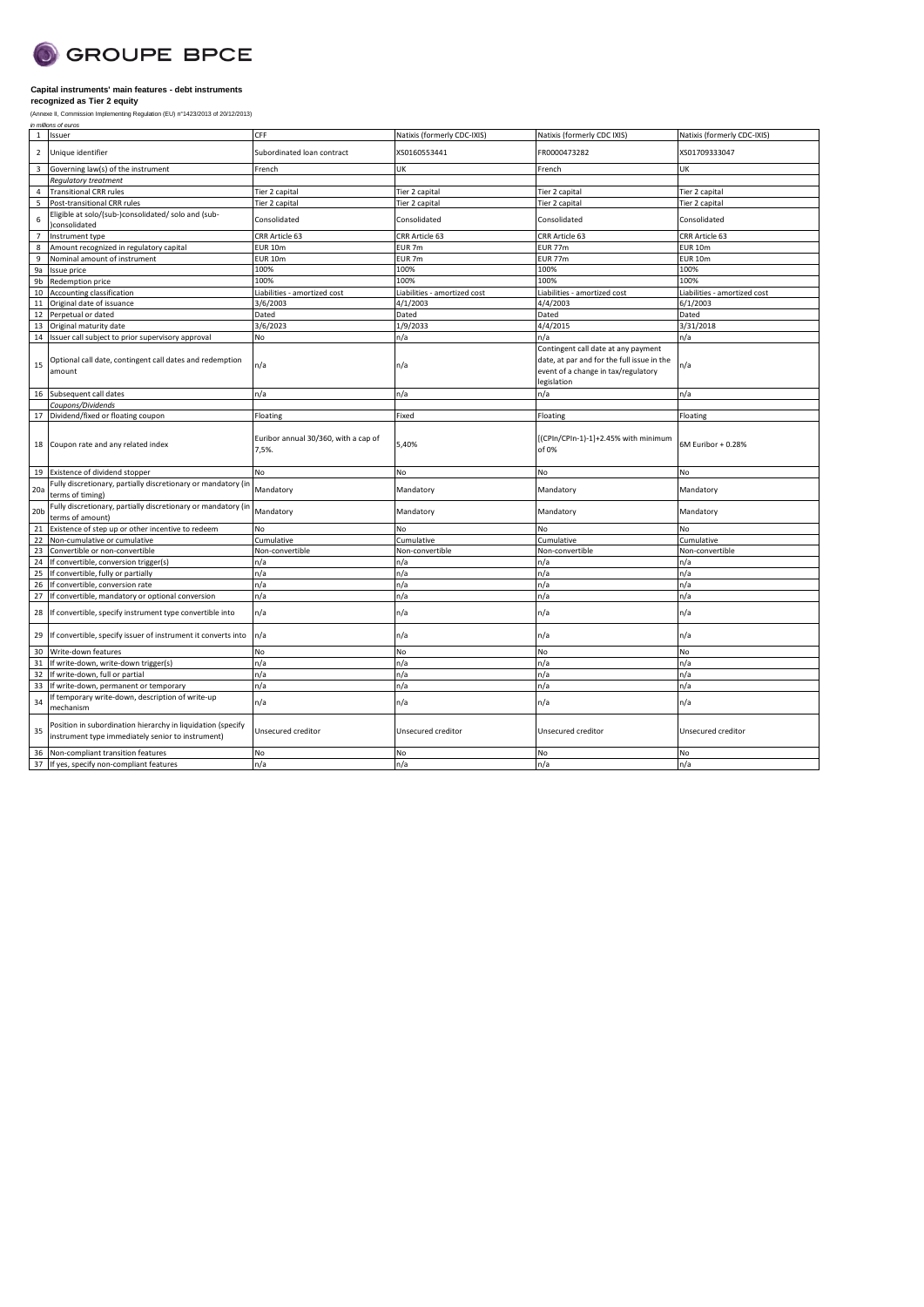

| 1 Issuer<br>Unique identifier<br>XS0160553441<br>FR0000473282<br>XS01709333047<br>$\overline{2}$<br>Subordinated loan contract<br>Governing law(s) of the instrument<br>UK<br>UK<br>3<br>French<br>French<br><b>Regulatory treatment</b><br><b>Transitional CRR rules</b><br>Tier 2 capital<br>Tier 2 capital<br>Tier 2 capital<br>Tier 2 capital<br>$\overline{4}$<br>Post-transitional CRR rules<br>Tier 2 capital<br>5<br>Tier 2 capital<br>Tier 2 capital<br>Tier 2 capital<br>Eligible at solo/(sub-)consolidated/ solo and (sub-<br>6<br>Consolidated<br>Consolidated<br>Consolidated<br>Consolidated<br>consolidated<br>Instrument type<br>CRR Article 63<br>CRR Article 63<br>CRR Article 63<br>CRR Article 63<br>$\overline{7}$<br>Amount recognized in regulatory capital<br><b>EUR 10m</b><br>EUR <sub>7m</sub><br><b>EUR 77m</b><br><b>EUR 10m</b><br>8<br>Nominal amount of instrument<br>EUR <sub>7m</sub><br><b>EUR 10m</b><br>9<br><b>EUR 10m</b><br><b>EUR 77m</b><br>100%<br>100%<br>100%<br>100%<br>9a<br>Issue price<br>100%<br>9b<br>Redemption price<br>100%<br>100%<br>100%<br>10 Accounting classification<br>Liabilities - amortized cost<br>Liabilities - amortized cost<br>Liabilities - amortized cost<br>Liabilities - amortized cost<br>Original date of issuance<br>3/6/2003<br>4/1/2003<br>4/4/2003<br>6/1/2003<br>11<br>Dated<br>Dated<br>Dated<br>Dated<br>12<br>Perpetual or dated<br>3/6/2023<br>1/9/2033<br>4/4/2015<br>3/31/2018<br>13 Original maturity date<br>n/a<br>14 Issuer call subject to prior supervisory approval<br>No<br>n/a<br>n/a<br>Contingent call date at any payment<br>Optional call date, contingent call dates and redemption<br>date, at par and for the full issue in the<br>n/a<br>n/a<br>n/a<br>15<br>amount<br>event of a change in tax/regulatory<br>legislation<br>16 Subsequent call dates<br>n/a<br>n/a<br>n/a<br>n/a<br>Coupons/Dividends<br>17 Dividend/fixed or floating coupon<br>Floating<br>Fixed<br>Floating<br>Floating<br>[(CPIn/CPIn-1)-1]+2.45% with minimum<br>Euribor annual 30/360, with a cap of<br>18 Coupon rate and any related index<br>5,40%<br>6M Euribor + 0.28%<br>of 0%<br>7,5%.<br>19 Existence of dividend stopper<br>No<br>No<br>No<br>No<br>Fully discretionary, partially discretionary or mandatory (in<br>Mandatory<br>20a<br>Mandatory<br>Mandatory<br>Mandatory<br>terms of timing)<br>Fully discretionary, partially discretionary or mandatory (in<br>Mandatory<br>Mandatory<br>Mandatory<br>Mandatory<br>20 <sub>b</sub><br>terms of amount)<br>Existence of step up or other incentive to redeem<br>No<br>No<br><b>No</b><br>No<br>21<br>22<br>Non-cumulative or cumulative<br>Cumulative<br>Cumulative<br>Cumulative<br>Cumulative<br>23<br>Convertible or non-convertible<br>Non-convertible<br>Non-convertible<br>Non-convertible<br>Non-convertible<br>24<br>If convertible, conversion trigger(s)<br>n/a<br>n/a<br>n/a<br>n/a<br>25<br>If convertible, fully or partially<br>n/a<br>n/a<br>n/a<br>n/a<br>If convertible, conversion rate<br>n/a<br>n/a<br>n/a<br>n/a<br>26<br>n/a<br>n/a<br>n/a<br>27<br>If convertible, mandatory or optional conversion<br>n/a<br>n/a<br>n/a<br>n/a<br>n/a<br>28 If convertible, specify instrument type convertible into<br>n/a<br>n/a<br>n/a<br>n/a<br>29 If convertible, specify issuer of instrument it converts into<br>No<br>No<br>30<br>Write-down features<br>No<br>No<br>31 If write-down, write-down trigger(s)<br>n/a<br>n/a<br>n/a<br>n/a<br>n/a<br>32<br>If write-down, full or partial<br>n/a<br>n/a<br>n/a<br>n/a<br>n/a<br>n/a<br>n/a<br>33<br>If write-down, permanent or temporary<br>If temporary write-down, description of write-up<br>n/a<br>n/a<br>n/a<br>n/a<br>34<br>mechanism<br>Position in subordination hierarchy in liquidation (specify<br>35<br>Unsecured creditor<br>Unsecured creditor<br>Unsecured creditor<br>Unsecured creditor<br>instrument type immediately senior to instrument)<br>No<br><b>No</b><br>No<br>Non-compliant transition features<br>No<br>36<br>n/a<br>n/a<br>37 If yes, specify non-compliant features<br>n/a<br>n/a |  |     |                             |                             |                             |
|-------------------------------------------------------------------------------------------------------------------------------------------------------------------------------------------------------------------------------------------------------------------------------------------------------------------------------------------------------------------------------------------------------------------------------------------------------------------------------------------------------------------------------------------------------------------------------------------------------------------------------------------------------------------------------------------------------------------------------------------------------------------------------------------------------------------------------------------------------------------------------------------------------------------------------------------------------------------------------------------------------------------------------------------------------------------------------------------------------------------------------------------------------------------------------------------------------------------------------------------------------------------------------------------------------------------------------------------------------------------------------------------------------------------------------------------------------------------------------------------------------------------------------------------------------------------------------------------------------------------------------------------------------------------------------------------------------------------------------------------------------------------------------------------------------------------------------------------------------------------------------------------------------------------------------------------------------------------------------------------------------------------------------------------------------------------------------------------------------------------------------------------------------------------------------------------------------------------------------------------------------------------------------------------------------------------------------------------------------------------------------------------------------------------------------------------------------------------------------------------------------------------------------------------------------------------------------------------------------------------------------------------------------------------------------------------------------------------------------------------------------------------------------------------------------------------------------------------------------------------------------------------------------------------------------------------------------------------------------------------------------------------------------------------------------------------------------------------------------------------------------------------------------------------------------------------------------------------------------------------------------------------------------------------------------------------------------------------------------------------------------------------------------------------------------------------------------------------------------------------------------------------------------------------------------------------------------------------------------------------------------------------------------------------------------------------------------------------------------------------------------------------------------------------------------------------------------------------------------------------------------------------------------------------------------------------------------------------------------------------------------------------------------------------------------------------------------------------------------------------------------|--|-----|-----------------------------|-----------------------------|-----------------------------|
|                                                                                                                                                                                                                                                                                                                                                                                                                                                                                                                                                                                                                                                                                                                                                                                                                                                                                                                                                                                                                                                                                                                                                                                                                                                                                                                                                                                                                                                                                                                                                                                                                                                                                                                                                                                                                                                                                                                                                                                                                                                                                                                                                                                                                                                                                                                                                                                                                                                                                                                                                                                                                                                                                                                                                                                                                                                                                                                                                                                                                                                                                                                                                                                                                                                                                                                                                                                                                                                                                                                                                                                                                                                                                                                                                                                                                                                                                                                                                                                                                                                                                                                               |  | CFF | Natixis (formerly CDC-IXIS) | Natixis (formerly CDC IXIS) | Natixis (formerly CDC-IXIS) |
|                                                                                                                                                                                                                                                                                                                                                                                                                                                                                                                                                                                                                                                                                                                                                                                                                                                                                                                                                                                                                                                                                                                                                                                                                                                                                                                                                                                                                                                                                                                                                                                                                                                                                                                                                                                                                                                                                                                                                                                                                                                                                                                                                                                                                                                                                                                                                                                                                                                                                                                                                                                                                                                                                                                                                                                                                                                                                                                                                                                                                                                                                                                                                                                                                                                                                                                                                                                                                                                                                                                                                                                                                                                                                                                                                                                                                                                                                                                                                                                                                                                                                                                               |  |     |                             |                             |                             |
|                                                                                                                                                                                                                                                                                                                                                                                                                                                                                                                                                                                                                                                                                                                                                                                                                                                                                                                                                                                                                                                                                                                                                                                                                                                                                                                                                                                                                                                                                                                                                                                                                                                                                                                                                                                                                                                                                                                                                                                                                                                                                                                                                                                                                                                                                                                                                                                                                                                                                                                                                                                                                                                                                                                                                                                                                                                                                                                                                                                                                                                                                                                                                                                                                                                                                                                                                                                                                                                                                                                                                                                                                                                                                                                                                                                                                                                                                                                                                                                                                                                                                                                               |  |     |                             |                             |                             |
|                                                                                                                                                                                                                                                                                                                                                                                                                                                                                                                                                                                                                                                                                                                                                                                                                                                                                                                                                                                                                                                                                                                                                                                                                                                                                                                                                                                                                                                                                                                                                                                                                                                                                                                                                                                                                                                                                                                                                                                                                                                                                                                                                                                                                                                                                                                                                                                                                                                                                                                                                                                                                                                                                                                                                                                                                                                                                                                                                                                                                                                                                                                                                                                                                                                                                                                                                                                                                                                                                                                                                                                                                                                                                                                                                                                                                                                                                                                                                                                                                                                                                                                               |  |     |                             |                             |                             |
|                                                                                                                                                                                                                                                                                                                                                                                                                                                                                                                                                                                                                                                                                                                                                                                                                                                                                                                                                                                                                                                                                                                                                                                                                                                                                                                                                                                                                                                                                                                                                                                                                                                                                                                                                                                                                                                                                                                                                                                                                                                                                                                                                                                                                                                                                                                                                                                                                                                                                                                                                                                                                                                                                                                                                                                                                                                                                                                                                                                                                                                                                                                                                                                                                                                                                                                                                                                                                                                                                                                                                                                                                                                                                                                                                                                                                                                                                                                                                                                                                                                                                                                               |  |     |                             |                             |                             |
|                                                                                                                                                                                                                                                                                                                                                                                                                                                                                                                                                                                                                                                                                                                                                                                                                                                                                                                                                                                                                                                                                                                                                                                                                                                                                                                                                                                                                                                                                                                                                                                                                                                                                                                                                                                                                                                                                                                                                                                                                                                                                                                                                                                                                                                                                                                                                                                                                                                                                                                                                                                                                                                                                                                                                                                                                                                                                                                                                                                                                                                                                                                                                                                                                                                                                                                                                                                                                                                                                                                                                                                                                                                                                                                                                                                                                                                                                                                                                                                                                                                                                                                               |  |     |                             |                             |                             |
|                                                                                                                                                                                                                                                                                                                                                                                                                                                                                                                                                                                                                                                                                                                                                                                                                                                                                                                                                                                                                                                                                                                                                                                                                                                                                                                                                                                                                                                                                                                                                                                                                                                                                                                                                                                                                                                                                                                                                                                                                                                                                                                                                                                                                                                                                                                                                                                                                                                                                                                                                                                                                                                                                                                                                                                                                                                                                                                                                                                                                                                                                                                                                                                                                                                                                                                                                                                                                                                                                                                                                                                                                                                                                                                                                                                                                                                                                                                                                                                                                                                                                                                               |  |     |                             |                             |                             |
|                                                                                                                                                                                                                                                                                                                                                                                                                                                                                                                                                                                                                                                                                                                                                                                                                                                                                                                                                                                                                                                                                                                                                                                                                                                                                                                                                                                                                                                                                                                                                                                                                                                                                                                                                                                                                                                                                                                                                                                                                                                                                                                                                                                                                                                                                                                                                                                                                                                                                                                                                                                                                                                                                                                                                                                                                                                                                                                                                                                                                                                                                                                                                                                                                                                                                                                                                                                                                                                                                                                                                                                                                                                                                                                                                                                                                                                                                                                                                                                                                                                                                                                               |  |     |                             |                             |                             |
|                                                                                                                                                                                                                                                                                                                                                                                                                                                                                                                                                                                                                                                                                                                                                                                                                                                                                                                                                                                                                                                                                                                                                                                                                                                                                                                                                                                                                                                                                                                                                                                                                                                                                                                                                                                                                                                                                                                                                                                                                                                                                                                                                                                                                                                                                                                                                                                                                                                                                                                                                                                                                                                                                                                                                                                                                                                                                                                                                                                                                                                                                                                                                                                                                                                                                                                                                                                                                                                                                                                                                                                                                                                                                                                                                                                                                                                                                                                                                                                                                                                                                                                               |  |     |                             |                             |                             |
|                                                                                                                                                                                                                                                                                                                                                                                                                                                                                                                                                                                                                                                                                                                                                                                                                                                                                                                                                                                                                                                                                                                                                                                                                                                                                                                                                                                                                                                                                                                                                                                                                                                                                                                                                                                                                                                                                                                                                                                                                                                                                                                                                                                                                                                                                                                                                                                                                                                                                                                                                                                                                                                                                                                                                                                                                                                                                                                                                                                                                                                                                                                                                                                                                                                                                                                                                                                                                                                                                                                                                                                                                                                                                                                                                                                                                                                                                                                                                                                                                                                                                                                               |  |     |                             |                             |                             |
|                                                                                                                                                                                                                                                                                                                                                                                                                                                                                                                                                                                                                                                                                                                                                                                                                                                                                                                                                                                                                                                                                                                                                                                                                                                                                                                                                                                                                                                                                                                                                                                                                                                                                                                                                                                                                                                                                                                                                                                                                                                                                                                                                                                                                                                                                                                                                                                                                                                                                                                                                                                                                                                                                                                                                                                                                                                                                                                                                                                                                                                                                                                                                                                                                                                                                                                                                                                                                                                                                                                                                                                                                                                                                                                                                                                                                                                                                                                                                                                                                                                                                                                               |  |     |                             |                             |                             |
|                                                                                                                                                                                                                                                                                                                                                                                                                                                                                                                                                                                                                                                                                                                                                                                                                                                                                                                                                                                                                                                                                                                                                                                                                                                                                                                                                                                                                                                                                                                                                                                                                                                                                                                                                                                                                                                                                                                                                                                                                                                                                                                                                                                                                                                                                                                                                                                                                                                                                                                                                                                                                                                                                                                                                                                                                                                                                                                                                                                                                                                                                                                                                                                                                                                                                                                                                                                                                                                                                                                                                                                                                                                                                                                                                                                                                                                                                                                                                                                                                                                                                                                               |  |     |                             |                             |                             |
|                                                                                                                                                                                                                                                                                                                                                                                                                                                                                                                                                                                                                                                                                                                                                                                                                                                                                                                                                                                                                                                                                                                                                                                                                                                                                                                                                                                                                                                                                                                                                                                                                                                                                                                                                                                                                                                                                                                                                                                                                                                                                                                                                                                                                                                                                                                                                                                                                                                                                                                                                                                                                                                                                                                                                                                                                                                                                                                                                                                                                                                                                                                                                                                                                                                                                                                                                                                                                                                                                                                                                                                                                                                                                                                                                                                                                                                                                                                                                                                                                                                                                                                               |  |     |                             |                             |                             |
|                                                                                                                                                                                                                                                                                                                                                                                                                                                                                                                                                                                                                                                                                                                                                                                                                                                                                                                                                                                                                                                                                                                                                                                                                                                                                                                                                                                                                                                                                                                                                                                                                                                                                                                                                                                                                                                                                                                                                                                                                                                                                                                                                                                                                                                                                                                                                                                                                                                                                                                                                                                                                                                                                                                                                                                                                                                                                                                                                                                                                                                                                                                                                                                                                                                                                                                                                                                                                                                                                                                                                                                                                                                                                                                                                                                                                                                                                                                                                                                                                                                                                                                               |  |     |                             |                             |                             |
|                                                                                                                                                                                                                                                                                                                                                                                                                                                                                                                                                                                                                                                                                                                                                                                                                                                                                                                                                                                                                                                                                                                                                                                                                                                                                                                                                                                                                                                                                                                                                                                                                                                                                                                                                                                                                                                                                                                                                                                                                                                                                                                                                                                                                                                                                                                                                                                                                                                                                                                                                                                                                                                                                                                                                                                                                                                                                                                                                                                                                                                                                                                                                                                                                                                                                                                                                                                                                                                                                                                                                                                                                                                                                                                                                                                                                                                                                                                                                                                                                                                                                                                               |  |     |                             |                             |                             |
|                                                                                                                                                                                                                                                                                                                                                                                                                                                                                                                                                                                                                                                                                                                                                                                                                                                                                                                                                                                                                                                                                                                                                                                                                                                                                                                                                                                                                                                                                                                                                                                                                                                                                                                                                                                                                                                                                                                                                                                                                                                                                                                                                                                                                                                                                                                                                                                                                                                                                                                                                                                                                                                                                                                                                                                                                                                                                                                                                                                                                                                                                                                                                                                                                                                                                                                                                                                                                                                                                                                                                                                                                                                                                                                                                                                                                                                                                                                                                                                                                                                                                                                               |  |     |                             |                             |                             |
|                                                                                                                                                                                                                                                                                                                                                                                                                                                                                                                                                                                                                                                                                                                                                                                                                                                                                                                                                                                                                                                                                                                                                                                                                                                                                                                                                                                                                                                                                                                                                                                                                                                                                                                                                                                                                                                                                                                                                                                                                                                                                                                                                                                                                                                                                                                                                                                                                                                                                                                                                                                                                                                                                                                                                                                                                                                                                                                                                                                                                                                                                                                                                                                                                                                                                                                                                                                                                                                                                                                                                                                                                                                                                                                                                                                                                                                                                                                                                                                                                                                                                                                               |  |     |                             |                             |                             |
|                                                                                                                                                                                                                                                                                                                                                                                                                                                                                                                                                                                                                                                                                                                                                                                                                                                                                                                                                                                                                                                                                                                                                                                                                                                                                                                                                                                                                                                                                                                                                                                                                                                                                                                                                                                                                                                                                                                                                                                                                                                                                                                                                                                                                                                                                                                                                                                                                                                                                                                                                                                                                                                                                                                                                                                                                                                                                                                                                                                                                                                                                                                                                                                                                                                                                                                                                                                                                                                                                                                                                                                                                                                                                                                                                                                                                                                                                                                                                                                                                                                                                                                               |  |     |                             |                             |                             |
|                                                                                                                                                                                                                                                                                                                                                                                                                                                                                                                                                                                                                                                                                                                                                                                                                                                                                                                                                                                                                                                                                                                                                                                                                                                                                                                                                                                                                                                                                                                                                                                                                                                                                                                                                                                                                                                                                                                                                                                                                                                                                                                                                                                                                                                                                                                                                                                                                                                                                                                                                                                                                                                                                                                                                                                                                                                                                                                                                                                                                                                                                                                                                                                                                                                                                                                                                                                                                                                                                                                                                                                                                                                                                                                                                                                                                                                                                                                                                                                                                                                                                                                               |  |     |                             |                             |                             |
|                                                                                                                                                                                                                                                                                                                                                                                                                                                                                                                                                                                                                                                                                                                                                                                                                                                                                                                                                                                                                                                                                                                                                                                                                                                                                                                                                                                                                                                                                                                                                                                                                                                                                                                                                                                                                                                                                                                                                                                                                                                                                                                                                                                                                                                                                                                                                                                                                                                                                                                                                                                                                                                                                                                                                                                                                                                                                                                                                                                                                                                                                                                                                                                                                                                                                                                                                                                                                                                                                                                                                                                                                                                                                                                                                                                                                                                                                                                                                                                                                                                                                                                               |  |     |                             |                             |                             |
|                                                                                                                                                                                                                                                                                                                                                                                                                                                                                                                                                                                                                                                                                                                                                                                                                                                                                                                                                                                                                                                                                                                                                                                                                                                                                                                                                                                                                                                                                                                                                                                                                                                                                                                                                                                                                                                                                                                                                                                                                                                                                                                                                                                                                                                                                                                                                                                                                                                                                                                                                                                                                                                                                                                                                                                                                                                                                                                                                                                                                                                                                                                                                                                                                                                                                                                                                                                                                                                                                                                                                                                                                                                                                                                                                                                                                                                                                                                                                                                                                                                                                                                               |  |     |                             |                             |                             |
|                                                                                                                                                                                                                                                                                                                                                                                                                                                                                                                                                                                                                                                                                                                                                                                                                                                                                                                                                                                                                                                                                                                                                                                                                                                                                                                                                                                                                                                                                                                                                                                                                                                                                                                                                                                                                                                                                                                                                                                                                                                                                                                                                                                                                                                                                                                                                                                                                                                                                                                                                                                                                                                                                                                                                                                                                                                                                                                                                                                                                                                                                                                                                                                                                                                                                                                                                                                                                                                                                                                                                                                                                                                                                                                                                                                                                                                                                                                                                                                                                                                                                                                               |  |     |                             |                             |                             |
|                                                                                                                                                                                                                                                                                                                                                                                                                                                                                                                                                                                                                                                                                                                                                                                                                                                                                                                                                                                                                                                                                                                                                                                                                                                                                                                                                                                                                                                                                                                                                                                                                                                                                                                                                                                                                                                                                                                                                                                                                                                                                                                                                                                                                                                                                                                                                                                                                                                                                                                                                                                                                                                                                                                                                                                                                                                                                                                                                                                                                                                                                                                                                                                                                                                                                                                                                                                                                                                                                                                                                                                                                                                                                                                                                                                                                                                                                                                                                                                                                                                                                                                               |  |     |                             |                             |                             |
|                                                                                                                                                                                                                                                                                                                                                                                                                                                                                                                                                                                                                                                                                                                                                                                                                                                                                                                                                                                                                                                                                                                                                                                                                                                                                                                                                                                                                                                                                                                                                                                                                                                                                                                                                                                                                                                                                                                                                                                                                                                                                                                                                                                                                                                                                                                                                                                                                                                                                                                                                                                                                                                                                                                                                                                                                                                                                                                                                                                                                                                                                                                                                                                                                                                                                                                                                                                                                                                                                                                                                                                                                                                                                                                                                                                                                                                                                                                                                                                                                                                                                                                               |  |     |                             |                             |                             |
|                                                                                                                                                                                                                                                                                                                                                                                                                                                                                                                                                                                                                                                                                                                                                                                                                                                                                                                                                                                                                                                                                                                                                                                                                                                                                                                                                                                                                                                                                                                                                                                                                                                                                                                                                                                                                                                                                                                                                                                                                                                                                                                                                                                                                                                                                                                                                                                                                                                                                                                                                                                                                                                                                                                                                                                                                                                                                                                                                                                                                                                                                                                                                                                                                                                                                                                                                                                                                                                                                                                                                                                                                                                                                                                                                                                                                                                                                                                                                                                                                                                                                                                               |  |     |                             |                             |                             |
|                                                                                                                                                                                                                                                                                                                                                                                                                                                                                                                                                                                                                                                                                                                                                                                                                                                                                                                                                                                                                                                                                                                                                                                                                                                                                                                                                                                                                                                                                                                                                                                                                                                                                                                                                                                                                                                                                                                                                                                                                                                                                                                                                                                                                                                                                                                                                                                                                                                                                                                                                                                                                                                                                                                                                                                                                                                                                                                                                                                                                                                                                                                                                                                                                                                                                                                                                                                                                                                                                                                                                                                                                                                                                                                                                                                                                                                                                                                                                                                                                                                                                                                               |  |     |                             |                             |                             |
|                                                                                                                                                                                                                                                                                                                                                                                                                                                                                                                                                                                                                                                                                                                                                                                                                                                                                                                                                                                                                                                                                                                                                                                                                                                                                                                                                                                                                                                                                                                                                                                                                                                                                                                                                                                                                                                                                                                                                                                                                                                                                                                                                                                                                                                                                                                                                                                                                                                                                                                                                                                                                                                                                                                                                                                                                                                                                                                                                                                                                                                                                                                                                                                                                                                                                                                                                                                                                                                                                                                                                                                                                                                                                                                                                                                                                                                                                                                                                                                                                                                                                                                               |  |     |                             |                             |                             |
|                                                                                                                                                                                                                                                                                                                                                                                                                                                                                                                                                                                                                                                                                                                                                                                                                                                                                                                                                                                                                                                                                                                                                                                                                                                                                                                                                                                                                                                                                                                                                                                                                                                                                                                                                                                                                                                                                                                                                                                                                                                                                                                                                                                                                                                                                                                                                                                                                                                                                                                                                                                                                                                                                                                                                                                                                                                                                                                                                                                                                                                                                                                                                                                                                                                                                                                                                                                                                                                                                                                                                                                                                                                                                                                                                                                                                                                                                                                                                                                                                                                                                                                               |  |     |                             |                             |                             |
|                                                                                                                                                                                                                                                                                                                                                                                                                                                                                                                                                                                                                                                                                                                                                                                                                                                                                                                                                                                                                                                                                                                                                                                                                                                                                                                                                                                                                                                                                                                                                                                                                                                                                                                                                                                                                                                                                                                                                                                                                                                                                                                                                                                                                                                                                                                                                                                                                                                                                                                                                                                                                                                                                                                                                                                                                                                                                                                                                                                                                                                                                                                                                                                                                                                                                                                                                                                                                                                                                                                                                                                                                                                                                                                                                                                                                                                                                                                                                                                                                                                                                                                               |  |     |                             |                             |                             |
|                                                                                                                                                                                                                                                                                                                                                                                                                                                                                                                                                                                                                                                                                                                                                                                                                                                                                                                                                                                                                                                                                                                                                                                                                                                                                                                                                                                                                                                                                                                                                                                                                                                                                                                                                                                                                                                                                                                                                                                                                                                                                                                                                                                                                                                                                                                                                                                                                                                                                                                                                                                                                                                                                                                                                                                                                                                                                                                                                                                                                                                                                                                                                                                                                                                                                                                                                                                                                                                                                                                                                                                                                                                                                                                                                                                                                                                                                                                                                                                                                                                                                                                               |  |     |                             |                             |                             |
|                                                                                                                                                                                                                                                                                                                                                                                                                                                                                                                                                                                                                                                                                                                                                                                                                                                                                                                                                                                                                                                                                                                                                                                                                                                                                                                                                                                                                                                                                                                                                                                                                                                                                                                                                                                                                                                                                                                                                                                                                                                                                                                                                                                                                                                                                                                                                                                                                                                                                                                                                                                                                                                                                                                                                                                                                                                                                                                                                                                                                                                                                                                                                                                                                                                                                                                                                                                                                                                                                                                                                                                                                                                                                                                                                                                                                                                                                                                                                                                                                                                                                                                               |  |     |                             |                             |                             |
|                                                                                                                                                                                                                                                                                                                                                                                                                                                                                                                                                                                                                                                                                                                                                                                                                                                                                                                                                                                                                                                                                                                                                                                                                                                                                                                                                                                                                                                                                                                                                                                                                                                                                                                                                                                                                                                                                                                                                                                                                                                                                                                                                                                                                                                                                                                                                                                                                                                                                                                                                                                                                                                                                                                                                                                                                                                                                                                                                                                                                                                                                                                                                                                                                                                                                                                                                                                                                                                                                                                                                                                                                                                                                                                                                                                                                                                                                                                                                                                                                                                                                                                               |  |     |                             |                             |                             |
|                                                                                                                                                                                                                                                                                                                                                                                                                                                                                                                                                                                                                                                                                                                                                                                                                                                                                                                                                                                                                                                                                                                                                                                                                                                                                                                                                                                                                                                                                                                                                                                                                                                                                                                                                                                                                                                                                                                                                                                                                                                                                                                                                                                                                                                                                                                                                                                                                                                                                                                                                                                                                                                                                                                                                                                                                                                                                                                                                                                                                                                                                                                                                                                                                                                                                                                                                                                                                                                                                                                                                                                                                                                                                                                                                                                                                                                                                                                                                                                                                                                                                                                               |  |     |                             |                             |                             |
|                                                                                                                                                                                                                                                                                                                                                                                                                                                                                                                                                                                                                                                                                                                                                                                                                                                                                                                                                                                                                                                                                                                                                                                                                                                                                                                                                                                                                                                                                                                                                                                                                                                                                                                                                                                                                                                                                                                                                                                                                                                                                                                                                                                                                                                                                                                                                                                                                                                                                                                                                                                                                                                                                                                                                                                                                                                                                                                                                                                                                                                                                                                                                                                                                                                                                                                                                                                                                                                                                                                                                                                                                                                                                                                                                                                                                                                                                                                                                                                                                                                                                                                               |  |     |                             |                             |                             |
|                                                                                                                                                                                                                                                                                                                                                                                                                                                                                                                                                                                                                                                                                                                                                                                                                                                                                                                                                                                                                                                                                                                                                                                                                                                                                                                                                                                                                                                                                                                                                                                                                                                                                                                                                                                                                                                                                                                                                                                                                                                                                                                                                                                                                                                                                                                                                                                                                                                                                                                                                                                                                                                                                                                                                                                                                                                                                                                                                                                                                                                                                                                                                                                                                                                                                                                                                                                                                                                                                                                                                                                                                                                                                                                                                                                                                                                                                                                                                                                                                                                                                                                               |  |     |                             |                             |                             |
|                                                                                                                                                                                                                                                                                                                                                                                                                                                                                                                                                                                                                                                                                                                                                                                                                                                                                                                                                                                                                                                                                                                                                                                                                                                                                                                                                                                                                                                                                                                                                                                                                                                                                                                                                                                                                                                                                                                                                                                                                                                                                                                                                                                                                                                                                                                                                                                                                                                                                                                                                                                                                                                                                                                                                                                                                                                                                                                                                                                                                                                                                                                                                                                                                                                                                                                                                                                                                                                                                                                                                                                                                                                                                                                                                                                                                                                                                                                                                                                                                                                                                                                               |  |     |                             |                             |                             |
|                                                                                                                                                                                                                                                                                                                                                                                                                                                                                                                                                                                                                                                                                                                                                                                                                                                                                                                                                                                                                                                                                                                                                                                                                                                                                                                                                                                                                                                                                                                                                                                                                                                                                                                                                                                                                                                                                                                                                                                                                                                                                                                                                                                                                                                                                                                                                                                                                                                                                                                                                                                                                                                                                                                                                                                                                                                                                                                                                                                                                                                                                                                                                                                                                                                                                                                                                                                                                                                                                                                                                                                                                                                                                                                                                                                                                                                                                                                                                                                                                                                                                                                               |  |     |                             |                             |                             |
|                                                                                                                                                                                                                                                                                                                                                                                                                                                                                                                                                                                                                                                                                                                                                                                                                                                                                                                                                                                                                                                                                                                                                                                                                                                                                                                                                                                                                                                                                                                                                                                                                                                                                                                                                                                                                                                                                                                                                                                                                                                                                                                                                                                                                                                                                                                                                                                                                                                                                                                                                                                                                                                                                                                                                                                                                                                                                                                                                                                                                                                                                                                                                                                                                                                                                                                                                                                                                                                                                                                                                                                                                                                                                                                                                                                                                                                                                                                                                                                                                                                                                                                               |  |     |                             |                             |                             |
|                                                                                                                                                                                                                                                                                                                                                                                                                                                                                                                                                                                                                                                                                                                                                                                                                                                                                                                                                                                                                                                                                                                                                                                                                                                                                                                                                                                                                                                                                                                                                                                                                                                                                                                                                                                                                                                                                                                                                                                                                                                                                                                                                                                                                                                                                                                                                                                                                                                                                                                                                                                                                                                                                                                                                                                                                                                                                                                                                                                                                                                                                                                                                                                                                                                                                                                                                                                                                                                                                                                                                                                                                                                                                                                                                                                                                                                                                                                                                                                                                                                                                                                               |  |     |                             |                             |                             |
|                                                                                                                                                                                                                                                                                                                                                                                                                                                                                                                                                                                                                                                                                                                                                                                                                                                                                                                                                                                                                                                                                                                                                                                                                                                                                                                                                                                                                                                                                                                                                                                                                                                                                                                                                                                                                                                                                                                                                                                                                                                                                                                                                                                                                                                                                                                                                                                                                                                                                                                                                                                                                                                                                                                                                                                                                                                                                                                                                                                                                                                                                                                                                                                                                                                                                                                                                                                                                                                                                                                                                                                                                                                                                                                                                                                                                                                                                                                                                                                                                                                                                                                               |  |     |                             |                             |                             |
|                                                                                                                                                                                                                                                                                                                                                                                                                                                                                                                                                                                                                                                                                                                                                                                                                                                                                                                                                                                                                                                                                                                                                                                                                                                                                                                                                                                                                                                                                                                                                                                                                                                                                                                                                                                                                                                                                                                                                                                                                                                                                                                                                                                                                                                                                                                                                                                                                                                                                                                                                                                                                                                                                                                                                                                                                                                                                                                                                                                                                                                                                                                                                                                                                                                                                                                                                                                                                                                                                                                                                                                                                                                                                                                                                                                                                                                                                                                                                                                                                                                                                                                               |  |     |                             |                             |                             |
|                                                                                                                                                                                                                                                                                                                                                                                                                                                                                                                                                                                                                                                                                                                                                                                                                                                                                                                                                                                                                                                                                                                                                                                                                                                                                                                                                                                                                                                                                                                                                                                                                                                                                                                                                                                                                                                                                                                                                                                                                                                                                                                                                                                                                                                                                                                                                                                                                                                                                                                                                                                                                                                                                                                                                                                                                                                                                                                                                                                                                                                                                                                                                                                                                                                                                                                                                                                                                                                                                                                                                                                                                                                                                                                                                                                                                                                                                                                                                                                                                                                                                                                               |  |     |                             |                             |                             |
|                                                                                                                                                                                                                                                                                                                                                                                                                                                                                                                                                                                                                                                                                                                                                                                                                                                                                                                                                                                                                                                                                                                                                                                                                                                                                                                                                                                                                                                                                                                                                                                                                                                                                                                                                                                                                                                                                                                                                                                                                                                                                                                                                                                                                                                                                                                                                                                                                                                                                                                                                                                                                                                                                                                                                                                                                                                                                                                                                                                                                                                                                                                                                                                                                                                                                                                                                                                                                                                                                                                                                                                                                                                                                                                                                                                                                                                                                                                                                                                                                                                                                                                               |  |     |                             |                             |                             |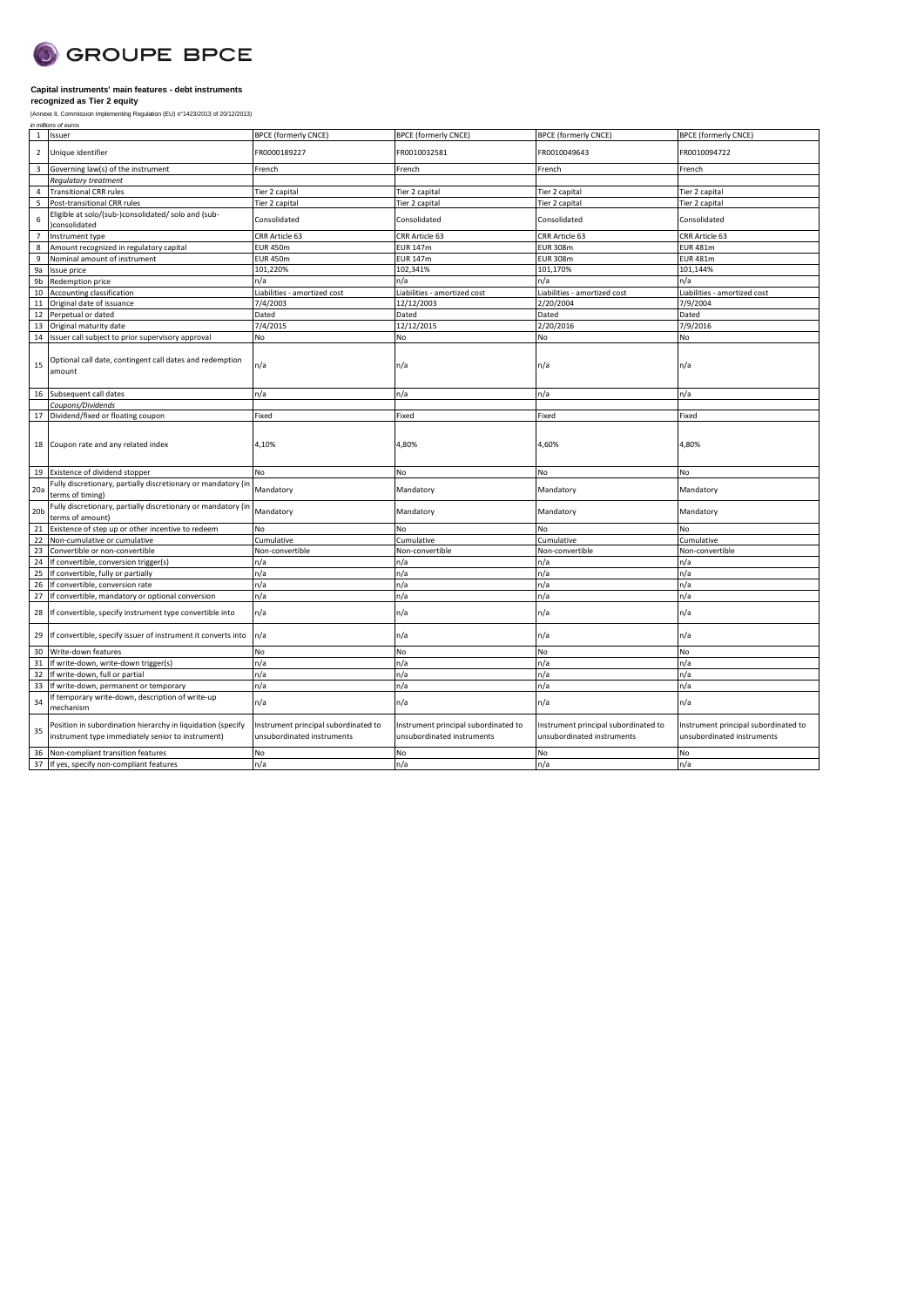

|                 | in millions of euros                                                                                             |                                                                    |                                                                    |                                                                    |                                                                    |
|-----------------|------------------------------------------------------------------------------------------------------------------|--------------------------------------------------------------------|--------------------------------------------------------------------|--------------------------------------------------------------------|--------------------------------------------------------------------|
| 1               | Issuer                                                                                                           | <b>BPCE (formerly CNCE)</b>                                        | <b>BPCE (formerly CNCE)</b>                                        | <b>BPCE (formerly CNCE)</b>                                        | <b>BPCE</b> (formerly CNCE)                                        |
| $\overline{2}$  | Unique identifier                                                                                                | FR0000189227                                                       | FR0010032581                                                       | FR0010049643                                                       | FR0010094722                                                       |
| $\overline{3}$  | Governing law(s) of the instrument                                                                               | French                                                             | French                                                             | French                                                             | French                                                             |
|                 | Regulatory treatment                                                                                             |                                                                    |                                                                    |                                                                    |                                                                    |
| 4               | <b>Transitional CRR rules</b>                                                                                    | Tier 2 capital                                                     | Tier 2 capital                                                     | Tier 2 capital                                                     | Tier 2 capital                                                     |
| 5               | Post-transitional CRR rules                                                                                      | Tier 2 capital                                                     | Tier 2 capital                                                     | Tier 2 capital                                                     | Tier 2 capital                                                     |
| 6               | Eligible at solo/(sub-)consolidated/ solo and (sub-<br>consolidated                                              | Consolidated                                                       | Consolidated                                                       | Consolidated                                                       | Consolidated                                                       |
| 7               | Instrument type                                                                                                  | CRR Article 63                                                     | CRR Article 63                                                     | CRR Article 63                                                     | CRR Article 63                                                     |
| 8               | Amount recognized in regulatory capital                                                                          | <b>EUR 450m</b>                                                    | <b>EUR 147m</b>                                                    | <b>EUR 308m</b>                                                    | <b>EUR 481m</b>                                                    |
| 9               | Nominal amount of instrument                                                                                     | <b>EUR 450m</b>                                                    | <b>EUR 147m</b>                                                    | <b>EUR 308m</b>                                                    | <b>EUR 481m</b>                                                    |
| 9a              |                                                                                                                  | 101,220%                                                           | 102,341%                                                           | 101,170%                                                           | 101,144%                                                           |
|                 | Issue price                                                                                                      |                                                                    |                                                                    |                                                                    |                                                                    |
| 9b              | Redemption price                                                                                                 | n/a                                                                | n/a                                                                | n/a                                                                | n/a                                                                |
| 10              | Accounting classification                                                                                        | Liabilities - amortized cost                                       | Liabilities - amortized cost                                       | Liabilities - amortized cost                                       | Liabilities - amortized cost                                       |
| 11              | Original date of issuance                                                                                        | 7/4/2003                                                           | 12/12/2003                                                         | 2/20/2004                                                          | 7/9/2004                                                           |
| 12              | Perpetual or dated                                                                                               | Dated                                                              | Dated                                                              | Dated                                                              | Dated                                                              |
| 13              | Original maturity date                                                                                           | 7/4/2015                                                           | 12/12/2015                                                         | 2/20/2016                                                          | 7/9/2016                                                           |
| 14              | Issuer call subject to prior supervisory approval                                                                | <b>No</b>                                                          | No                                                                 | No                                                                 | No                                                                 |
| 15              | Optional call date, contingent call dates and redemption<br>amount                                               | n/a                                                                | n/a                                                                | n/a                                                                | n/a                                                                |
| 16              | Subsequent call dates                                                                                            | n/a                                                                | n/a                                                                | n/a                                                                | n/a                                                                |
|                 | Coupons/Dividends                                                                                                |                                                                    |                                                                    |                                                                    |                                                                    |
| 17              | Dividend/fixed or floating coupon                                                                                | Fixed                                                              | Fixed                                                              | Fixed                                                              | Fixed                                                              |
| 18              | Coupon rate and any related index                                                                                | 4,10%                                                              | 4,80%                                                              | 4,60%                                                              | 4,80%                                                              |
| 19              | Existence of dividend stopper                                                                                    | No                                                                 | No                                                                 | No                                                                 | No                                                                 |
| 20a             | Fully discretionary, partially discretionary or mandatory (in<br>terms of timing)                                | Mandatory                                                          | Mandatory                                                          | Mandatory                                                          | Mandatory                                                          |
| 20 <sub>b</sub> | Fully discretionary, partially discretionary or mandatory (in<br>terms of amount)                                | Mandatory                                                          | Mandatory                                                          | Mandatory                                                          | Mandatory                                                          |
| 21              | Existence of step up or other incentive to redeem                                                                | No                                                                 | No                                                                 | No                                                                 | No                                                                 |
| 22              | Non-cumulative or cumulative                                                                                     | Cumulative                                                         | Cumulative                                                         | Cumulative                                                         | Cumulative                                                         |
| 23              | Convertible or non-convertible                                                                                   | Non-convertible                                                    | Non-convertible                                                    | Non-convertible                                                    | Non-convertible                                                    |
| 24              | If convertible, conversion trigger(s)                                                                            | n/a                                                                | n/a                                                                | n/a                                                                | n/a                                                                |
| 25              | If convertible, fully or partially                                                                               | n/a                                                                | n/a                                                                | n/a                                                                | n/a                                                                |
| 26              | If convertible, conversion rate                                                                                  | n/a                                                                | n/a                                                                | n/a                                                                | n/a                                                                |
| 27              | If convertible, mandatory or optional conversion                                                                 | n/a                                                                | n/a                                                                | n/a                                                                | n/a                                                                |
| 28              | If convertible, specify instrument type convertible into                                                         | n/a                                                                | n/a                                                                | n/a                                                                | n/a                                                                |
| 29              | If convertible, specify issuer of instrument it converts into                                                    | n/a                                                                | n/a                                                                | n/a                                                                | n/a                                                                |
| 30              | Write-down features                                                                                              | No                                                                 | No                                                                 | No                                                                 | No                                                                 |
| 31              | If write-down, write-down trigger(s)                                                                             | n/a                                                                | n/a                                                                | n/a                                                                | n/a                                                                |
| 32              | If write-down, full or partial                                                                                   | n/a                                                                | n/a                                                                | n/a                                                                | n/a                                                                |
| 33              | If write-down, permanent or temporary                                                                            | n/a                                                                | n/a                                                                | n/a                                                                | n/a                                                                |
| 34              | If temporary write-down, description of write-up<br>mechanism                                                    | n/a                                                                | n/a                                                                | n/a                                                                | n/a                                                                |
| 35              | Position in subordination hierarchy in liquidation (specify<br>instrument type immediately senior to instrument) | Instrument principal subordinated to<br>unsubordinated instruments | Instrument principal subordinated to<br>unsubordinated instruments | Instrument principal subordinated to<br>unsubordinated instruments | Instrument principal subordinated to<br>unsubordinated instruments |
| 36              | Non-compliant transition features<br>37 If yes, specify non-compliant features                                   | <b>No</b>                                                          | <b>No</b>                                                          | <b>No</b>                                                          | No                                                                 |
|                 |                                                                                                                  | n/a                                                                | n/a                                                                | n/a                                                                | n/a                                                                |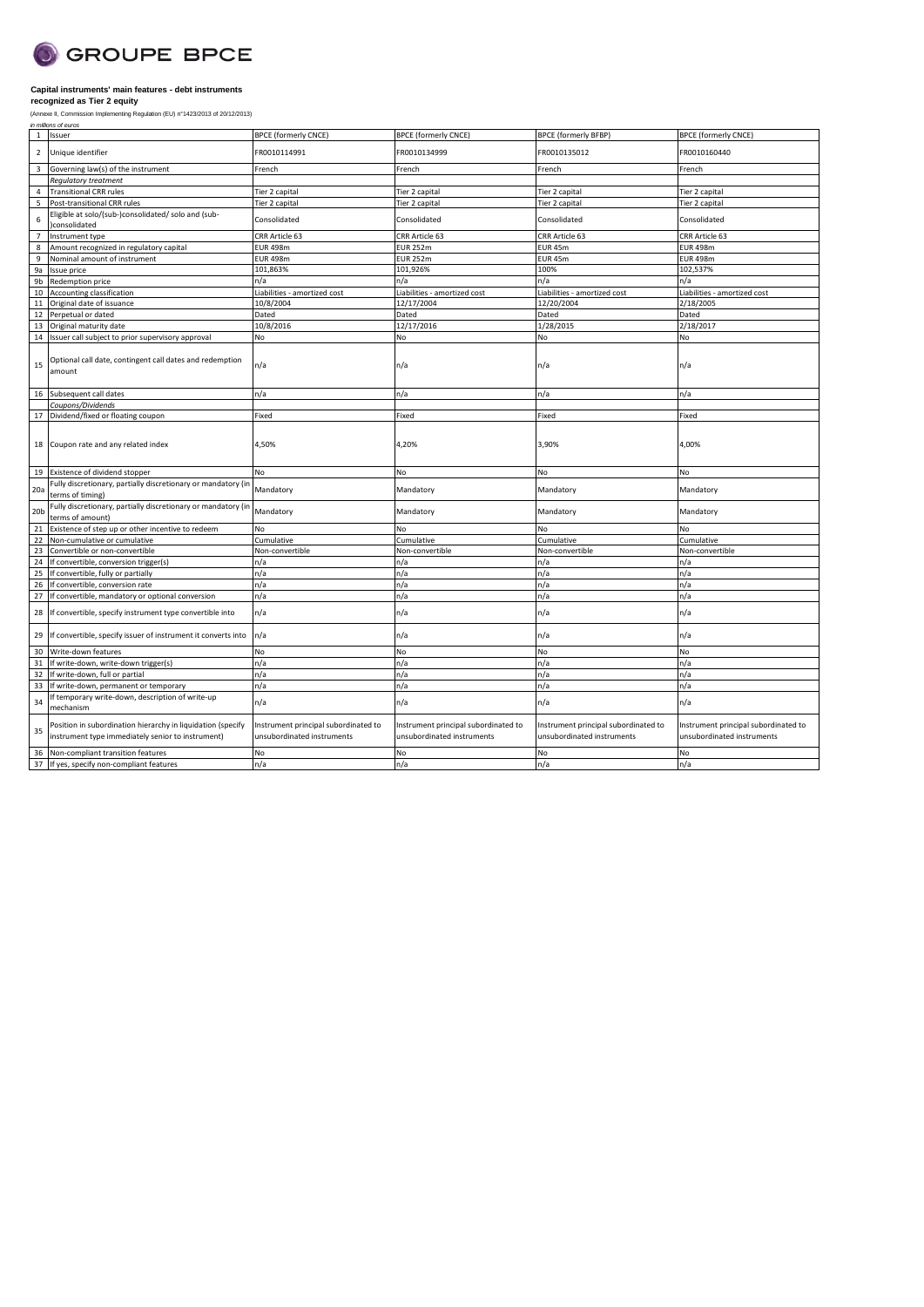

| in millions of euros<br>Issuer<br><b>BPCE (formerly CNCE)</b><br><b>BPCE (formerly CNCE)</b><br><b>BPCE (formerly BFBP)</b><br><b>BPCE (formerly CNCE)</b><br>1<br>Unique identifier<br>FR0010114991<br>FR0010135012<br>$\overline{2}$<br>FR0010134999<br>FR0010160440<br>Governing law(s) of the instrument<br>$\overline{3}$<br>French<br>French<br>French<br>French<br>Regulatory treatment<br><b>Transitional CRR rules</b><br>$\overline{4}$<br>Tier 2 capital<br>Tier 2 capital<br>Tier 2 capital<br>Tier 2 capital<br>5<br>Post-transitional CRR rules<br>Tier 2 capital<br>Tier 2 capital<br>Tier 2 capital<br>Tier 2 capital<br>Eligible at solo/(sub-)consolidated/ solo and (sub-<br>6<br>Consolidated<br>Consolidated<br>Consolidated<br>Consolidated<br>consolidated<br>CRR Article 63<br>CRR Article 63<br>CRR Article 63<br>CRR Article 63<br>Instrument type<br>$\overline{7}$<br>Amount recognized in regulatory capital<br>EUR 498m<br><b>EUR 252m</b><br>EUR <sub>45m</sub><br><b>EUR 498m</b><br>8<br>Nominal amount of instrument<br>9<br><b>EUR 498m</b><br><b>EUR 252m</b><br>EUR 45m<br><b>EUR 498m</b><br>101,863%<br>101,926%<br>100%<br>102,537%<br>9a<br>Issue price<br>9b<br>Redemption price<br>n/a<br>n/a<br>n/a<br>n/a<br>10<br>Liabilities - amortized cost<br>Liabilities - amortized cost<br>Liabilities - amortized cost<br>Accounting classification<br>Liabilities - amortized cost<br>12/20/2004<br>10/8/2004<br>12/17/2004<br>2/18/2005<br>11<br>Original date of issuance<br>Dated<br>Dated<br>Dated<br>Dated<br>12<br>Perpetual or dated<br>10/8/2016<br>12/17/2016<br>1/28/2015<br>2/18/2017<br>13<br>Original maturity date<br>No<br>14<br>Issuer call subject to prior supervisory approval<br>No<br>No<br>No<br>Optional call date, contingent call dates and redemption<br>n/a<br>n/a<br>n/a<br>15<br>n/a<br>amount<br>Subsequent call dates<br>n/a<br>n/a<br>n/a<br>n/a<br>16<br>Coupons/Dividends<br>Dividend/fixed or floating coupon<br>Fixed<br>Fixed<br>Fixed<br>Fixed<br>17<br>4,50%<br>4,20%<br>4,00%<br>18 Coupon rate and any related index<br>3,90%<br>19 Existence of dividend stopper<br><b>No</b><br>No<br>No<br>No<br>Fully discretionary, partially discretionary or mandatory (ir<br>Mandatory<br>Mandatory<br>Mandatory<br>Mandatory<br>20a<br>terms of timing)<br>Fully discretionary, partially discretionary or mandatory (in<br>20 <sub>b</sub><br>Mandatory<br>Mandatory<br>Mandatory<br>Mandatory<br>terms of amount)<br>Existence of step up or other incentive to redeem<br>No.<br><b>No</b><br>21<br>No<br>No<br>22<br>Non-cumulative or cumulative<br>Cumulative<br>Cumulative<br>Cumulative<br>Cumulative<br>23<br>Convertible or non-convertible<br>Non-convertible<br>Non-convertible<br>Non-convertible<br>Non-convertible<br>24<br>If convertible, conversion trigger(s)<br>n/a<br>n/a<br>n/a<br>n/a<br>25<br>If convertible, fully or partially<br>n/a<br>n/a<br>n/a<br>n/a<br>26<br>If convertible, conversion rate<br>n/a<br>n/a<br>n/a<br>n/a<br>n/a<br>n/a<br>27<br>n/a<br>n/a<br>If convertible, mandatory or optional conversion<br>n/a<br>If convertible, specify instrument type convertible into<br>n/a<br>n/a<br>n/a<br>28<br>n/a<br>n/a<br>n/a<br>If convertible, specify issuer of instrument it converts into<br>n/a<br>29<br>30<br>Write-down features<br>No<br>No<br>No<br>No<br>31<br>If write-down, write-down trigger(s)<br>n/a<br>n/a<br>n/a<br>n/a<br>If write-down, full or partial<br>n/a<br>n/a<br>n/a<br>n/a<br>32<br>If write-down, permanent or temporary<br>n/a<br>n/a<br>n/a<br>n/a<br>33<br>If temporary write-down, description of write-up<br>34<br>n/a<br>n/a<br>n/a<br>n/a<br>mechanism<br>Position in subordination hierarchy in liquidation (specify<br>Instrument principal subordinated to<br>Instrument principal subordinated to<br>Instrument principal subordinated to<br>Instrument principal subordinated to<br>35<br>instrument type immediately senior to instrument)<br>unsubordinated instruments<br>unsubordinated instruments<br>unsubordinated instruments<br>unsubordinated instruments<br>Non-compliant transition features<br>No<br>No<br>No<br>No<br>36 | (Annexe II, Commission Implementing Regulation (EU) n°1423/2013 of 20/12/2013) |     |     |     |     |
|------------------------------------------------------------------------------------------------------------------------------------------------------------------------------------------------------------------------------------------------------------------------------------------------------------------------------------------------------------------------------------------------------------------------------------------------------------------------------------------------------------------------------------------------------------------------------------------------------------------------------------------------------------------------------------------------------------------------------------------------------------------------------------------------------------------------------------------------------------------------------------------------------------------------------------------------------------------------------------------------------------------------------------------------------------------------------------------------------------------------------------------------------------------------------------------------------------------------------------------------------------------------------------------------------------------------------------------------------------------------------------------------------------------------------------------------------------------------------------------------------------------------------------------------------------------------------------------------------------------------------------------------------------------------------------------------------------------------------------------------------------------------------------------------------------------------------------------------------------------------------------------------------------------------------------------------------------------------------------------------------------------------------------------------------------------------------------------------------------------------------------------------------------------------------------------------------------------------------------------------------------------------------------------------------------------------------------------------------------------------------------------------------------------------------------------------------------------------------------------------------------------------------------------------------------------------------------------------------------------------------------------------------------------------------------------------------------------------------------------------------------------------------------------------------------------------------------------------------------------------------------------------------------------------------------------------------------------------------------------------------------------------------------------------------------------------------------------------------------------------------------------------------------------------------------------------------------------------------------------------------------------------------------------------------------------------------------------------------------------------------------------------------------------------------------------------------------------------------------------------------------------------------------------------------------------------------------------------------------------------------------------------------------------------------------------------------------------------------------------------------------------------------------------------------------------------------------------------------------------------------------------------------------------------------------------------------------------------------------------------------------------------------------------------------------------------------------------------------------------------------------------------------------------------------------------------|--------------------------------------------------------------------------------|-----|-----|-----|-----|
|                                                                                                                                                                                                                                                                                                                                                                                                                                                                                                                                                                                                                                                                                                                                                                                                                                                                                                                                                                                                                                                                                                                                                                                                                                                                                                                                                                                                                                                                                                                                                                                                                                                                                                                                                                                                                                                                                                                                                                                                                                                                                                                                                                                                                                                                                                                                                                                                                                                                                                                                                                                                                                                                                                                                                                                                                                                                                                                                                                                                                                                                                                                                                                                                                                                                                                                                                                                                                                                                                                                                                                                                                                                                                                                                                                                                                                                                                                                                                                                                                                                                                                                                                                                                |                                                                                |     |     |     |     |
|                                                                                                                                                                                                                                                                                                                                                                                                                                                                                                                                                                                                                                                                                                                                                                                                                                                                                                                                                                                                                                                                                                                                                                                                                                                                                                                                                                                                                                                                                                                                                                                                                                                                                                                                                                                                                                                                                                                                                                                                                                                                                                                                                                                                                                                                                                                                                                                                                                                                                                                                                                                                                                                                                                                                                                                                                                                                                                                                                                                                                                                                                                                                                                                                                                                                                                                                                                                                                                                                                                                                                                                                                                                                                                                                                                                                                                                                                                                                                                                                                                                                                                                                                                                                |                                                                                |     |     |     |     |
|                                                                                                                                                                                                                                                                                                                                                                                                                                                                                                                                                                                                                                                                                                                                                                                                                                                                                                                                                                                                                                                                                                                                                                                                                                                                                                                                                                                                                                                                                                                                                                                                                                                                                                                                                                                                                                                                                                                                                                                                                                                                                                                                                                                                                                                                                                                                                                                                                                                                                                                                                                                                                                                                                                                                                                                                                                                                                                                                                                                                                                                                                                                                                                                                                                                                                                                                                                                                                                                                                                                                                                                                                                                                                                                                                                                                                                                                                                                                                                                                                                                                                                                                                                                                |                                                                                |     |     |     |     |
|                                                                                                                                                                                                                                                                                                                                                                                                                                                                                                                                                                                                                                                                                                                                                                                                                                                                                                                                                                                                                                                                                                                                                                                                                                                                                                                                                                                                                                                                                                                                                                                                                                                                                                                                                                                                                                                                                                                                                                                                                                                                                                                                                                                                                                                                                                                                                                                                                                                                                                                                                                                                                                                                                                                                                                                                                                                                                                                                                                                                                                                                                                                                                                                                                                                                                                                                                                                                                                                                                                                                                                                                                                                                                                                                                                                                                                                                                                                                                                                                                                                                                                                                                                                                |                                                                                |     |     |     |     |
|                                                                                                                                                                                                                                                                                                                                                                                                                                                                                                                                                                                                                                                                                                                                                                                                                                                                                                                                                                                                                                                                                                                                                                                                                                                                                                                                                                                                                                                                                                                                                                                                                                                                                                                                                                                                                                                                                                                                                                                                                                                                                                                                                                                                                                                                                                                                                                                                                                                                                                                                                                                                                                                                                                                                                                                                                                                                                                                                                                                                                                                                                                                                                                                                                                                                                                                                                                                                                                                                                                                                                                                                                                                                                                                                                                                                                                                                                                                                                                                                                                                                                                                                                                                                |                                                                                |     |     |     |     |
|                                                                                                                                                                                                                                                                                                                                                                                                                                                                                                                                                                                                                                                                                                                                                                                                                                                                                                                                                                                                                                                                                                                                                                                                                                                                                                                                                                                                                                                                                                                                                                                                                                                                                                                                                                                                                                                                                                                                                                                                                                                                                                                                                                                                                                                                                                                                                                                                                                                                                                                                                                                                                                                                                                                                                                                                                                                                                                                                                                                                                                                                                                                                                                                                                                                                                                                                                                                                                                                                                                                                                                                                                                                                                                                                                                                                                                                                                                                                                                                                                                                                                                                                                                                                |                                                                                |     |     |     |     |
|                                                                                                                                                                                                                                                                                                                                                                                                                                                                                                                                                                                                                                                                                                                                                                                                                                                                                                                                                                                                                                                                                                                                                                                                                                                                                                                                                                                                                                                                                                                                                                                                                                                                                                                                                                                                                                                                                                                                                                                                                                                                                                                                                                                                                                                                                                                                                                                                                                                                                                                                                                                                                                                                                                                                                                                                                                                                                                                                                                                                                                                                                                                                                                                                                                                                                                                                                                                                                                                                                                                                                                                                                                                                                                                                                                                                                                                                                                                                                                                                                                                                                                                                                                                                |                                                                                |     |     |     |     |
|                                                                                                                                                                                                                                                                                                                                                                                                                                                                                                                                                                                                                                                                                                                                                                                                                                                                                                                                                                                                                                                                                                                                                                                                                                                                                                                                                                                                                                                                                                                                                                                                                                                                                                                                                                                                                                                                                                                                                                                                                                                                                                                                                                                                                                                                                                                                                                                                                                                                                                                                                                                                                                                                                                                                                                                                                                                                                                                                                                                                                                                                                                                                                                                                                                                                                                                                                                                                                                                                                                                                                                                                                                                                                                                                                                                                                                                                                                                                                                                                                                                                                                                                                                                                |                                                                                |     |     |     |     |
|                                                                                                                                                                                                                                                                                                                                                                                                                                                                                                                                                                                                                                                                                                                                                                                                                                                                                                                                                                                                                                                                                                                                                                                                                                                                                                                                                                                                                                                                                                                                                                                                                                                                                                                                                                                                                                                                                                                                                                                                                                                                                                                                                                                                                                                                                                                                                                                                                                                                                                                                                                                                                                                                                                                                                                                                                                                                                                                                                                                                                                                                                                                                                                                                                                                                                                                                                                                                                                                                                                                                                                                                                                                                                                                                                                                                                                                                                                                                                                                                                                                                                                                                                                                                |                                                                                |     |     |     |     |
|                                                                                                                                                                                                                                                                                                                                                                                                                                                                                                                                                                                                                                                                                                                                                                                                                                                                                                                                                                                                                                                                                                                                                                                                                                                                                                                                                                                                                                                                                                                                                                                                                                                                                                                                                                                                                                                                                                                                                                                                                                                                                                                                                                                                                                                                                                                                                                                                                                                                                                                                                                                                                                                                                                                                                                                                                                                                                                                                                                                                                                                                                                                                                                                                                                                                                                                                                                                                                                                                                                                                                                                                                                                                                                                                                                                                                                                                                                                                                                                                                                                                                                                                                                                                |                                                                                |     |     |     |     |
|                                                                                                                                                                                                                                                                                                                                                                                                                                                                                                                                                                                                                                                                                                                                                                                                                                                                                                                                                                                                                                                                                                                                                                                                                                                                                                                                                                                                                                                                                                                                                                                                                                                                                                                                                                                                                                                                                                                                                                                                                                                                                                                                                                                                                                                                                                                                                                                                                                                                                                                                                                                                                                                                                                                                                                                                                                                                                                                                                                                                                                                                                                                                                                                                                                                                                                                                                                                                                                                                                                                                                                                                                                                                                                                                                                                                                                                                                                                                                                                                                                                                                                                                                                                                |                                                                                |     |     |     |     |
|                                                                                                                                                                                                                                                                                                                                                                                                                                                                                                                                                                                                                                                                                                                                                                                                                                                                                                                                                                                                                                                                                                                                                                                                                                                                                                                                                                                                                                                                                                                                                                                                                                                                                                                                                                                                                                                                                                                                                                                                                                                                                                                                                                                                                                                                                                                                                                                                                                                                                                                                                                                                                                                                                                                                                                                                                                                                                                                                                                                                                                                                                                                                                                                                                                                                                                                                                                                                                                                                                                                                                                                                                                                                                                                                                                                                                                                                                                                                                                                                                                                                                                                                                                                                |                                                                                |     |     |     |     |
|                                                                                                                                                                                                                                                                                                                                                                                                                                                                                                                                                                                                                                                                                                                                                                                                                                                                                                                                                                                                                                                                                                                                                                                                                                                                                                                                                                                                                                                                                                                                                                                                                                                                                                                                                                                                                                                                                                                                                                                                                                                                                                                                                                                                                                                                                                                                                                                                                                                                                                                                                                                                                                                                                                                                                                                                                                                                                                                                                                                                                                                                                                                                                                                                                                                                                                                                                                                                                                                                                                                                                                                                                                                                                                                                                                                                                                                                                                                                                                                                                                                                                                                                                                                                |                                                                                |     |     |     |     |
|                                                                                                                                                                                                                                                                                                                                                                                                                                                                                                                                                                                                                                                                                                                                                                                                                                                                                                                                                                                                                                                                                                                                                                                                                                                                                                                                                                                                                                                                                                                                                                                                                                                                                                                                                                                                                                                                                                                                                                                                                                                                                                                                                                                                                                                                                                                                                                                                                                                                                                                                                                                                                                                                                                                                                                                                                                                                                                                                                                                                                                                                                                                                                                                                                                                                                                                                                                                                                                                                                                                                                                                                                                                                                                                                                                                                                                                                                                                                                                                                                                                                                                                                                                                                |                                                                                |     |     |     |     |
|                                                                                                                                                                                                                                                                                                                                                                                                                                                                                                                                                                                                                                                                                                                                                                                                                                                                                                                                                                                                                                                                                                                                                                                                                                                                                                                                                                                                                                                                                                                                                                                                                                                                                                                                                                                                                                                                                                                                                                                                                                                                                                                                                                                                                                                                                                                                                                                                                                                                                                                                                                                                                                                                                                                                                                                                                                                                                                                                                                                                                                                                                                                                                                                                                                                                                                                                                                                                                                                                                                                                                                                                                                                                                                                                                                                                                                                                                                                                                                                                                                                                                                                                                                                                |                                                                                |     |     |     |     |
|                                                                                                                                                                                                                                                                                                                                                                                                                                                                                                                                                                                                                                                                                                                                                                                                                                                                                                                                                                                                                                                                                                                                                                                                                                                                                                                                                                                                                                                                                                                                                                                                                                                                                                                                                                                                                                                                                                                                                                                                                                                                                                                                                                                                                                                                                                                                                                                                                                                                                                                                                                                                                                                                                                                                                                                                                                                                                                                                                                                                                                                                                                                                                                                                                                                                                                                                                                                                                                                                                                                                                                                                                                                                                                                                                                                                                                                                                                                                                                                                                                                                                                                                                                                                |                                                                                |     |     |     |     |
|                                                                                                                                                                                                                                                                                                                                                                                                                                                                                                                                                                                                                                                                                                                                                                                                                                                                                                                                                                                                                                                                                                                                                                                                                                                                                                                                                                                                                                                                                                                                                                                                                                                                                                                                                                                                                                                                                                                                                                                                                                                                                                                                                                                                                                                                                                                                                                                                                                                                                                                                                                                                                                                                                                                                                                                                                                                                                                                                                                                                                                                                                                                                                                                                                                                                                                                                                                                                                                                                                                                                                                                                                                                                                                                                                                                                                                                                                                                                                                                                                                                                                                                                                                                                |                                                                                |     |     |     |     |
|                                                                                                                                                                                                                                                                                                                                                                                                                                                                                                                                                                                                                                                                                                                                                                                                                                                                                                                                                                                                                                                                                                                                                                                                                                                                                                                                                                                                                                                                                                                                                                                                                                                                                                                                                                                                                                                                                                                                                                                                                                                                                                                                                                                                                                                                                                                                                                                                                                                                                                                                                                                                                                                                                                                                                                                                                                                                                                                                                                                                                                                                                                                                                                                                                                                                                                                                                                                                                                                                                                                                                                                                                                                                                                                                                                                                                                                                                                                                                                                                                                                                                                                                                                                                |                                                                                |     |     |     |     |
|                                                                                                                                                                                                                                                                                                                                                                                                                                                                                                                                                                                                                                                                                                                                                                                                                                                                                                                                                                                                                                                                                                                                                                                                                                                                                                                                                                                                                                                                                                                                                                                                                                                                                                                                                                                                                                                                                                                                                                                                                                                                                                                                                                                                                                                                                                                                                                                                                                                                                                                                                                                                                                                                                                                                                                                                                                                                                                                                                                                                                                                                                                                                                                                                                                                                                                                                                                                                                                                                                                                                                                                                                                                                                                                                                                                                                                                                                                                                                                                                                                                                                                                                                                                                |                                                                                |     |     |     |     |
|                                                                                                                                                                                                                                                                                                                                                                                                                                                                                                                                                                                                                                                                                                                                                                                                                                                                                                                                                                                                                                                                                                                                                                                                                                                                                                                                                                                                                                                                                                                                                                                                                                                                                                                                                                                                                                                                                                                                                                                                                                                                                                                                                                                                                                                                                                                                                                                                                                                                                                                                                                                                                                                                                                                                                                                                                                                                                                                                                                                                                                                                                                                                                                                                                                                                                                                                                                                                                                                                                                                                                                                                                                                                                                                                                                                                                                                                                                                                                                                                                                                                                                                                                                                                |                                                                                |     |     |     |     |
|                                                                                                                                                                                                                                                                                                                                                                                                                                                                                                                                                                                                                                                                                                                                                                                                                                                                                                                                                                                                                                                                                                                                                                                                                                                                                                                                                                                                                                                                                                                                                                                                                                                                                                                                                                                                                                                                                                                                                                                                                                                                                                                                                                                                                                                                                                                                                                                                                                                                                                                                                                                                                                                                                                                                                                                                                                                                                                                                                                                                                                                                                                                                                                                                                                                                                                                                                                                                                                                                                                                                                                                                                                                                                                                                                                                                                                                                                                                                                                                                                                                                                                                                                                                                |                                                                                |     |     |     |     |
|                                                                                                                                                                                                                                                                                                                                                                                                                                                                                                                                                                                                                                                                                                                                                                                                                                                                                                                                                                                                                                                                                                                                                                                                                                                                                                                                                                                                                                                                                                                                                                                                                                                                                                                                                                                                                                                                                                                                                                                                                                                                                                                                                                                                                                                                                                                                                                                                                                                                                                                                                                                                                                                                                                                                                                                                                                                                                                                                                                                                                                                                                                                                                                                                                                                                                                                                                                                                                                                                                                                                                                                                                                                                                                                                                                                                                                                                                                                                                                                                                                                                                                                                                                                                |                                                                                |     |     |     |     |
|                                                                                                                                                                                                                                                                                                                                                                                                                                                                                                                                                                                                                                                                                                                                                                                                                                                                                                                                                                                                                                                                                                                                                                                                                                                                                                                                                                                                                                                                                                                                                                                                                                                                                                                                                                                                                                                                                                                                                                                                                                                                                                                                                                                                                                                                                                                                                                                                                                                                                                                                                                                                                                                                                                                                                                                                                                                                                                                                                                                                                                                                                                                                                                                                                                                                                                                                                                                                                                                                                                                                                                                                                                                                                                                                                                                                                                                                                                                                                                                                                                                                                                                                                                                                |                                                                                |     |     |     |     |
|                                                                                                                                                                                                                                                                                                                                                                                                                                                                                                                                                                                                                                                                                                                                                                                                                                                                                                                                                                                                                                                                                                                                                                                                                                                                                                                                                                                                                                                                                                                                                                                                                                                                                                                                                                                                                                                                                                                                                                                                                                                                                                                                                                                                                                                                                                                                                                                                                                                                                                                                                                                                                                                                                                                                                                                                                                                                                                                                                                                                                                                                                                                                                                                                                                                                                                                                                                                                                                                                                                                                                                                                                                                                                                                                                                                                                                                                                                                                                                                                                                                                                                                                                                                                |                                                                                |     |     |     |     |
|                                                                                                                                                                                                                                                                                                                                                                                                                                                                                                                                                                                                                                                                                                                                                                                                                                                                                                                                                                                                                                                                                                                                                                                                                                                                                                                                                                                                                                                                                                                                                                                                                                                                                                                                                                                                                                                                                                                                                                                                                                                                                                                                                                                                                                                                                                                                                                                                                                                                                                                                                                                                                                                                                                                                                                                                                                                                                                                                                                                                                                                                                                                                                                                                                                                                                                                                                                                                                                                                                                                                                                                                                                                                                                                                                                                                                                                                                                                                                                                                                                                                                                                                                                                                |                                                                                |     |     |     |     |
|                                                                                                                                                                                                                                                                                                                                                                                                                                                                                                                                                                                                                                                                                                                                                                                                                                                                                                                                                                                                                                                                                                                                                                                                                                                                                                                                                                                                                                                                                                                                                                                                                                                                                                                                                                                                                                                                                                                                                                                                                                                                                                                                                                                                                                                                                                                                                                                                                                                                                                                                                                                                                                                                                                                                                                                                                                                                                                                                                                                                                                                                                                                                                                                                                                                                                                                                                                                                                                                                                                                                                                                                                                                                                                                                                                                                                                                                                                                                                                                                                                                                                                                                                                                                |                                                                                |     |     |     |     |
|                                                                                                                                                                                                                                                                                                                                                                                                                                                                                                                                                                                                                                                                                                                                                                                                                                                                                                                                                                                                                                                                                                                                                                                                                                                                                                                                                                                                                                                                                                                                                                                                                                                                                                                                                                                                                                                                                                                                                                                                                                                                                                                                                                                                                                                                                                                                                                                                                                                                                                                                                                                                                                                                                                                                                                                                                                                                                                                                                                                                                                                                                                                                                                                                                                                                                                                                                                                                                                                                                                                                                                                                                                                                                                                                                                                                                                                                                                                                                                                                                                                                                                                                                                                                |                                                                                |     |     |     |     |
|                                                                                                                                                                                                                                                                                                                                                                                                                                                                                                                                                                                                                                                                                                                                                                                                                                                                                                                                                                                                                                                                                                                                                                                                                                                                                                                                                                                                                                                                                                                                                                                                                                                                                                                                                                                                                                                                                                                                                                                                                                                                                                                                                                                                                                                                                                                                                                                                                                                                                                                                                                                                                                                                                                                                                                                                                                                                                                                                                                                                                                                                                                                                                                                                                                                                                                                                                                                                                                                                                                                                                                                                                                                                                                                                                                                                                                                                                                                                                                                                                                                                                                                                                                                                |                                                                                |     |     |     |     |
|                                                                                                                                                                                                                                                                                                                                                                                                                                                                                                                                                                                                                                                                                                                                                                                                                                                                                                                                                                                                                                                                                                                                                                                                                                                                                                                                                                                                                                                                                                                                                                                                                                                                                                                                                                                                                                                                                                                                                                                                                                                                                                                                                                                                                                                                                                                                                                                                                                                                                                                                                                                                                                                                                                                                                                                                                                                                                                                                                                                                                                                                                                                                                                                                                                                                                                                                                                                                                                                                                                                                                                                                                                                                                                                                                                                                                                                                                                                                                                                                                                                                                                                                                                                                |                                                                                |     |     |     |     |
|                                                                                                                                                                                                                                                                                                                                                                                                                                                                                                                                                                                                                                                                                                                                                                                                                                                                                                                                                                                                                                                                                                                                                                                                                                                                                                                                                                                                                                                                                                                                                                                                                                                                                                                                                                                                                                                                                                                                                                                                                                                                                                                                                                                                                                                                                                                                                                                                                                                                                                                                                                                                                                                                                                                                                                                                                                                                                                                                                                                                                                                                                                                                                                                                                                                                                                                                                                                                                                                                                                                                                                                                                                                                                                                                                                                                                                                                                                                                                                                                                                                                                                                                                                                                |                                                                                |     |     |     |     |
|                                                                                                                                                                                                                                                                                                                                                                                                                                                                                                                                                                                                                                                                                                                                                                                                                                                                                                                                                                                                                                                                                                                                                                                                                                                                                                                                                                                                                                                                                                                                                                                                                                                                                                                                                                                                                                                                                                                                                                                                                                                                                                                                                                                                                                                                                                                                                                                                                                                                                                                                                                                                                                                                                                                                                                                                                                                                                                                                                                                                                                                                                                                                                                                                                                                                                                                                                                                                                                                                                                                                                                                                                                                                                                                                                                                                                                                                                                                                                                                                                                                                                                                                                                                                |                                                                                |     |     |     |     |
|                                                                                                                                                                                                                                                                                                                                                                                                                                                                                                                                                                                                                                                                                                                                                                                                                                                                                                                                                                                                                                                                                                                                                                                                                                                                                                                                                                                                                                                                                                                                                                                                                                                                                                                                                                                                                                                                                                                                                                                                                                                                                                                                                                                                                                                                                                                                                                                                                                                                                                                                                                                                                                                                                                                                                                                                                                                                                                                                                                                                                                                                                                                                                                                                                                                                                                                                                                                                                                                                                                                                                                                                                                                                                                                                                                                                                                                                                                                                                                                                                                                                                                                                                                                                |                                                                                |     |     |     |     |
|                                                                                                                                                                                                                                                                                                                                                                                                                                                                                                                                                                                                                                                                                                                                                                                                                                                                                                                                                                                                                                                                                                                                                                                                                                                                                                                                                                                                                                                                                                                                                                                                                                                                                                                                                                                                                                                                                                                                                                                                                                                                                                                                                                                                                                                                                                                                                                                                                                                                                                                                                                                                                                                                                                                                                                                                                                                                                                                                                                                                                                                                                                                                                                                                                                                                                                                                                                                                                                                                                                                                                                                                                                                                                                                                                                                                                                                                                                                                                                                                                                                                                                                                                                                                |                                                                                |     |     |     |     |
|                                                                                                                                                                                                                                                                                                                                                                                                                                                                                                                                                                                                                                                                                                                                                                                                                                                                                                                                                                                                                                                                                                                                                                                                                                                                                                                                                                                                                                                                                                                                                                                                                                                                                                                                                                                                                                                                                                                                                                                                                                                                                                                                                                                                                                                                                                                                                                                                                                                                                                                                                                                                                                                                                                                                                                                                                                                                                                                                                                                                                                                                                                                                                                                                                                                                                                                                                                                                                                                                                                                                                                                                                                                                                                                                                                                                                                                                                                                                                                                                                                                                                                                                                                                                |                                                                                |     |     |     |     |
|                                                                                                                                                                                                                                                                                                                                                                                                                                                                                                                                                                                                                                                                                                                                                                                                                                                                                                                                                                                                                                                                                                                                                                                                                                                                                                                                                                                                                                                                                                                                                                                                                                                                                                                                                                                                                                                                                                                                                                                                                                                                                                                                                                                                                                                                                                                                                                                                                                                                                                                                                                                                                                                                                                                                                                                                                                                                                                                                                                                                                                                                                                                                                                                                                                                                                                                                                                                                                                                                                                                                                                                                                                                                                                                                                                                                                                                                                                                                                                                                                                                                                                                                                                                                |                                                                                |     |     |     |     |
|                                                                                                                                                                                                                                                                                                                                                                                                                                                                                                                                                                                                                                                                                                                                                                                                                                                                                                                                                                                                                                                                                                                                                                                                                                                                                                                                                                                                                                                                                                                                                                                                                                                                                                                                                                                                                                                                                                                                                                                                                                                                                                                                                                                                                                                                                                                                                                                                                                                                                                                                                                                                                                                                                                                                                                                                                                                                                                                                                                                                                                                                                                                                                                                                                                                                                                                                                                                                                                                                                                                                                                                                                                                                                                                                                                                                                                                                                                                                                                                                                                                                                                                                                                                                |                                                                                |     |     |     |     |
|                                                                                                                                                                                                                                                                                                                                                                                                                                                                                                                                                                                                                                                                                                                                                                                                                                                                                                                                                                                                                                                                                                                                                                                                                                                                                                                                                                                                                                                                                                                                                                                                                                                                                                                                                                                                                                                                                                                                                                                                                                                                                                                                                                                                                                                                                                                                                                                                                                                                                                                                                                                                                                                                                                                                                                                                                                                                                                                                                                                                                                                                                                                                                                                                                                                                                                                                                                                                                                                                                                                                                                                                                                                                                                                                                                                                                                                                                                                                                                                                                                                                                                                                                                                                |                                                                                |     |     |     |     |
|                                                                                                                                                                                                                                                                                                                                                                                                                                                                                                                                                                                                                                                                                                                                                                                                                                                                                                                                                                                                                                                                                                                                                                                                                                                                                                                                                                                                                                                                                                                                                                                                                                                                                                                                                                                                                                                                                                                                                                                                                                                                                                                                                                                                                                                                                                                                                                                                                                                                                                                                                                                                                                                                                                                                                                                                                                                                                                                                                                                                                                                                                                                                                                                                                                                                                                                                                                                                                                                                                                                                                                                                                                                                                                                                                                                                                                                                                                                                                                                                                                                                                                                                                                                                |                                                                                |     |     |     |     |
|                                                                                                                                                                                                                                                                                                                                                                                                                                                                                                                                                                                                                                                                                                                                                                                                                                                                                                                                                                                                                                                                                                                                                                                                                                                                                                                                                                                                                                                                                                                                                                                                                                                                                                                                                                                                                                                                                                                                                                                                                                                                                                                                                                                                                                                                                                                                                                                                                                                                                                                                                                                                                                                                                                                                                                                                                                                                                                                                                                                                                                                                                                                                                                                                                                                                                                                                                                                                                                                                                                                                                                                                                                                                                                                                                                                                                                                                                                                                                                                                                                                                                                                                                                                                |                                                                                |     |     |     |     |
|                                                                                                                                                                                                                                                                                                                                                                                                                                                                                                                                                                                                                                                                                                                                                                                                                                                                                                                                                                                                                                                                                                                                                                                                                                                                                                                                                                                                                                                                                                                                                                                                                                                                                                                                                                                                                                                                                                                                                                                                                                                                                                                                                                                                                                                                                                                                                                                                                                                                                                                                                                                                                                                                                                                                                                                                                                                                                                                                                                                                                                                                                                                                                                                                                                                                                                                                                                                                                                                                                                                                                                                                                                                                                                                                                                                                                                                                                                                                                                                                                                                                                                                                                                                                |                                                                                |     |     |     |     |
|                                                                                                                                                                                                                                                                                                                                                                                                                                                                                                                                                                                                                                                                                                                                                                                                                                                                                                                                                                                                                                                                                                                                                                                                                                                                                                                                                                                                                                                                                                                                                                                                                                                                                                                                                                                                                                                                                                                                                                                                                                                                                                                                                                                                                                                                                                                                                                                                                                                                                                                                                                                                                                                                                                                                                                                                                                                                                                                                                                                                                                                                                                                                                                                                                                                                                                                                                                                                                                                                                                                                                                                                                                                                                                                                                                                                                                                                                                                                                                                                                                                                                                                                                                                                |                                                                                |     |     |     |     |
|                                                                                                                                                                                                                                                                                                                                                                                                                                                                                                                                                                                                                                                                                                                                                                                                                                                                                                                                                                                                                                                                                                                                                                                                                                                                                                                                                                                                                                                                                                                                                                                                                                                                                                                                                                                                                                                                                                                                                                                                                                                                                                                                                                                                                                                                                                                                                                                                                                                                                                                                                                                                                                                                                                                                                                                                                                                                                                                                                                                                                                                                                                                                                                                                                                                                                                                                                                                                                                                                                                                                                                                                                                                                                                                                                                                                                                                                                                                                                                                                                                                                                                                                                                                                |                                                                                |     |     |     |     |
|                                                                                                                                                                                                                                                                                                                                                                                                                                                                                                                                                                                                                                                                                                                                                                                                                                                                                                                                                                                                                                                                                                                                                                                                                                                                                                                                                                                                                                                                                                                                                                                                                                                                                                                                                                                                                                                                                                                                                                                                                                                                                                                                                                                                                                                                                                                                                                                                                                                                                                                                                                                                                                                                                                                                                                                                                                                                                                                                                                                                                                                                                                                                                                                                                                                                                                                                                                                                                                                                                                                                                                                                                                                                                                                                                                                                                                                                                                                                                                                                                                                                                                                                                                                                |                                                                                |     |     |     |     |
|                                                                                                                                                                                                                                                                                                                                                                                                                                                                                                                                                                                                                                                                                                                                                                                                                                                                                                                                                                                                                                                                                                                                                                                                                                                                                                                                                                                                                                                                                                                                                                                                                                                                                                                                                                                                                                                                                                                                                                                                                                                                                                                                                                                                                                                                                                                                                                                                                                                                                                                                                                                                                                                                                                                                                                                                                                                                                                                                                                                                                                                                                                                                                                                                                                                                                                                                                                                                                                                                                                                                                                                                                                                                                                                                                                                                                                                                                                                                                                                                                                                                                                                                                                                                |                                                                                |     |     |     |     |
|                                                                                                                                                                                                                                                                                                                                                                                                                                                                                                                                                                                                                                                                                                                                                                                                                                                                                                                                                                                                                                                                                                                                                                                                                                                                                                                                                                                                                                                                                                                                                                                                                                                                                                                                                                                                                                                                                                                                                                                                                                                                                                                                                                                                                                                                                                                                                                                                                                                                                                                                                                                                                                                                                                                                                                                                                                                                                                                                                                                                                                                                                                                                                                                                                                                                                                                                                                                                                                                                                                                                                                                                                                                                                                                                                                                                                                                                                                                                                                                                                                                                                                                                                                                                | 37 If yes, specify non-compliant features                                      | n/a | n/a | n/a | n/a |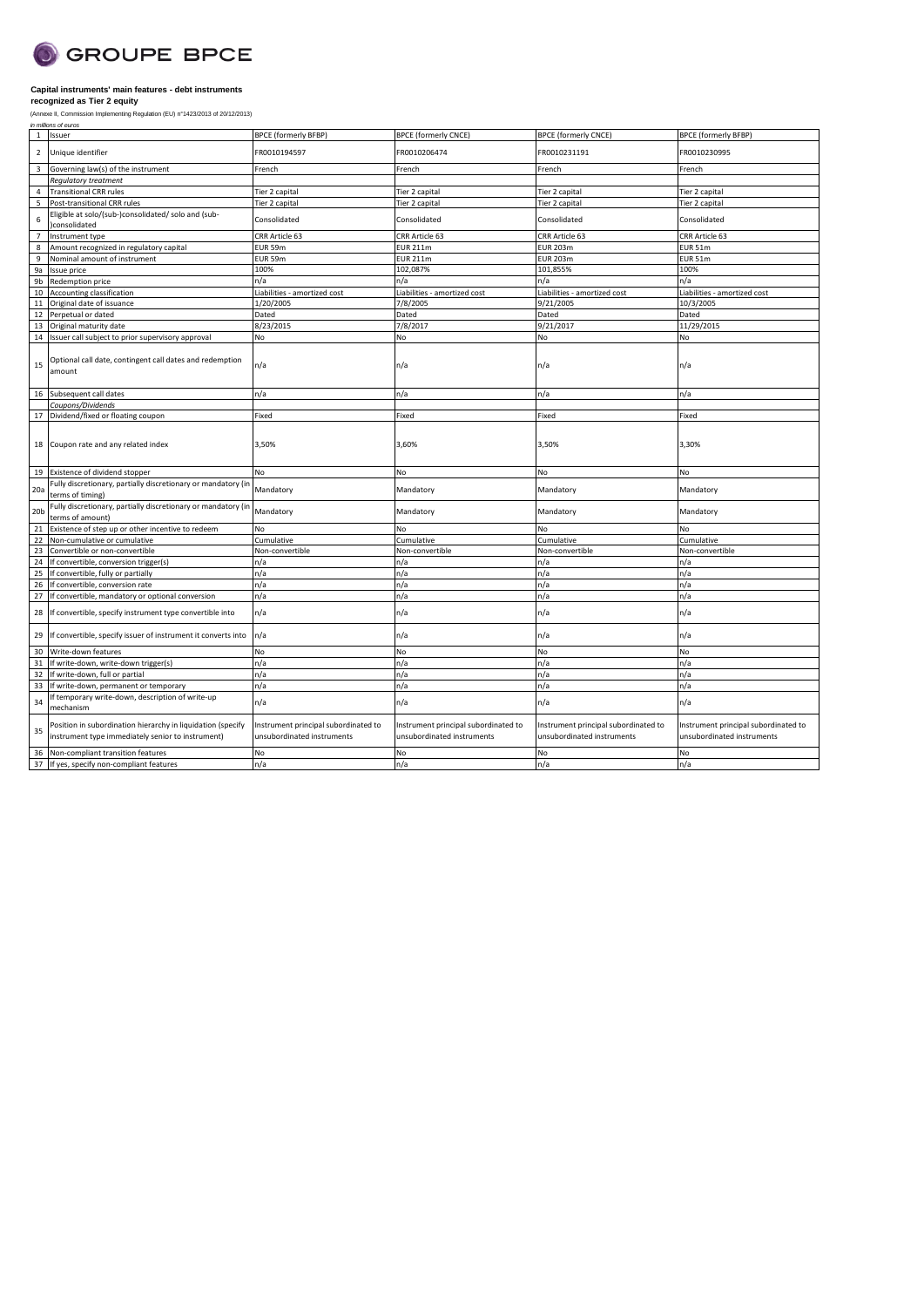

| $\mathbf{1}$    | Issuer                                                                                                           | <b>BPCE (formerly BFBP)</b>                                        | <b>BPCE</b> (formerly CNCE)                                        | <b>BPCE (formerly CNCE)</b>                                        | <b>BPCE (formerly BFBP)</b>                                        |
|-----------------|------------------------------------------------------------------------------------------------------------------|--------------------------------------------------------------------|--------------------------------------------------------------------|--------------------------------------------------------------------|--------------------------------------------------------------------|
| $\overline{2}$  | Unique identifier                                                                                                | FR0010194597                                                       | FR0010206474                                                       | FR0010231191                                                       | FR0010230995                                                       |
| $\overline{3}$  | Governing law(s) of the instrument                                                                               | French                                                             | French                                                             | French                                                             | French                                                             |
|                 | Regulatory treatment                                                                                             |                                                                    |                                                                    |                                                                    |                                                                    |
| $\overline{4}$  | <b>Transitional CRR rules</b>                                                                                    | Tier 2 capital                                                     | Tier 2 capital                                                     | Tier 2 capital                                                     | Tier 2 capital                                                     |
| 5               | Post-transitional CRR rules                                                                                      | Tier 2 capital                                                     | Tier 2 capital                                                     | Tier 2 capital                                                     | Tier 2 capital                                                     |
| 6               | Eligible at solo/(sub-)consolidated/ solo and (sub-<br>consolidated                                              | Consolidated                                                       | Consolidated                                                       | Consolidated                                                       | Consolidated                                                       |
| $\overline{7}$  | Instrument type                                                                                                  | CRR Article 63                                                     | CRR Article 63                                                     | CRR Article 63                                                     | CRR Article 63                                                     |
| 8               | Amount recognized in regulatory capital                                                                          | EUR 59m                                                            | <b>EUR 211m</b>                                                    | <b>EUR 203m</b>                                                    | <b>EUR 51m</b>                                                     |
| 9               | Nominal amount of instrument                                                                                     | EUR 59m                                                            | <b>EUR 211m</b>                                                    | <b>EUR 203m</b>                                                    | <b>EUR 51m</b>                                                     |
| 9a              | Issue price                                                                                                      | 100%                                                               | 102,087%                                                           | 101,855%                                                           | 100%                                                               |
| 9b              | Redemption price                                                                                                 | n/a                                                                | n/a                                                                | n/a                                                                | n/a                                                                |
| 10              | Accounting classification                                                                                        | Liabilities - amortized cost                                       | Liabilities - amortized cost                                       | Liabilities - amortized cost                                       | Liabilities - amortized cost                                       |
| 11              | Original date of issuance                                                                                        | 1/20/2005                                                          | 7/8/2005                                                           | 9/21/2005                                                          | 10/3/2005                                                          |
| 12              | Perpetual or dated                                                                                               | Dated                                                              | Dated                                                              | Dated                                                              | Dated                                                              |
| 13              | Original maturity date                                                                                           | 8/23/2015                                                          | 7/8/2017                                                           | 9/21/2017                                                          | 11/29/2015                                                         |
| 14              | Issuer call subject to prior supervisory approval                                                                | No                                                                 | No                                                                 | No                                                                 | No                                                                 |
| 15              | Optional call date, contingent call dates and redemption<br>amount                                               | n/a                                                                | n/a                                                                | n/a                                                                | n/a                                                                |
| 16              | Subsequent call dates                                                                                            | n/a                                                                | n/a                                                                | n/a                                                                | n/a                                                                |
|                 | Coupons/Dividends                                                                                                |                                                                    |                                                                    |                                                                    |                                                                    |
| 17              | Dividend/fixed or floating coupon                                                                                | Fixed                                                              | Fixed                                                              | Fixed                                                              | Fixed                                                              |
| 18              | Coupon rate and any related index                                                                                | 3,50%                                                              | 3,60%                                                              | 3,50%                                                              | 3,30%                                                              |
| 19              | Existence of dividend stopper                                                                                    | No                                                                 | No                                                                 | No                                                                 | No                                                                 |
| 20a             | Fully discretionary, partially discretionary or mandatory (in<br>terms of timing)                                | Mandatory                                                          | Mandatory                                                          | Mandatory                                                          | Mandatory                                                          |
| 20 <sub>b</sub> | Fully discretionary, partially discretionary or mandatory (in<br>terms of amount)                                | Mandatory                                                          | Mandatory                                                          | Mandatory                                                          | Mandatory                                                          |
| 21              | Existence of step up or other incentive to redeem                                                                | No                                                                 | No                                                                 | No                                                                 | No                                                                 |
| 22              | Non-cumulative or cumulative                                                                                     | Cumulative                                                         | Cumulative                                                         | Cumulative                                                         | Cumulative                                                         |
| 23              | Convertible or non-convertible                                                                                   | Non-convertible                                                    | Non-convertible                                                    | Non-convertible                                                    | Non-convertible                                                    |
| 24              | If convertible, conversion trigger(s)                                                                            | n/a                                                                | n/a                                                                | n/a                                                                | n/a                                                                |
| 25              | If convertible, fully or partially                                                                               | n/a                                                                | n/a                                                                | n/a                                                                | n/a                                                                |
| 26              | If convertible, conversion rate                                                                                  | n/a                                                                | n/a                                                                | n/a                                                                | n/a                                                                |
| 27              | If convertible, mandatory or optional conversion                                                                 | n/a                                                                | n/a                                                                | n/a                                                                | n/a                                                                |
| 28              | If convertible, specify instrument type convertible into                                                         | n/a                                                                | n/a                                                                | n/a                                                                | n/a                                                                |
| 29              | If convertible, specify issuer of instrument it converts into                                                    | n/a                                                                | n/a                                                                | n/a                                                                | n/a                                                                |
| 30              | Write-down features                                                                                              | No                                                                 | No                                                                 | No                                                                 | No                                                                 |
| 31              | If write-down, write-down trigger(s)                                                                             | n/a                                                                | n/a                                                                | n/a                                                                | n/a                                                                |
| 32              | If write-down, full or partial                                                                                   | n/a                                                                | n/a                                                                | n/a                                                                | n/a                                                                |
| 33              | If write-down, permanent or temporary                                                                            | n/a                                                                | n/a                                                                | n/a                                                                | n/a                                                                |
| 34              | f temporary write-down, description of write-up<br>mechanism                                                     | n/a                                                                | n/a                                                                | n/a                                                                | n/a                                                                |
| 35              | Position in subordination hierarchy in liquidation (specify<br>instrument type immediately senior to instrument) | Instrument principal subordinated to<br>unsubordinated instruments | Instrument principal subordinated to<br>unsubordinated instruments | Instrument principal subordinated to<br>unsubordinated instruments | Instrument principal subordinated to<br>unsubordinated instruments |
| 36              | Non-compliant transition features                                                                                | No                                                                 | No                                                                 | No                                                                 | No                                                                 |
|                 | 37 If yes, specify non-compliant features                                                                        | n/a                                                                | n/a                                                                | n/a                                                                | n/a                                                                |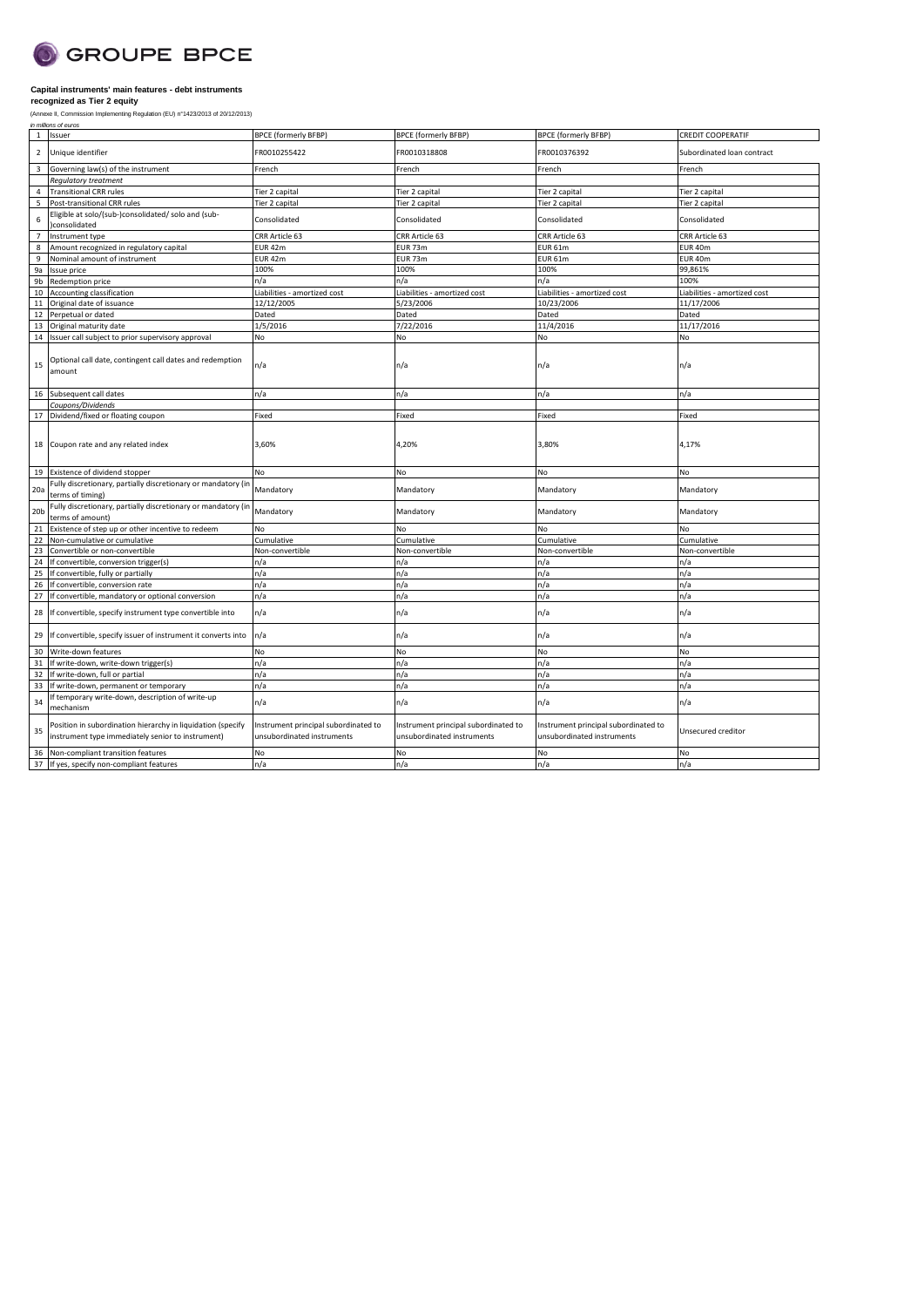

| Unique identifier<br>FR0010255422<br>FR0010318808<br>FR0010376392<br>$\overline{2}$<br>Subordinated loan contract<br>Governing law(s) of the instrument<br>$\overline{3}$<br>French<br>French<br>French<br>French<br>Regulatory treatment<br><b>Transitional CRR rules</b><br>Tier 2 capital<br>Tier 2 capital<br>Tier 2 capital<br>Tier 2 capital<br>$\overline{4}$<br>Post-transitional CRR rules<br>Tier 2 capital<br>5<br>Tier 2 capital<br>Tier 2 capital<br>Tier 2 capital<br>Eligible at solo/(sub-)consolidated/ solo and (sub-<br>Consolidated<br>Consolidated<br>Consolidated<br>Consolidated<br>6<br>consolidated<br>CRR Article 63<br>CRR Article 63<br>CRR Article 63<br>CRR Article 63 |  |
|------------------------------------------------------------------------------------------------------------------------------------------------------------------------------------------------------------------------------------------------------------------------------------------------------------------------------------------------------------------------------------------------------------------------------------------------------------------------------------------------------------------------------------------------------------------------------------------------------------------------------------------------------------------------------------------------------|--|
|                                                                                                                                                                                                                                                                                                                                                                                                                                                                                                                                                                                                                                                                                                      |  |
|                                                                                                                                                                                                                                                                                                                                                                                                                                                                                                                                                                                                                                                                                                      |  |
|                                                                                                                                                                                                                                                                                                                                                                                                                                                                                                                                                                                                                                                                                                      |  |
|                                                                                                                                                                                                                                                                                                                                                                                                                                                                                                                                                                                                                                                                                                      |  |
|                                                                                                                                                                                                                                                                                                                                                                                                                                                                                                                                                                                                                                                                                                      |  |
|                                                                                                                                                                                                                                                                                                                                                                                                                                                                                                                                                                                                                                                                                                      |  |
| Instrument type<br>$\overline{7}$                                                                                                                                                                                                                                                                                                                                                                                                                                                                                                                                                                                                                                                                    |  |
| Amount recognized in regulatory capital<br>EUR <sub>42m</sub><br><b>EUR 73m</b><br><b>EUR 61m</b><br>EUR 40m<br>8                                                                                                                                                                                                                                                                                                                                                                                                                                                                                                                                                                                    |  |
| Nominal amount of instrument<br>EUR 42m<br>EUR 73m<br>EUR 40m<br>9<br><b>EUR 61m</b>                                                                                                                                                                                                                                                                                                                                                                                                                                                                                                                                                                                                                 |  |
| 100%<br>100%<br>100%<br>99,861%<br>9a<br>Issue price                                                                                                                                                                                                                                                                                                                                                                                                                                                                                                                                                                                                                                                 |  |
| 9 <sub>b</sub><br>Redemption price<br>n/a<br>n/a<br>n/a<br>100%                                                                                                                                                                                                                                                                                                                                                                                                                                                                                                                                                                                                                                      |  |
| Accounting classification<br>10<br>Liabilities - amortized cost<br>Liabilities - amortized cost<br>Liabilities - amortized cost<br>Liabilities - amortized cost                                                                                                                                                                                                                                                                                                                                                                                                                                                                                                                                      |  |
| 12/12/2005<br>5/23/2006<br>10/23/2006<br>11/17/2006<br>11<br>Original date of issuance                                                                                                                                                                                                                                                                                                                                                                                                                                                                                                                                                                                                               |  |
| Dated<br>Dated<br>Dated<br>Dated<br>12<br>Perpetual or dated                                                                                                                                                                                                                                                                                                                                                                                                                                                                                                                                                                                                                                         |  |
| 1/5/2016<br>7/22/2016<br>11/4/2016<br>11/17/2016<br>Original maturity date<br>13                                                                                                                                                                                                                                                                                                                                                                                                                                                                                                                                                                                                                     |  |
| 14<br>Issuer call subject to prior supervisory approval<br>No<br>No<br>No<br>No                                                                                                                                                                                                                                                                                                                                                                                                                                                                                                                                                                                                                      |  |
| Optional call date, contingent call dates and redemption<br>n/a<br>15<br>n/a<br>n/a<br>n/a<br>amount                                                                                                                                                                                                                                                                                                                                                                                                                                                                                                                                                                                                 |  |
| Subsequent call dates<br>n/a<br>16<br>n/a<br>n/a<br>n/a                                                                                                                                                                                                                                                                                                                                                                                                                                                                                                                                                                                                                                              |  |
| Coupons/Dividends                                                                                                                                                                                                                                                                                                                                                                                                                                                                                                                                                                                                                                                                                    |  |
| Fixed<br>Fixed<br>Fixed<br>Fixed<br>17<br>Dividend/fixed or floating coupon                                                                                                                                                                                                                                                                                                                                                                                                                                                                                                                                                                                                                          |  |
| Coupon rate and any related index<br>3,60%<br>4,20%<br>3,80%<br>4,17%<br>18                                                                                                                                                                                                                                                                                                                                                                                                                                                                                                                                                                                                                          |  |
| Existence of dividend stopper<br>No<br>No<br>19<br>No<br>No                                                                                                                                                                                                                                                                                                                                                                                                                                                                                                                                                                                                                                          |  |
| Fully discretionary, partially discretionary or mandatory (in<br>Mandatory<br>20a<br>Mandatory<br>Mandatory<br>Mandatory<br>terms of timing)                                                                                                                                                                                                                                                                                                                                                                                                                                                                                                                                                         |  |
| Fully discretionary, partially discretionary or mandatory (ir<br>Mandatory<br>20 <sub>b</sub><br>Mandatory<br>Mandatory<br>Mandatory<br>terms of amount)                                                                                                                                                                                                                                                                                                                                                                                                                                                                                                                                             |  |
| Existence of step up or other incentive to redeem<br>No<br>No<br>21<br>No<br>No                                                                                                                                                                                                                                                                                                                                                                                                                                                                                                                                                                                                                      |  |
| 22<br>Non-cumulative or cumulative<br>Cumulative<br>Cumulative<br>Cumulative<br>Cumulative                                                                                                                                                                                                                                                                                                                                                                                                                                                                                                                                                                                                           |  |
| 23<br>Convertible or non-convertible<br>Non-convertible<br>Non-convertible<br>Non-convertible<br>Non-convertible                                                                                                                                                                                                                                                                                                                                                                                                                                                                                                                                                                                     |  |
| 24<br>If convertible, conversion trigger(s)<br>n/a<br>n/a<br>n/a<br>n/a                                                                                                                                                                                                                                                                                                                                                                                                                                                                                                                                                                                                                              |  |
| n/a<br>25<br>If convertible, fully or partially<br>n/a<br>n/a<br>n/a                                                                                                                                                                                                                                                                                                                                                                                                                                                                                                                                                                                                                                 |  |
| 26<br>If convertible, conversion rate<br>n/a<br>n/a<br>n/a<br>n/a                                                                                                                                                                                                                                                                                                                                                                                                                                                                                                                                                                                                                                    |  |
| 27<br>n/a<br>n/a<br>If convertible, mandatory or optional conversion<br>n/a<br>n/a                                                                                                                                                                                                                                                                                                                                                                                                                                                                                                                                                                                                                   |  |
| n/a<br>n/a<br>If convertible, specify instrument type convertible into<br>n/a<br>n/a<br>28                                                                                                                                                                                                                                                                                                                                                                                                                                                                                                                                                                                                           |  |
| n/a<br>If convertible, specify issuer of instrument it converts into<br>n/a<br>n/a<br>n/a<br>29                                                                                                                                                                                                                                                                                                                                                                                                                                                                                                                                                                                                      |  |
| 30<br>Write-down features<br>No<br>No<br>No<br>No                                                                                                                                                                                                                                                                                                                                                                                                                                                                                                                                                                                                                                                    |  |
| n/a<br>n/a<br>n/a<br>n/a<br>31<br>If write-down, write-down trigger(s)                                                                                                                                                                                                                                                                                                                                                                                                                                                                                                                                                                                                                               |  |
| n/a<br>n/a<br>32<br>If write-down, full or partial<br>n/a<br>n/a                                                                                                                                                                                                                                                                                                                                                                                                                                                                                                                                                                                                                                     |  |
| n/a<br>n/a<br>n/a<br>n/a<br>33<br>If write-down, permanent or temporary                                                                                                                                                                                                                                                                                                                                                                                                                                                                                                                                                                                                                              |  |
| f temporary write-down, description of write-up<br>34<br>n/a<br>n/a<br>n/a<br>n/a<br>mechanism                                                                                                                                                                                                                                                                                                                                                                                                                                                                                                                                                                                                       |  |
| Position in subordination hierarchy in liquidation (specify<br>Instrument principal subordinated to<br>Instrument principal subordinated to<br>Instrument principal subordinated to<br>Unsecured creditor<br>35<br>instrument type immediately senior to instrument)<br>unsubordinated instruments<br>unsubordinated instruments<br>unsubordinated instruments                                                                                                                                                                                                                                                                                                                                       |  |
|                                                                                                                                                                                                                                                                                                                                                                                                                                                                                                                                                                                                                                                                                                      |  |
| Non-compliant transition features<br>No<br>No<br>No<br>No<br>36<br>n/a<br>n/a<br>n/a<br>n/a                                                                                                                                                                                                                                                                                                                                                                                                                                                                                                                                                                                                          |  |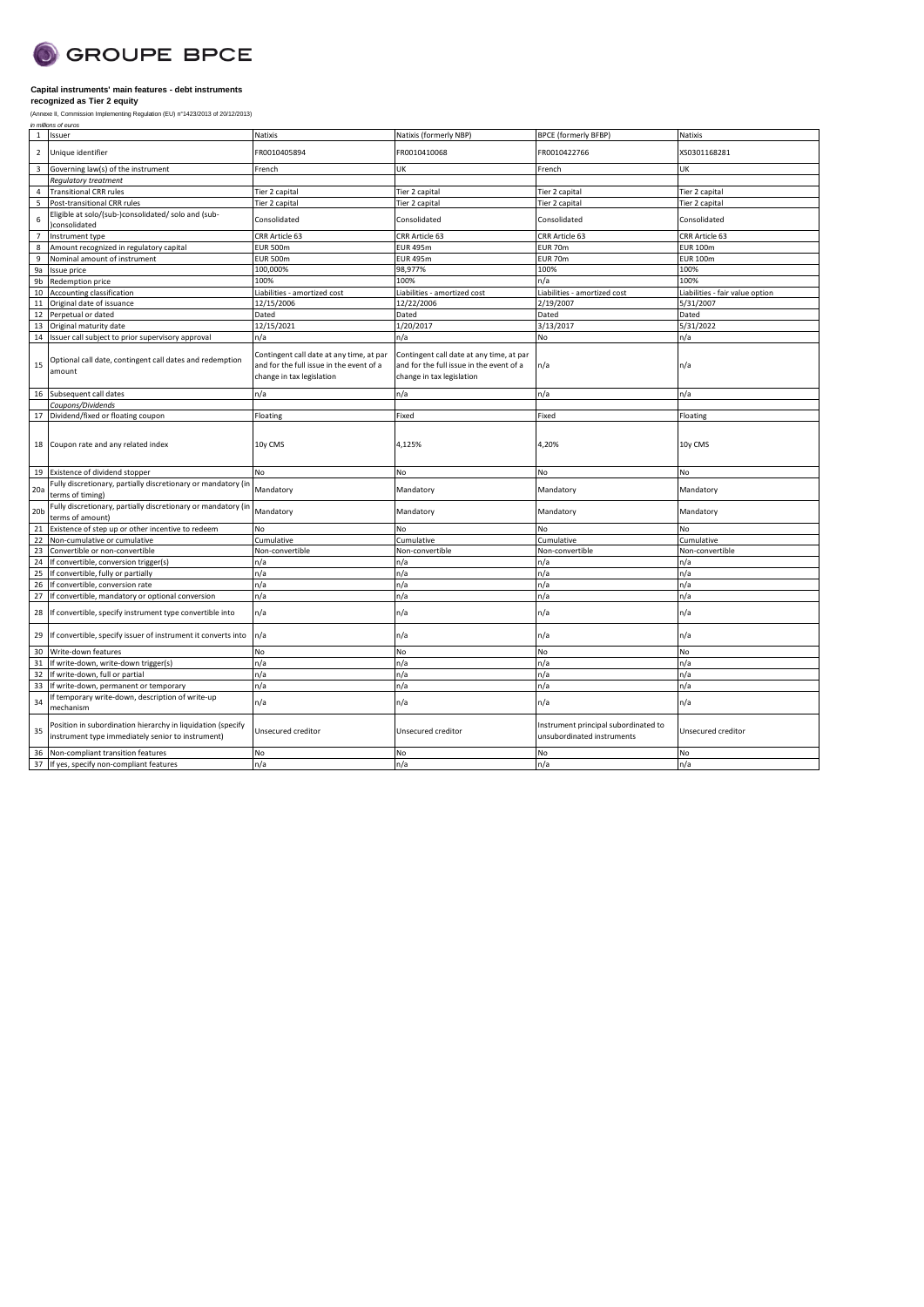

| 1 Issuer<br>Natixis<br>Natixis (formerly NBP)<br><b>BPCE (formerly BFBP)</b><br>Natixis<br>Unique identifier<br>FR0010405894<br>FR0010410068<br>FR0010422766<br>XS0301168281<br>$\overline{2}$<br>Governing law(s) of the instrument<br>UK<br>3<br>French<br>French<br>UK<br><b>Requlatory treatment</b><br><b>Transitional CRR rules</b><br>Tier 2 capital<br>Tier 2 capital<br>Tier 2 capital<br>Tier 2 capital<br>4<br>Post-transitional CRR rules<br>Tier 2 capital<br>Tier 2 capital<br>5<br>Tier 2 capital<br>Tier 2 capital<br>Eligible at solo/(sub-)consolidated/ solo and (sub-<br>Consolidated<br>Consolidated<br>Consolidated<br>Consolidated<br>6<br>consolidated<br>7<br>Instrument type<br>CRR Article 63<br>CRR Article 63<br>CRR Article 63<br>CRR Article 63<br>Amount recognized in regulatory capital<br><b>EUR 500m</b><br><b>EUR 495m</b><br>EUR 70m<br><b>EUR 100m</b><br>8<br>Nominal amount of instrument<br><b>EUR 495m</b><br>EUR 70m<br><b>EUR 100m</b><br>9<br><b>EUR 500m</b><br>100,000%<br>98,977%<br>100%<br>100%<br>9а<br>Issue price<br>100%<br>100%<br>n/a<br>100%<br>9b<br>Redemption price<br>10 Accounting classification<br>Liabilities - amortized cost<br>Liabilities - amortized cost<br>Liabilities - amortized cost<br>Liabilities - fair value option<br>12/22/2006<br>2/19/2007<br>5/31/2007<br>12/15/2006<br>11<br>Original date of issuance<br>Dated<br>Dated<br>Dated<br>Dated<br>12<br>Perpetual or dated<br>1/20/2017<br>3/13/2017<br>5/31/2022<br>12/15/2021<br>Original maturity date<br>13<br>n/a<br>n/a<br>14 Issuer call subject to prior supervisory approval<br>n/a<br>No<br>Contingent call date at any time, at par<br>Contingent call date at any time, at par<br>Optional call date, contingent call dates and redemption<br>15<br>n/a<br>n/a<br>and for the full issue in the event of a<br>and for the full issue in the event of a<br>amount<br>change in tax legislation<br>change in tax legislation<br>16 Subsequent call dates<br>n/a<br>n/a<br>n/a<br>n/a<br>Coupons/Dividends<br>Fixed<br>17 Dividend/fixed or floating coupon<br>Floating<br>Fixed<br>Floating<br>18 Coupon rate and any related index<br>10y CMS<br>4,125%<br>4,20%<br>10y CMS<br>Existence of dividend stopper<br>19<br>No<br>No<br>No<br>No<br>Fully discretionary, partially discretionary or mandatory (in<br>Mandatory<br>20a<br>Mandatory<br>Mandatory<br>Mandatory<br>terms of timing)<br>Fully discretionary, partially discretionary or mandatory (in<br>Mandatory<br>20 <sub>b</sub><br>Mandatory<br>Mandatory<br>Mandatory<br>terms of amount)<br>21<br>Existence of step up or other incentive to redeem<br>No<br>No<br>No<br>No<br>22<br>Cumulative<br>Cumulative<br>Non-cumulative or cumulative<br>Cumulative<br>Cumulative<br>23<br>Convertible or non-convertible<br>Non-convertible<br>Non-convertible<br>Non-convertible<br>Non-convertible<br>If convertible, conversion trigger(s)<br>n/a<br>n/a<br>n/a<br>n/a<br>24<br>If convertible, fully or partially<br>n/a<br>n/a<br>n/a<br>n/a<br>25<br>If convertible, conversion rate<br>n/a<br>n/a<br>n/a<br>n/a<br>26<br>27<br>n/a<br>n/a<br>If convertible, mandatory or optional conversion<br>n/a<br>n/a<br>n/a<br>28 If convertible, specify instrument type convertible into<br>n/a<br>n/a<br>n/a<br>n/a<br>If convertible, specify issuer of instrument it converts into<br>n/a<br>n/a<br>n/a<br>29<br>No<br>30<br>Write-down features<br>No<br>No<br>No<br>n/a<br>n/a<br>n/a<br>n/a<br>31<br>If write-down, write-down trigger(s)<br>32<br>If write-down, full or partial<br>n/a<br>n/a<br>n/a<br>n/a<br>n/a<br>n/a<br>33<br>If write-down, permanent or temporary<br>n/a<br>n/a<br>If temporary write-down, description of write-up<br>n/a<br>n/a<br>n/a<br>34<br>n/a<br>mechanism<br>Position in subordination hierarchy in liquidation (specify<br>Instrument principal subordinated to<br>35<br>Unsecured creditor<br>Unsecured creditor<br>Unsecured creditor<br>instrument type immediately senior to instrument)<br>unsubordinated instruments<br>No<br>Non-compliant transition features<br>No<br>No<br>No<br>36<br>n/a<br>n/a<br>n/a<br>n/a<br>37 If yes, specify non-compliant features |  |  |  |
|---------------------------------------------------------------------------------------------------------------------------------------------------------------------------------------------------------------------------------------------------------------------------------------------------------------------------------------------------------------------------------------------------------------------------------------------------------------------------------------------------------------------------------------------------------------------------------------------------------------------------------------------------------------------------------------------------------------------------------------------------------------------------------------------------------------------------------------------------------------------------------------------------------------------------------------------------------------------------------------------------------------------------------------------------------------------------------------------------------------------------------------------------------------------------------------------------------------------------------------------------------------------------------------------------------------------------------------------------------------------------------------------------------------------------------------------------------------------------------------------------------------------------------------------------------------------------------------------------------------------------------------------------------------------------------------------------------------------------------------------------------------------------------------------------------------------------------------------------------------------------------------------------------------------------------------------------------------------------------------------------------------------------------------------------------------------------------------------------------------------------------------------------------------------------------------------------------------------------------------------------------------------------------------------------------------------------------------------------------------------------------------------------------------------------------------------------------------------------------------------------------------------------------------------------------------------------------------------------------------------------------------------------------------------------------------------------------------------------------------------------------------------------------------------------------------------------------------------------------------------------------------------------------------------------------------------------------------------------------------------------------------------------------------------------------------------------------------------------------------------------------------------------------------------------------------------------------------------------------------------------------------------------------------------------------------------------------------------------------------------------------------------------------------------------------------------------------------------------------------------------------------------------------------------------------------------------------------------------------------------------------------------------------------------------------------------------------------------------------------------------------------------------------------------------------------------------------------------------------------------------------------------------------------------------------------------------------------------------------------------------------------------------------------------------------------------------------------------------------------------------------------------------------------------------------------------------------------------|--|--|--|
|                                                                                                                                                                                                                                                                                                                                                                                                                                                                                                                                                                                                                                                                                                                                                                                                                                                                                                                                                                                                                                                                                                                                                                                                                                                                                                                                                                                                                                                                                                                                                                                                                                                                                                                                                                                                                                                                                                                                                                                                                                                                                                                                                                                                                                                                                                                                                                                                                                                                                                                                                                                                                                                                                                                                                                                                                                                                                                                                                                                                                                                                                                                                                                                                                                                                                                                                                                                                                                                                                                                                                                                                                                                                                                                                                                                                                                                                                                                                                                                                                                                                                                                                                                                                                     |  |  |  |
|                                                                                                                                                                                                                                                                                                                                                                                                                                                                                                                                                                                                                                                                                                                                                                                                                                                                                                                                                                                                                                                                                                                                                                                                                                                                                                                                                                                                                                                                                                                                                                                                                                                                                                                                                                                                                                                                                                                                                                                                                                                                                                                                                                                                                                                                                                                                                                                                                                                                                                                                                                                                                                                                                                                                                                                                                                                                                                                                                                                                                                                                                                                                                                                                                                                                                                                                                                                                                                                                                                                                                                                                                                                                                                                                                                                                                                                                                                                                                                                                                                                                                                                                                                                                                     |  |  |  |
|                                                                                                                                                                                                                                                                                                                                                                                                                                                                                                                                                                                                                                                                                                                                                                                                                                                                                                                                                                                                                                                                                                                                                                                                                                                                                                                                                                                                                                                                                                                                                                                                                                                                                                                                                                                                                                                                                                                                                                                                                                                                                                                                                                                                                                                                                                                                                                                                                                                                                                                                                                                                                                                                                                                                                                                                                                                                                                                                                                                                                                                                                                                                                                                                                                                                                                                                                                                                                                                                                                                                                                                                                                                                                                                                                                                                                                                                                                                                                                                                                                                                                                                                                                                                                     |  |  |  |
|                                                                                                                                                                                                                                                                                                                                                                                                                                                                                                                                                                                                                                                                                                                                                                                                                                                                                                                                                                                                                                                                                                                                                                                                                                                                                                                                                                                                                                                                                                                                                                                                                                                                                                                                                                                                                                                                                                                                                                                                                                                                                                                                                                                                                                                                                                                                                                                                                                                                                                                                                                                                                                                                                                                                                                                                                                                                                                                                                                                                                                                                                                                                                                                                                                                                                                                                                                                                                                                                                                                                                                                                                                                                                                                                                                                                                                                                                                                                                                                                                                                                                                                                                                                                                     |  |  |  |
|                                                                                                                                                                                                                                                                                                                                                                                                                                                                                                                                                                                                                                                                                                                                                                                                                                                                                                                                                                                                                                                                                                                                                                                                                                                                                                                                                                                                                                                                                                                                                                                                                                                                                                                                                                                                                                                                                                                                                                                                                                                                                                                                                                                                                                                                                                                                                                                                                                                                                                                                                                                                                                                                                                                                                                                                                                                                                                                                                                                                                                                                                                                                                                                                                                                                                                                                                                                                                                                                                                                                                                                                                                                                                                                                                                                                                                                                                                                                                                                                                                                                                                                                                                                                                     |  |  |  |
|                                                                                                                                                                                                                                                                                                                                                                                                                                                                                                                                                                                                                                                                                                                                                                                                                                                                                                                                                                                                                                                                                                                                                                                                                                                                                                                                                                                                                                                                                                                                                                                                                                                                                                                                                                                                                                                                                                                                                                                                                                                                                                                                                                                                                                                                                                                                                                                                                                                                                                                                                                                                                                                                                                                                                                                                                                                                                                                                                                                                                                                                                                                                                                                                                                                                                                                                                                                                                                                                                                                                                                                                                                                                                                                                                                                                                                                                                                                                                                                                                                                                                                                                                                                                                     |  |  |  |
|                                                                                                                                                                                                                                                                                                                                                                                                                                                                                                                                                                                                                                                                                                                                                                                                                                                                                                                                                                                                                                                                                                                                                                                                                                                                                                                                                                                                                                                                                                                                                                                                                                                                                                                                                                                                                                                                                                                                                                                                                                                                                                                                                                                                                                                                                                                                                                                                                                                                                                                                                                                                                                                                                                                                                                                                                                                                                                                                                                                                                                                                                                                                                                                                                                                                                                                                                                                                                                                                                                                                                                                                                                                                                                                                                                                                                                                                                                                                                                                                                                                                                                                                                                                                                     |  |  |  |
|                                                                                                                                                                                                                                                                                                                                                                                                                                                                                                                                                                                                                                                                                                                                                                                                                                                                                                                                                                                                                                                                                                                                                                                                                                                                                                                                                                                                                                                                                                                                                                                                                                                                                                                                                                                                                                                                                                                                                                                                                                                                                                                                                                                                                                                                                                                                                                                                                                                                                                                                                                                                                                                                                                                                                                                                                                                                                                                                                                                                                                                                                                                                                                                                                                                                                                                                                                                                                                                                                                                                                                                                                                                                                                                                                                                                                                                                                                                                                                                                                                                                                                                                                                                                                     |  |  |  |
|                                                                                                                                                                                                                                                                                                                                                                                                                                                                                                                                                                                                                                                                                                                                                                                                                                                                                                                                                                                                                                                                                                                                                                                                                                                                                                                                                                                                                                                                                                                                                                                                                                                                                                                                                                                                                                                                                                                                                                                                                                                                                                                                                                                                                                                                                                                                                                                                                                                                                                                                                                                                                                                                                                                                                                                                                                                                                                                                                                                                                                                                                                                                                                                                                                                                                                                                                                                                                                                                                                                                                                                                                                                                                                                                                                                                                                                                                                                                                                                                                                                                                                                                                                                                                     |  |  |  |
|                                                                                                                                                                                                                                                                                                                                                                                                                                                                                                                                                                                                                                                                                                                                                                                                                                                                                                                                                                                                                                                                                                                                                                                                                                                                                                                                                                                                                                                                                                                                                                                                                                                                                                                                                                                                                                                                                                                                                                                                                                                                                                                                                                                                                                                                                                                                                                                                                                                                                                                                                                                                                                                                                                                                                                                                                                                                                                                                                                                                                                                                                                                                                                                                                                                                                                                                                                                                                                                                                                                                                                                                                                                                                                                                                                                                                                                                                                                                                                                                                                                                                                                                                                                                                     |  |  |  |
|                                                                                                                                                                                                                                                                                                                                                                                                                                                                                                                                                                                                                                                                                                                                                                                                                                                                                                                                                                                                                                                                                                                                                                                                                                                                                                                                                                                                                                                                                                                                                                                                                                                                                                                                                                                                                                                                                                                                                                                                                                                                                                                                                                                                                                                                                                                                                                                                                                                                                                                                                                                                                                                                                                                                                                                                                                                                                                                                                                                                                                                                                                                                                                                                                                                                                                                                                                                                                                                                                                                                                                                                                                                                                                                                                                                                                                                                                                                                                                                                                                                                                                                                                                                                                     |  |  |  |
|                                                                                                                                                                                                                                                                                                                                                                                                                                                                                                                                                                                                                                                                                                                                                                                                                                                                                                                                                                                                                                                                                                                                                                                                                                                                                                                                                                                                                                                                                                                                                                                                                                                                                                                                                                                                                                                                                                                                                                                                                                                                                                                                                                                                                                                                                                                                                                                                                                                                                                                                                                                                                                                                                                                                                                                                                                                                                                                                                                                                                                                                                                                                                                                                                                                                                                                                                                                                                                                                                                                                                                                                                                                                                                                                                                                                                                                                                                                                                                                                                                                                                                                                                                                                                     |  |  |  |
|                                                                                                                                                                                                                                                                                                                                                                                                                                                                                                                                                                                                                                                                                                                                                                                                                                                                                                                                                                                                                                                                                                                                                                                                                                                                                                                                                                                                                                                                                                                                                                                                                                                                                                                                                                                                                                                                                                                                                                                                                                                                                                                                                                                                                                                                                                                                                                                                                                                                                                                                                                                                                                                                                                                                                                                                                                                                                                                                                                                                                                                                                                                                                                                                                                                                                                                                                                                                                                                                                                                                                                                                                                                                                                                                                                                                                                                                                                                                                                                                                                                                                                                                                                                                                     |  |  |  |
|                                                                                                                                                                                                                                                                                                                                                                                                                                                                                                                                                                                                                                                                                                                                                                                                                                                                                                                                                                                                                                                                                                                                                                                                                                                                                                                                                                                                                                                                                                                                                                                                                                                                                                                                                                                                                                                                                                                                                                                                                                                                                                                                                                                                                                                                                                                                                                                                                                                                                                                                                                                                                                                                                                                                                                                                                                                                                                                                                                                                                                                                                                                                                                                                                                                                                                                                                                                                                                                                                                                                                                                                                                                                                                                                                                                                                                                                                                                                                                                                                                                                                                                                                                                                                     |  |  |  |
|                                                                                                                                                                                                                                                                                                                                                                                                                                                                                                                                                                                                                                                                                                                                                                                                                                                                                                                                                                                                                                                                                                                                                                                                                                                                                                                                                                                                                                                                                                                                                                                                                                                                                                                                                                                                                                                                                                                                                                                                                                                                                                                                                                                                                                                                                                                                                                                                                                                                                                                                                                                                                                                                                                                                                                                                                                                                                                                                                                                                                                                                                                                                                                                                                                                                                                                                                                                                                                                                                                                                                                                                                                                                                                                                                                                                                                                                                                                                                                                                                                                                                                                                                                                                                     |  |  |  |
|                                                                                                                                                                                                                                                                                                                                                                                                                                                                                                                                                                                                                                                                                                                                                                                                                                                                                                                                                                                                                                                                                                                                                                                                                                                                                                                                                                                                                                                                                                                                                                                                                                                                                                                                                                                                                                                                                                                                                                                                                                                                                                                                                                                                                                                                                                                                                                                                                                                                                                                                                                                                                                                                                                                                                                                                                                                                                                                                                                                                                                                                                                                                                                                                                                                                                                                                                                                                                                                                                                                                                                                                                                                                                                                                                                                                                                                                                                                                                                                                                                                                                                                                                                                                                     |  |  |  |
|                                                                                                                                                                                                                                                                                                                                                                                                                                                                                                                                                                                                                                                                                                                                                                                                                                                                                                                                                                                                                                                                                                                                                                                                                                                                                                                                                                                                                                                                                                                                                                                                                                                                                                                                                                                                                                                                                                                                                                                                                                                                                                                                                                                                                                                                                                                                                                                                                                                                                                                                                                                                                                                                                                                                                                                                                                                                                                                                                                                                                                                                                                                                                                                                                                                                                                                                                                                                                                                                                                                                                                                                                                                                                                                                                                                                                                                                                                                                                                                                                                                                                                                                                                                                                     |  |  |  |
|                                                                                                                                                                                                                                                                                                                                                                                                                                                                                                                                                                                                                                                                                                                                                                                                                                                                                                                                                                                                                                                                                                                                                                                                                                                                                                                                                                                                                                                                                                                                                                                                                                                                                                                                                                                                                                                                                                                                                                                                                                                                                                                                                                                                                                                                                                                                                                                                                                                                                                                                                                                                                                                                                                                                                                                                                                                                                                                                                                                                                                                                                                                                                                                                                                                                                                                                                                                                                                                                                                                                                                                                                                                                                                                                                                                                                                                                                                                                                                                                                                                                                                                                                                                                                     |  |  |  |
|                                                                                                                                                                                                                                                                                                                                                                                                                                                                                                                                                                                                                                                                                                                                                                                                                                                                                                                                                                                                                                                                                                                                                                                                                                                                                                                                                                                                                                                                                                                                                                                                                                                                                                                                                                                                                                                                                                                                                                                                                                                                                                                                                                                                                                                                                                                                                                                                                                                                                                                                                                                                                                                                                                                                                                                                                                                                                                                                                                                                                                                                                                                                                                                                                                                                                                                                                                                                                                                                                                                                                                                                                                                                                                                                                                                                                                                                                                                                                                                                                                                                                                                                                                                                                     |  |  |  |
|                                                                                                                                                                                                                                                                                                                                                                                                                                                                                                                                                                                                                                                                                                                                                                                                                                                                                                                                                                                                                                                                                                                                                                                                                                                                                                                                                                                                                                                                                                                                                                                                                                                                                                                                                                                                                                                                                                                                                                                                                                                                                                                                                                                                                                                                                                                                                                                                                                                                                                                                                                                                                                                                                                                                                                                                                                                                                                                                                                                                                                                                                                                                                                                                                                                                                                                                                                                                                                                                                                                                                                                                                                                                                                                                                                                                                                                                                                                                                                                                                                                                                                                                                                                                                     |  |  |  |
|                                                                                                                                                                                                                                                                                                                                                                                                                                                                                                                                                                                                                                                                                                                                                                                                                                                                                                                                                                                                                                                                                                                                                                                                                                                                                                                                                                                                                                                                                                                                                                                                                                                                                                                                                                                                                                                                                                                                                                                                                                                                                                                                                                                                                                                                                                                                                                                                                                                                                                                                                                                                                                                                                                                                                                                                                                                                                                                                                                                                                                                                                                                                                                                                                                                                                                                                                                                                                                                                                                                                                                                                                                                                                                                                                                                                                                                                                                                                                                                                                                                                                                                                                                                                                     |  |  |  |
|                                                                                                                                                                                                                                                                                                                                                                                                                                                                                                                                                                                                                                                                                                                                                                                                                                                                                                                                                                                                                                                                                                                                                                                                                                                                                                                                                                                                                                                                                                                                                                                                                                                                                                                                                                                                                                                                                                                                                                                                                                                                                                                                                                                                                                                                                                                                                                                                                                                                                                                                                                                                                                                                                                                                                                                                                                                                                                                                                                                                                                                                                                                                                                                                                                                                                                                                                                                                                                                                                                                                                                                                                                                                                                                                                                                                                                                                                                                                                                                                                                                                                                                                                                                                                     |  |  |  |
|                                                                                                                                                                                                                                                                                                                                                                                                                                                                                                                                                                                                                                                                                                                                                                                                                                                                                                                                                                                                                                                                                                                                                                                                                                                                                                                                                                                                                                                                                                                                                                                                                                                                                                                                                                                                                                                                                                                                                                                                                                                                                                                                                                                                                                                                                                                                                                                                                                                                                                                                                                                                                                                                                                                                                                                                                                                                                                                                                                                                                                                                                                                                                                                                                                                                                                                                                                                                                                                                                                                                                                                                                                                                                                                                                                                                                                                                                                                                                                                                                                                                                                                                                                                                                     |  |  |  |
|                                                                                                                                                                                                                                                                                                                                                                                                                                                                                                                                                                                                                                                                                                                                                                                                                                                                                                                                                                                                                                                                                                                                                                                                                                                                                                                                                                                                                                                                                                                                                                                                                                                                                                                                                                                                                                                                                                                                                                                                                                                                                                                                                                                                                                                                                                                                                                                                                                                                                                                                                                                                                                                                                                                                                                                                                                                                                                                                                                                                                                                                                                                                                                                                                                                                                                                                                                                                                                                                                                                                                                                                                                                                                                                                                                                                                                                                                                                                                                                                                                                                                                                                                                                                                     |  |  |  |
|                                                                                                                                                                                                                                                                                                                                                                                                                                                                                                                                                                                                                                                                                                                                                                                                                                                                                                                                                                                                                                                                                                                                                                                                                                                                                                                                                                                                                                                                                                                                                                                                                                                                                                                                                                                                                                                                                                                                                                                                                                                                                                                                                                                                                                                                                                                                                                                                                                                                                                                                                                                                                                                                                                                                                                                                                                                                                                                                                                                                                                                                                                                                                                                                                                                                                                                                                                                                                                                                                                                                                                                                                                                                                                                                                                                                                                                                                                                                                                                                                                                                                                                                                                                                                     |  |  |  |
|                                                                                                                                                                                                                                                                                                                                                                                                                                                                                                                                                                                                                                                                                                                                                                                                                                                                                                                                                                                                                                                                                                                                                                                                                                                                                                                                                                                                                                                                                                                                                                                                                                                                                                                                                                                                                                                                                                                                                                                                                                                                                                                                                                                                                                                                                                                                                                                                                                                                                                                                                                                                                                                                                                                                                                                                                                                                                                                                                                                                                                                                                                                                                                                                                                                                                                                                                                                                                                                                                                                                                                                                                                                                                                                                                                                                                                                                                                                                                                                                                                                                                                                                                                                                                     |  |  |  |
|                                                                                                                                                                                                                                                                                                                                                                                                                                                                                                                                                                                                                                                                                                                                                                                                                                                                                                                                                                                                                                                                                                                                                                                                                                                                                                                                                                                                                                                                                                                                                                                                                                                                                                                                                                                                                                                                                                                                                                                                                                                                                                                                                                                                                                                                                                                                                                                                                                                                                                                                                                                                                                                                                                                                                                                                                                                                                                                                                                                                                                                                                                                                                                                                                                                                                                                                                                                                                                                                                                                                                                                                                                                                                                                                                                                                                                                                                                                                                                                                                                                                                                                                                                                                                     |  |  |  |
|                                                                                                                                                                                                                                                                                                                                                                                                                                                                                                                                                                                                                                                                                                                                                                                                                                                                                                                                                                                                                                                                                                                                                                                                                                                                                                                                                                                                                                                                                                                                                                                                                                                                                                                                                                                                                                                                                                                                                                                                                                                                                                                                                                                                                                                                                                                                                                                                                                                                                                                                                                                                                                                                                                                                                                                                                                                                                                                                                                                                                                                                                                                                                                                                                                                                                                                                                                                                                                                                                                                                                                                                                                                                                                                                                                                                                                                                                                                                                                                                                                                                                                                                                                                                                     |  |  |  |
|                                                                                                                                                                                                                                                                                                                                                                                                                                                                                                                                                                                                                                                                                                                                                                                                                                                                                                                                                                                                                                                                                                                                                                                                                                                                                                                                                                                                                                                                                                                                                                                                                                                                                                                                                                                                                                                                                                                                                                                                                                                                                                                                                                                                                                                                                                                                                                                                                                                                                                                                                                                                                                                                                                                                                                                                                                                                                                                                                                                                                                                                                                                                                                                                                                                                                                                                                                                                                                                                                                                                                                                                                                                                                                                                                                                                                                                                                                                                                                                                                                                                                                                                                                                                                     |  |  |  |
|                                                                                                                                                                                                                                                                                                                                                                                                                                                                                                                                                                                                                                                                                                                                                                                                                                                                                                                                                                                                                                                                                                                                                                                                                                                                                                                                                                                                                                                                                                                                                                                                                                                                                                                                                                                                                                                                                                                                                                                                                                                                                                                                                                                                                                                                                                                                                                                                                                                                                                                                                                                                                                                                                                                                                                                                                                                                                                                                                                                                                                                                                                                                                                                                                                                                                                                                                                                                                                                                                                                                                                                                                                                                                                                                                                                                                                                                                                                                                                                                                                                                                                                                                                                                                     |  |  |  |
|                                                                                                                                                                                                                                                                                                                                                                                                                                                                                                                                                                                                                                                                                                                                                                                                                                                                                                                                                                                                                                                                                                                                                                                                                                                                                                                                                                                                                                                                                                                                                                                                                                                                                                                                                                                                                                                                                                                                                                                                                                                                                                                                                                                                                                                                                                                                                                                                                                                                                                                                                                                                                                                                                                                                                                                                                                                                                                                                                                                                                                                                                                                                                                                                                                                                                                                                                                                                                                                                                                                                                                                                                                                                                                                                                                                                                                                                                                                                                                                                                                                                                                                                                                                                                     |  |  |  |
|                                                                                                                                                                                                                                                                                                                                                                                                                                                                                                                                                                                                                                                                                                                                                                                                                                                                                                                                                                                                                                                                                                                                                                                                                                                                                                                                                                                                                                                                                                                                                                                                                                                                                                                                                                                                                                                                                                                                                                                                                                                                                                                                                                                                                                                                                                                                                                                                                                                                                                                                                                                                                                                                                                                                                                                                                                                                                                                                                                                                                                                                                                                                                                                                                                                                                                                                                                                                                                                                                                                                                                                                                                                                                                                                                                                                                                                                                                                                                                                                                                                                                                                                                                                                                     |  |  |  |
|                                                                                                                                                                                                                                                                                                                                                                                                                                                                                                                                                                                                                                                                                                                                                                                                                                                                                                                                                                                                                                                                                                                                                                                                                                                                                                                                                                                                                                                                                                                                                                                                                                                                                                                                                                                                                                                                                                                                                                                                                                                                                                                                                                                                                                                                                                                                                                                                                                                                                                                                                                                                                                                                                                                                                                                                                                                                                                                                                                                                                                                                                                                                                                                                                                                                                                                                                                                                                                                                                                                                                                                                                                                                                                                                                                                                                                                                                                                                                                                                                                                                                                                                                                                                                     |  |  |  |
|                                                                                                                                                                                                                                                                                                                                                                                                                                                                                                                                                                                                                                                                                                                                                                                                                                                                                                                                                                                                                                                                                                                                                                                                                                                                                                                                                                                                                                                                                                                                                                                                                                                                                                                                                                                                                                                                                                                                                                                                                                                                                                                                                                                                                                                                                                                                                                                                                                                                                                                                                                                                                                                                                                                                                                                                                                                                                                                                                                                                                                                                                                                                                                                                                                                                                                                                                                                                                                                                                                                                                                                                                                                                                                                                                                                                                                                                                                                                                                                                                                                                                                                                                                                                                     |  |  |  |
|                                                                                                                                                                                                                                                                                                                                                                                                                                                                                                                                                                                                                                                                                                                                                                                                                                                                                                                                                                                                                                                                                                                                                                                                                                                                                                                                                                                                                                                                                                                                                                                                                                                                                                                                                                                                                                                                                                                                                                                                                                                                                                                                                                                                                                                                                                                                                                                                                                                                                                                                                                                                                                                                                                                                                                                                                                                                                                                                                                                                                                                                                                                                                                                                                                                                                                                                                                                                                                                                                                                                                                                                                                                                                                                                                                                                                                                                                                                                                                                                                                                                                                                                                                                                                     |  |  |  |
|                                                                                                                                                                                                                                                                                                                                                                                                                                                                                                                                                                                                                                                                                                                                                                                                                                                                                                                                                                                                                                                                                                                                                                                                                                                                                                                                                                                                                                                                                                                                                                                                                                                                                                                                                                                                                                                                                                                                                                                                                                                                                                                                                                                                                                                                                                                                                                                                                                                                                                                                                                                                                                                                                                                                                                                                                                                                                                                                                                                                                                                                                                                                                                                                                                                                                                                                                                                                                                                                                                                                                                                                                                                                                                                                                                                                                                                                                                                                                                                                                                                                                                                                                                                                                     |  |  |  |
|                                                                                                                                                                                                                                                                                                                                                                                                                                                                                                                                                                                                                                                                                                                                                                                                                                                                                                                                                                                                                                                                                                                                                                                                                                                                                                                                                                                                                                                                                                                                                                                                                                                                                                                                                                                                                                                                                                                                                                                                                                                                                                                                                                                                                                                                                                                                                                                                                                                                                                                                                                                                                                                                                                                                                                                                                                                                                                                                                                                                                                                                                                                                                                                                                                                                                                                                                                                                                                                                                                                                                                                                                                                                                                                                                                                                                                                                                                                                                                                                                                                                                                                                                                                                                     |  |  |  |
|                                                                                                                                                                                                                                                                                                                                                                                                                                                                                                                                                                                                                                                                                                                                                                                                                                                                                                                                                                                                                                                                                                                                                                                                                                                                                                                                                                                                                                                                                                                                                                                                                                                                                                                                                                                                                                                                                                                                                                                                                                                                                                                                                                                                                                                                                                                                                                                                                                                                                                                                                                                                                                                                                                                                                                                                                                                                                                                                                                                                                                                                                                                                                                                                                                                                                                                                                                                                                                                                                                                                                                                                                                                                                                                                                                                                                                                                                                                                                                                                                                                                                                                                                                                                                     |  |  |  |
|                                                                                                                                                                                                                                                                                                                                                                                                                                                                                                                                                                                                                                                                                                                                                                                                                                                                                                                                                                                                                                                                                                                                                                                                                                                                                                                                                                                                                                                                                                                                                                                                                                                                                                                                                                                                                                                                                                                                                                                                                                                                                                                                                                                                                                                                                                                                                                                                                                                                                                                                                                                                                                                                                                                                                                                                                                                                                                                                                                                                                                                                                                                                                                                                                                                                                                                                                                                                                                                                                                                                                                                                                                                                                                                                                                                                                                                                                                                                                                                                                                                                                                                                                                                                                     |  |  |  |
|                                                                                                                                                                                                                                                                                                                                                                                                                                                                                                                                                                                                                                                                                                                                                                                                                                                                                                                                                                                                                                                                                                                                                                                                                                                                                                                                                                                                                                                                                                                                                                                                                                                                                                                                                                                                                                                                                                                                                                                                                                                                                                                                                                                                                                                                                                                                                                                                                                                                                                                                                                                                                                                                                                                                                                                                                                                                                                                                                                                                                                                                                                                                                                                                                                                                                                                                                                                                                                                                                                                                                                                                                                                                                                                                                                                                                                                                                                                                                                                                                                                                                                                                                                                                                     |  |  |  |
|                                                                                                                                                                                                                                                                                                                                                                                                                                                                                                                                                                                                                                                                                                                                                                                                                                                                                                                                                                                                                                                                                                                                                                                                                                                                                                                                                                                                                                                                                                                                                                                                                                                                                                                                                                                                                                                                                                                                                                                                                                                                                                                                                                                                                                                                                                                                                                                                                                                                                                                                                                                                                                                                                                                                                                                                                                                                                                                                                                                                                                                                                                                                                                                                                                                                                                                                                                                                                                                                                                                                                                                                                                                                                                                                                                                                                                                                                                                                                                                                                                                                                                                                                                                                                     |  |  |  |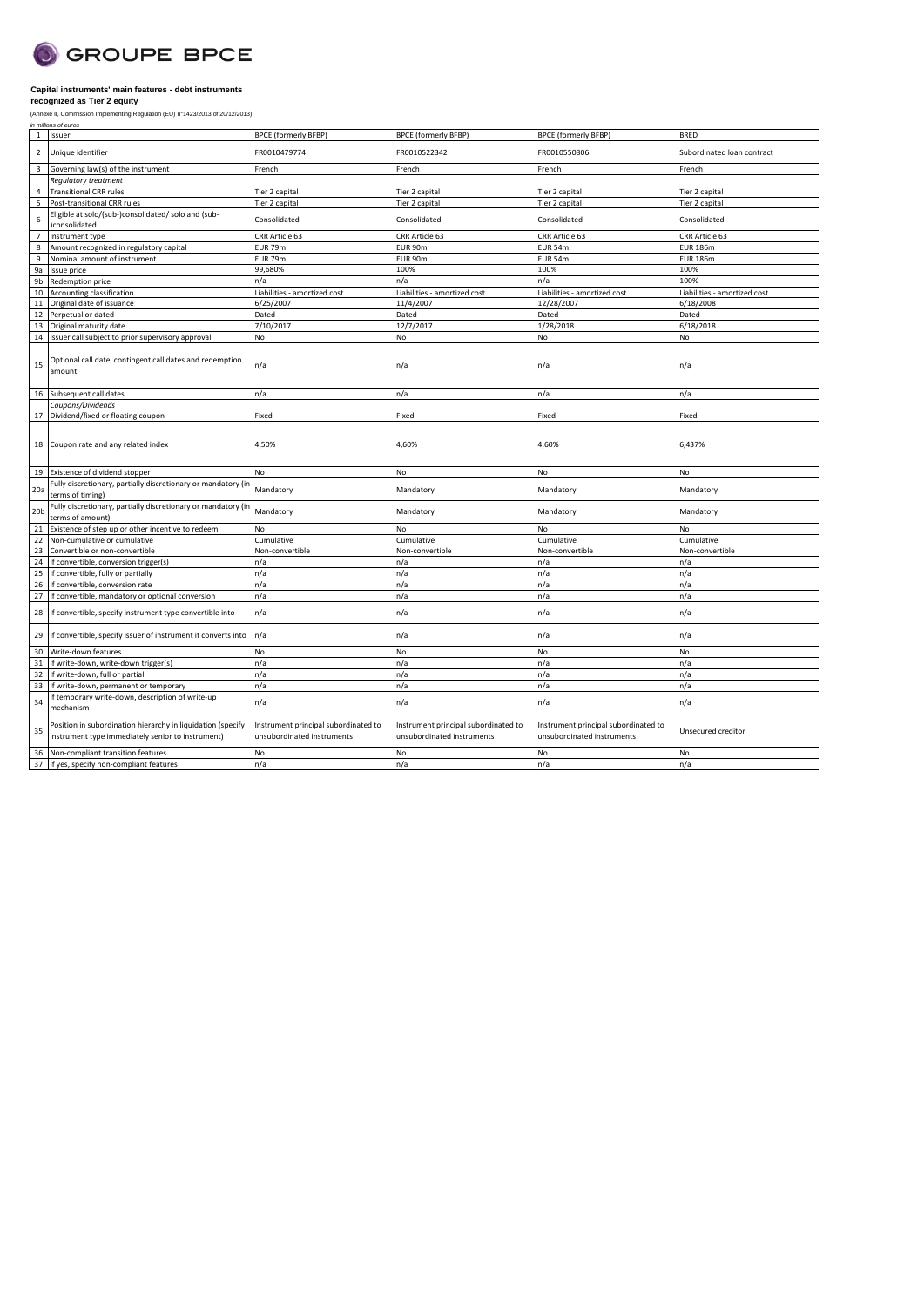

| in millions of euros<br>Issuer<br><b>BPCE (formerly BFBP)</b><br><b>BPCE (formerly BFBP)</b><br><b>BPCE (formerly BFBP)</b><br><b>BRED</b><br>1<br>Unique identifier<br>FR0010479774<br>FR0010550806<br>$\overline{2}$<br>FR0010522342<br>Subordinated loan contract<br>$\overline{3}$<br>Governing law(s) of the instrument<br>French<br>French<br>French<br>French<br>Regulatory treatment<br><b>Transitional CRR rules</b><br>Tier 2 capital<br>Tier 2 capital<br>Tier 2 capital<br>Tier 2 capital<br>4<br>5<br>Post-transitional CRR rules<br>Tier 2 capital<br>Tier 2 capital<br>Tier 2 capital<br>Tier 2 capital<br>Eligible at solo/(sub-)consolidated/ solo and (sub-<br>Consolidated<br>6<br>Consolidated<br>Consolidated<br>Consolidated<br>consolidated<br>CRR Article 63<br>CRR Article 63<br>CRR Article 63<br>Instrument type<br>CRR Article 63<br>$\overline{7}$<br>EUR 79m<br>EUR 90m<br>EUR 54m<br>8<br>Amount recognized in regulatory capital<br><b>EUR 186m</b><br>9<br>Nominal amount of instrument<br>EUR 79m<br>EUR 90m<br><b>EUR 54m</b><br><b>EUR 186m</b><br>99,680%<br>100%<br>100%<br>100%<br>9a<br>Issue price<br>9b<br>Redemption price<br>100%<br>n/a<br>n/a<br>n/a<br>10<br>Liabilities - amortized cost<br>Accounting classification<br>Liabilities - amortized cost<br>Liabilities - amortized cost<br>Liabilities - amortized cost<br>6/25/2007<br>11/4/2007<br>12/28/2007<br>6/18/2008<br>11<br>Original date of issuance<br>Dated<br>Dated<br>Perpetual or dated<br>Dated<br>Dated<br>12<br>7/10/2017<br>12/7/2017<br>1/28/2018<br>6/18/2018<br>13<br>Original maturity date<br><b>No</b><br>Issuer call subject to prior supervisory approval<br>N <sub>o</sub><br>No<br>N <sub>o</sub><br>14<br>Optional call date, contingent call dates and redemption<br>n/a<br>15<br>n/a<br>n/a<br>n/a<br>amount<br>Subsequent call dates<br>n/a<br>n/a<br>n/a<br>n/a<br>16<br>Coupons/Dividends<br>Dividend/fixed or floating coupon<br>Fixed<br>Fixed<br>Fixed<br>Fixed<br>17<br>4,50%<br>Coupon rate and any related index<br>4,60%<br>4,60%<br>6,437%<br>18<br>Existence of dividend stopper<br>No<br>No<br>No<br>No<br>19<br>Fully discretionary, partially discretionary or mandatory (ir<br>Mandatory<br>Mandatory<br>20a<br>Mandatory<br>Mandatory<br>terms of timing)<br>Fully discretionary, partially discretionary or mandatory (in<br>Mandatory<br>20 <sub>b</sub><br>Mandatory<br>Mandatory<br>Mandatory<br>terms of amount)<br>Existence of step up or other incentive to redeem<br>No<br>No<br>21<br>No<br>No<br>22<br>Non-cumulative or cumulative<br>Cumulative<br>Cumulative<br>Cumulative<br>Cumulative<br>23<br>Non-convertible<br>Non-convertible<br>Convertible or non-convertible<br>Non-convertible<br>Non-convertible<br>If convertible, conversion trigger(s)<br>24<br>n/a<br>n/a<br>n/a<br>n/a<br>25<br>If convertible, fully or partially<br>n/a<br>n/a<br>n/a<br>n/a<br>n/a<br>n/a<br>26<br>If convertible, conversion rate<br>n/a<br>n/a<br>n/a<br>27<br>If convertible, mandatory or optional conversion<br>n/a<br>n/a<br>n/a<br>If convertible, specify instrument type convertible into<br>n/a<br>n/a<br>n/a<br>n/a<br>28<br>n/a<br>If convertible, specify issuer of instrument it converts into<br>n/a<br>n/a<br>n/a<br>29<br>N <sub>o</sub><br>30<br>Write-down features<br>No<br>No<br>No<br>31<br>If write-down, write-down trigger(s)<br>n/a<br>n/a<br>n/a<br>n/a<br>32<br>If write-down, full or partial<br>n/a<br>n/a<br>n/a<br>n/a<br>33<br>If write-down, permanent or temporary<br>n/a<br>n/a<br>n/a<br>n/a<br>If temporary write-down, description of write-up<br>n/a<br>n/a<br>34<br>n/a<br>n/a<br>mechanism<br>Position in subordination hierarchy in liquidation (specify<br>Instrument principal subordinated to<br>Instrument principal subordinated to<br>Instrument principal subordinated to<br>35<br>Unsecured creditor<br>instrument type immediately senior to instrument)<br>unsubordinated instruments<br>unsubordinated instruments<br>unsubordinated instruments<br>No<br><b>No</b><br>Non-compliant transition features<br>No<br>No<br>36<br>n/a<br>n/a<br>37 If yes, specify non-compliant features<br>n/a<br>n/a | (Annexe II, Commission Implementing Regulation (EU) n°1423/2013 of 20/12/2013) |  |  |
|-------------------------------------------------------------------------------------------------------------------------------------------------------------------------------------------------------------------------------------------------------------------------------------------------------------------------------------------------------------------------------------------------------------------------------------------------------------------------------------------------------------------------------------------------------------------------------------------------------------------------------------------------------------------------------------------------------------------------------------------------------------------------------------------------------------------------------------------------------------------------------------------------------------------------------------------------------------------------------------------------------------------------------------------------------------------------------------------------------------------------------------------------------------------------------------------------------------------------------------------------------------------------------------------------------------------------------------------------------------------------------------------------------------------------------------------------------------------------------------------------------------------------------------------------------------------------------------------------------------------------------------------------------------------------------------------------------------------------------------------------------------------------------------------------------------------------------------------------------------------------------------------------------------------------------------------------------------------------------------------------------------------------------------------------------------------------------------------------------------------------------------------------------------------------------------------------------------------------------------------------------------------------------------------------------------------------------------------------------------------------------------------------------------------------------------------------------------------------------------------------------------------------------------------------------------------------------------------------------------------------------------------------------------------------------------------------------------------------------------------------------------------------------------------------------------------------------------------------------------------------------------------------------------------------------------------------------------------------------------------------------------------------------------------------------------------------------------------------------------------------------------------------------------------------------------------------------------------------------------------------------------------------------------------------------------------------------------------------------------------------------------------------------------------------------------------------------------------------------------------------------------------------------------------------------------------------------------------------------------------------------------------------------------------------------------------------------------------------------------------------------------------------------------------------------------------------------------------------------------------------------------------------------------------------------------------------------------------------------------------------------------------------------------------------------------------------------------------------------------------------------------------------------------------------------------------------------------|--------------------------------------------------------------------------------|--|--|
|                                                                                                                                                                                                                                                                                                                                                                                                                                                                                                                                                                                                                                                                                                                                                                                                                                                                                                                                                                                                                                                                                                                                                                                                                                                                                                                                                                                                                                                                                                                                                                                                                                                                                                                                                                                                                                                                                                                                                                                                                                                                                                                                                                                                                                                                                                                                                                                                                                                                                                                                                                                                                                                                                                                                                                                                                                                                                                                                                                                                                                                                                                                                                                                                                                                                                                                                                                                                                                                                                                                                                                                                                                                                                                                                                                                                                                                                                                                                                                                                                                                                                                                                                                                                             |                                                                                |  |  |
|                                                                                                                                                                                                                                                                                                                                                                                                                                                                                                                                                                                                                                                                                                                                                                                                                                                                                                                                                                                                                                                                                                                                                                                                                                                                                                                                                                                                                                                                                                                                                                                                                                                                                                                                                                                                                                                                                                                                                                                                                                                                                                                                                                                                                                                                                                                                                                                                                                                                                                                                                                                                                                                                                                                                                                                                                                                                                                                                                                                                                                                                                                                                                                                                                                                                                                                                                                                                                                                                                                                                                                                                                                                                                                                                                                                                                                                                                                                                                                                                                                                                                                                                                                                                             |                                                                                |  |  |
|                                                                                                                                                                                                                                                                                                                                                                                                                                                                                                                                                                                                                                                                                                                                                                                                                                                                                                                                                                                                                                                                                                                                                                                                                                                                                                                                                                                                                                                                                                                                                                                                                                                                                                                                                                                                                                                                                                                                                                                                                                                                                                                                                                                                                                                                                                                                                                                                                                                                                                                                                                                                                                                                                                                                                                                                                                                                                                                                                                                                                                                                                                                                                                                                                                                                                                                                                                                                                                                                                                                                                                                                                                                                                                                                                                                                                                                                                                                                                                                                                                                                                                                                                                                                             |                                                                                |  |  |
|                                                                                                                                                                                                                                                                                                                                                                                                                                                                                                                                                                                                                                                                                                                                                                                                                                                                                                                                                                                                                                                                                                                                                                                                                                                                                                                                                                                                                                                                                                                                                                                                                                                                                                                                                                                                                                                                                                                                                                                                                                                                                                                                                                                                                                                                                                                                                                                                                                                                                                                                                                                                                                                                                                                                                                                                                                                                                                                                                                                                                                                                                                                                                                                                                                                                                                                                                                                                                                                                                                                                                                                                                                                                                                                                                                                                                                                                                                                                                                                                                                                                                                                                                                                                             |                                                                                |  |  |
|                                                                                                                                                                                                                                                                                                                                                                                                                                                                                                                                                                                                                                                                                                                                                                                                                                                                                                                                                                                                                                                                                                                                                                                                                                                                                                                                                                                                                                                                                                                                                                                                                                                                                                                                                                                                                                                                                                                                                                                                                                                                                                                                                                                                                                                                                                                                                                                                                                                                                                                                                                                                                                                                                                                                                                                                                                                                                                                                                                                                                                                                                                                                                                                                                                                                                                                                                                                                                                                                                                                                                                                                                                                                                                                                                                                                                                                                                                                                                                                                                                                                                                                                                                                                             |                                                                                |  |  |
|                                                                                                                                                                                                                                                                                                                                                                                                                                                                                                                                                                                                                                                                                                                                                                                                                                                                                                                                                                                                                                                                                                                                                                                                                                                                                                                                                                                                                                                                                                                                                                                                                                                                                                                                                                                                                                                                                                                                                                                                                                                                                                                                                                                                                                                                                                                                                                                                                                                                                                                                                                                                                                                                                                                                                                                                                                                                                                                                                                                                                                                                                                                                                                                                                                                                                                                                                                                                                                                                                                                                                                                                                                                                                                                                                                                                                                                                                                                                                                                                                                                                                                                                                                                                             |                                                                                |  |  |
|                                                                                                                                                                                                                                                                                                                                                                                                                                                                                                                                                                                                                                                                                                                                                                                                                                                                                                                                                                                                                                                                                                                                                                                                                                                                                                                                                                                                                                                                                                                                                                                                                                                                                                                                                                                                                                                                                                                                                                                                                                                                                                                                                                                                                                                                                                                                                                                                                                                                                                                                                                                                                                                                                                                                                                                                                                                                                                                                                                                                                                                                                                                                                                                                                                                                                                                                                                                                                                                                                                                                                                                                                                                                                                                                                                                                                                                                                                                                                                                                                                                                                                                                                                                                             |                                                                                |  |  |
|                                                                                                                                                                                                                                                                                                                                                                                                                                                                                                                                                                                                                                                                                                                                                                                                                                                                                                                                                                                                                                                                                                                                                                                                                                                                                                                                                                                                                                                                                                                                                                                                                                                                                                                                                                                                                                                                                                                                                                                                                                                                                                                                                                                                                                                                                                                                                                                                                                                                                                                                                                                                                                                                                                                                                                                                                                                                                                                                                                                                                                                                                                                                                                                                                                                                                                                                                                                                                                                                                                                                                                                                                                                                                                                                                                                                                                                                                                                                                                                                                                                                                                                                                                                                             |                                                                                |  |  |
|                                                                                                                                                                                                                                                                                                                                                                                                                                                                                                                                                                                                                                                                                                                                                                                                                                                                                                                                                                                                                                                                                                                                                                                                                                                                                                                                                                                                                                                                                                                                                                                                                                                                                                                                                                                                                                                                                                                                                                                                                                                                                                                                                                                                                                                                                                                                                                                                                                                                                                                                                                                                                                                                                                                                                                                                                                                                                                                                                                                                                                                                                                                                                                                                                                                                                                                                                                                                                                                                                                                                                                                                                                                                                                                                                                                                                                                                                                                                                                                                                                                                                                                                                                                                             |                                                                                |  |  |
|                                                                                                                                                                                                                                                                                                                                                                                                                                                                                                                                                                                                                                                                                                                                                                                                                                                                                                                                                                                                                                                                                                                                                                                                                                                                                                                                                                                                                                                                                                                                                                                                                                                                                                                                                                                                                                                                                                                                                                                                                                                                                                                                                                                                                                                                                                                                                                                                                                                                                                                                                                                                                                                                                                                                                                                                                                                                                                                                                                                                                                                                                                                                                                                                                                                                                                                                                                                                                                                                                                                                                                                                                                                                                                                                                                                                                                                                                                                                                                                                                                                                                                                                                                                                             |                                                                                |  |  |
|                                                                                                                                                                                                                                                                                                                                                                                                                                                                                                                                                                                                                                                                                                                                                                                                                                                                                                                                                                                                                                                                                                                                                                                                                                                                                                                                                                                                                                                                                                                                                                                                                                                                                                                                                                                                                                                                                                                                                                                                                                                                                                                                                                                                                                                                                                                                                                                                                                                                                                                                                                                                                                                                                                                                                                                                                                                                                                                                                                                                                                                                                                                                                                                                                                                                                                                                                                                                                                                                                                                                                                                                                                                                                                                                                                                                                                                                                                                                                                                                                                                                                                                                                                                                             |                                                                                |  |  |
|                                                                                                                                                                                                                                                                                                                                                                                                                                                                                                                                                                                                                                                                                                                                                                                                                                                                                                                                                                                                                                                                                                                                                                                                                                                                                                                                                                                                                                                                                                                                                                                                                                                                                                                                                                                                                                                                                                                                                                                                                                                                                                                                                                                                                                                                                                                                                                                                                                                                                                                                                                                                                                                                                                                                                                                                                                                                                                                                                                                                                                                                                                                                                                                                                                                                                                                                                                                                                                                                                                                                                                                                                                                                                                                                                                                                                                                                                                                                                                                                                                                                                                                                                                                                             |                                                                                |  |  |
|                                                                                                                                                                                                                                                                                                                                                                                                                                                                                                                                                                                                                                                                                                                                                                                                                                                                                                                                                                                                                                                                                                                                                                                                                                                                                                                                                                                                                                                                                                                                                                                                                                                                                                                                                                                                                                                                                                                                                                                                                                                                                                                                                                                                                                                                                                                                                                                                                                                                                                                                                                                                                                                                                                                                                                                                                                                                                                                                                                                                                                                                                                                                                                                                                                                                                                                                                                                                                                                                                                                                                                                                                                                                                                                                                                                                                                                                                                                                                                                                                                                                                                                                                                                                             |                                                                                |  |  |
|                                                                                                                                                                                                                                                                                                                                                                                                                                                                                                                                                                                                                                                                                                                                                                                                                                                                                                                                                                                                                                                                                                                                                                                                                                                                                                                                                                                                                                                                                                                                                                                                                                                                                                                                                                                                                                                                                                                                                                                                                                                                                                                                                                                                                                                                                                                                                                                                                                                                                                                                                                                                                                                                                                                                                                                                                                                                                                                                                                                                                                                                                                                                                                                                                                                                                                                                                                                                                                                                                                                                                                                                                                                                                                                                                                                                                                                                                                                                                                                                                                                                                                                                                                                                             |                                                                                |  |  |
|                                                                                                                                                                                                                                                                                                                                                                                                                                                                                                                                                                                                                                                                                                                                                                                                                                                                                                                                                                                                                                                                                                                                                                                                                                                                                                                                                                                                                                                                                                                                                                                                                                                                                                                                                                                                                                                                                                                                                                                                                                                                                                                                                                                                                                                                                                                                                                                                                                                                                                                                                                                                                                                                                                                                                                                                                                                                                                                                                                                                                                                                                                                                                                                                                                                                                                                                                                                                                                                                                                                                                                                                                                                                                                                                                                                                                                                                                                                                                                                                                                                                                                                                                                                                             |                                                                                |  |  |
|                                                                                                                                                                                                                                                                                                                                                                                                                                                                                                                                                                                                                                                                                                                                                                                                                                                                                                                                                                                                                                                                                                                                                                                                                                                                                                                                                                                                                                                                                                                                                                                                                                                                                                                                                                                                                                                                                                                                                                                                                                                                                                                                                                                                                                                                                                                                                                                                                                                                                                                                                                                                                                                                                                                                                                                                                                                                                                                                                                                                                                                                                                                                                                                                                                                                                                                                                                                                                                                                                                                                                                                                                                                                                                                                                                                                                                                                                                                                                                                                                                                                                                                                                                                                             |                                                                                |  |  |
|                                                                                                                                                                                                                                                                                                                                                                                                                                                                                                                                                                                                                                                                                                                                                                                                                                                                                                                                                                                                                                                                                                                                                                                                                                                                                                                                                                                                                                                                                                                                                                                                                                                                                                                                                                                                                                                                                                                                                                                                                                                                                                                                                                                                                                                                                                                                                                                                                                                                                                                                                                                                                                                                                                                                                                                                                                                                                                                                                                                                                                                                                                                                                                                                                                                                                                                                                                                                                                                                                                                                                                                                                                                                                                                                                                                                                                                                                                                                                                                                                                                                                                                                                                                                             |                                                                                |  |  |
|                                                                                                                                                                                                                                                                                                                                                                                                                                                                                                                                                                                                                                                                                                                                                                                                                                                                                                                                                                                                                                                                                                                                                                                                                                                                                                                                                                                                                                                                                                                                                                                                                                                                                                                                                                                                                                                                                                                                                                                                                                                                                                                                                                                                                                                                                                                                                                                                                                                                                                                                                                                                                                                                                                                                                                                                                                                                                                                                                                                                                                                                                                                                                                                                                                                                                                                                                                                                                                                                                                                                                                                                                                                                                                                                                                                                                                                                                                                                                                                                                                                                                                                                                                                                             |                                                                                |  |  |
|                                                                                                                                                                                                                                                                                                                                                                                                                                                                                                                                                                                                                                                                                                                                                                                                                                                                                                                                                                                                                                                                                                                                                                                                                                                                                                                                                                                                                                                                                                                                                                                                                                                                                                                                                                                                                                                                                                                                                                                                                                                                                                                                                                                                                                                                                                                                                                                                                                                                                                                                                                                                                                                                                                                                                                                                                                                                                                                                                                                                                                                                                                                                                                                                                                                                                                                                                                                                                                                                                                                                                                                                                                                                                                                                                                                                                                                                                                                                                                                                                                                                                                                                                                                                             |                                                                                |  |  |
|                                                                                                                                                                                                                                                                                                                                                                                                                                                                                                                                                                                                                                                                                                                                                                                                                                                                                                                                                                                                                                                                                                                                                                                                                                                                                                                                                                                                                                                                                                                                                                                                                                                                                                                                                                                                                                                                                                                                                                                                                                                                                                                                                                                                                                                                                                                                                                                                                                                                                                                                                                                                                                                                                                                                                                                                                                                                                                                                                                                                                                                                                                                                                                                                                                                                                                                                                                                                                                                                                                                                                                                                                                                                                                                                                                                                                                                                                                                                                                                                                                                                                                                                                                                                             |                                                                                |  |  |
|                                                                                                                                                                                                                                                                                                                                                                                                                                                                                                                                                                                                                                                                                                                                                                                                                                                                                                                                                                                                                                                                                                                                                                                                                                                                                                                                                                                                                                                                                                                                                                                                                                                                                                                                                                                                                                                                                                                                                                                                                                                                                                                                                                                                                                                                                                                                                                                                                                                                                                                                                                                                                                                                                                                                                                                                                                                                                                                                                                                                                                                                                                                                                                                                                                                                                                                                                                                                                                                                                                                                                                                                                                                                                                                                                                                                                                                                                                                                                                                                                                                                                                                                                                                                             |                                                                                |  |  |
|                                                                                                                                                                                                                                                                                                                                                                                                                                                                                                                                                                                                                                                                                                                                                                                                                                                                                                                                                                                                                                                                                                                                                                                                                                                                                                                                                                                                                                                                                                                                                                                                                                                                                                                                                                                                                                                                                                                                                                                                                                                                                                                                                                                                                                                                                                                                                                                                                                                                                                                                                                                                                                                                                                                                                                                                                                                                                                                                                                                                                                                                                                                                                                                                                                                                                                                                                                                                                                                                                                                                                                                                                                                                                                                                                                                                                                                                                                                                                                                                                                                                                                                                                                                                             |                                                                                |  |  |
|                                                                                                                                                                                                                                                                                                                                                                                                                                                                                                                                                                                                                                                                                                                                                                                                                                                                                                                                                                                                                                                                                                                                                                                                                                                                                                                                                                                                                                                                                                                                                                                                                                                                                                                                                                                                                                                                                                                                                                                                                                                                                                                                                                                                                                                                                                                                                                                                                                                                                                                                                                                                                                                                                                                                                                                                                                                                                                                                                                                                                                                                                                                                                                                                                                                                                                                                                                                                                                                                                                                                                                                                                                                                                                                                                                                                                                                                                                                                                                                                                                                                                                                                                                                                             |                                                                                |  |  |
|                                                                                                                                                                                                                                                                                                                                                                                                                                                                                                                                                                                                                                                                                                                                                                                                                                                                                                                                                                                                                                                                                                                                                                                                                                                                                                                                                                                                                                                                                                                                                                                                                                                                                                                                                                                                                                                                                                                                                                                                                                                                                                                                                                                                                                                                                                                                                                                                                                                                                                                                                                                                                                                                                                                                                                                                                                                                                                                                                                                                                                                                                                                                                                                                                                                                                                                                                                                                                                                                                                                                                                                                                                                                                                                                                                                                                                                                                                                                                                                                                                                                                                                                                                                                             |                                                                                |  |  |
|                                                                                                                                                                                                                                                                                                                                                                                                                                                                                                                                                                                                                                                                                                                                                                                                                                                                                                                                                                                                                                                                                                                                                                                                                                                                                                                                                                                                                                                                                                                                                                                                                                                                                                                                                                                                                                                                                                                                                                                                                                                                                                                                                                                                                                                                                                                                                                                                                                                                                                                                                                                                                                                                                                                                                                                                                                                                                                                                                                                                                                                                                                                                                                                                                                                                                                                                                                                                                                                                                                                                                                                                                                                                                                                                                                                                                                                                                                                                                                                                                                                                                                                                                                                                             |                                                                                |  |  |
|                                                                                                                                                                                                                                                                                                                                                                                                                                                                                                                                                                                                                                                                                                                                                                                                                                                                                                                                                                                                                                                                                                                                                                                                                                                                                                                                                                                                                                                                                                                                                                                                                                                                                                                                                                                                                                                                                                                                                                                                                                                                                                                                                                                                                                                                                                                                                                                                                                                                                                                                                                                                                                                                                                                                                                                                                                                                                                                                                                                                                                                                                                                                                                                                                                                                                                                                                                                                                                                                                                                                                                                                                                                                                                                                                                                                                                                                                                                                                                                                                                                                                                                                                                                                             |                                                                                |  |  |
|                                                                                                                                                                                                                                                                                                                                                                                                                                                                                                                                                                                                                                                                                                                                                                                                                                                                                                                                                                                                                                                                                                                                                                                                                                                                                                                                                                                                                                                                                                                                                                                                                                                                                                                                                                                                                                                                                                                                                                                                                                                                                                                                                                                                                                                                                                                                                                                                                                                                                                                                                                                                                                                                                                                                                                                                                                                                                                                                                                                                                                                                                                                                                                                                                                                                                                                                                                                                                                                                                                                                                                                                                                                                                                                                                                                                                                                                                                                                                                                                                                                                                                                                                                                                             |                                                                                |  |  |
|                                                                                                                                                                                                                                                                                                                                                                                                                                                                                                                                                                                                                                                                                                                                                                                                                                                                                                                                                                                                                                                                                                                                                                                                                                                                                                                                                                                                                                                                                                                                                                                                                                                                                                                                                                                                                                                                                                                                                                                                                                                                                                                                                                                                                                                                                                                                                                                                                                                                                                                                                                                                                                                                                                                                                                                                                                                                                                                                                                                                                                                                                                                                                                                                                                                                                                                                                                                                                                                                                                                                                                                                                                                                                                                                                                                                                                                                                                                                                                                                                                                                                                                                                                                                             |                                                                                |  |  |
|                                                                                                                                                                                                                                                                                                                                                                                                                                                                                                                                                                                                                                                                                                                                                                                                                                                                                                                                                                                                                                                                                                                                                                                                                                                                                                                                                                                                                                                                                                                                                                                                                                                                                                                                                                                                                                                                                                                                                                                                                                                                                                                                                                                                                                                                                                                                                                                                                                                                                                                                                                                                                                                                                                                                                                                                                                                                                                                                                                                                                                                                                                                                                                                                                                                                                                                                                                                                                                                                                                                                                                                                                                                                                                                                                                                                                                                                                                                                                                                                                                                                                                                                                                                                             |                                                                                |  |  |
|                                                                                                                                                                                                                                                                                                                                                                                                                                                                                                                                                                                                                                                                                                                                                                                                                                                                                                                                                                                                                                                                                                                                                                                                                                                                                                                                                                                                                                                                                                                                                                                                                                                                                                                                                                                                                                                                                                                                                                                                                                                                                                                                                                                                                                                                                                                                                                                                                                                                                                                                                                                                                                                                                                                                                                                                                                                                                                                                                                                                                                                                                                                                                                                                                                                                                                                                                                                                                                                                                                                                                                                                                                                                                                                                                                                                                                                                                                                                                                                                                                                                                                                                                                                                             |                                                                                |  |  |
|                                                                                                                                                                                                                                                                                                                                                                                                                                                                                                                                                                                                                                                                                                                                                                                                                                                                                                                                                                                                                                                                                                                                                                                                                                                                                                                                                                                                                                                                                                                                                                                                                                                                                                                                                                                                                                                                                                                                                                                                                                                                                                                                                                                                                                                                                                                                                                                                                                                                                                                                                                                                                                                                                                                                                                                                                                                                                                                                                                                                                                                                                                                                                                                                                                                                                                                                                                                                                                                                                                                                                                                                                                                                                                                                                                                                                                                                                                                                                                                                                                                                                                                                                                                                             |                                                                                |  |  |
|                                                                                                                                                                                                                                                                                                                                                                                                                                                                                                                                                                                                                                                                                                                                                                                                                                                                                                                                                                                                                                                                                                                                                                                                                                                                                                                                                                                                                                                                                                                                                                                                                                                                                                                                                                                                                                                                                                                                                                                                                                                                                                                                                                                                                                                                                                                                                                                                                                                                                                                                                                                                                                                                                                                                                                                                                                                                                                                                                                                                                                                                                                                                                                                                                                                                                                                                                                                                                                                                                                                                                                                                                                                                                                                                                                                                                                                                                                                                                                                                                                                                                                                                                                                                             |                                                                                |  |  |
|                                                                                                                                                                                                                                                                                                                                                                                                                                                                                                                                                                                                                                                                                                                                                                                                                                                                                                                                                                                                                                                                                                                                                                                                                                                                                                                                                                                                                                                                                                                                                                                                                                                                                                                                                                                                                                                                                                                                                                                                                                                                                                                                                                                                                                                                                                                                                                                                                                                                                                                                                                                                                                                                                                                                                                                                                                                                                                                                                                                                                                                                                                                                                                                                                                                                                                                                                                                                                                                                                                                                                                                                                                                                                                                                                                                                                                                                                                                                                                                                                                                                                                                                                                                                             |                                                                                |  |  |
|                                                                                                                                                                                                                                                                                                                                                                                                                                                                                                                                                                                                                                                                                                                                                                                                                                                                                                                                                                                                                                                                                                                                                                                                                                                                                                                                                                                                                                                                                                                                                                                                                                                                                                                                                                                                                                                                                                                                                                                                                                                                                                                                                                                                                                                                                                                                                                                                                                                                                                                                                                                                                                                                                                                                                                                                                                                                                                                                                                                                                                                                                                                                                                                                                                                                                                                                                                                                                                                                                                                                                                                                                                                                                                                                                                                                                                                                                                                                                                                                                                                                                                                                                                                                             |                                                                                |  |  |
|                                                                                                                                                                                                                                                                                                                                                                                                                                                                                                                                                                                                                                                                                                                                                                                                                                                                                                                                                                                                                                                                                                                                                                                                                                                                                                                                                                                                                                                                                                                                                                                                                                                                                                                                                                                                                                                                                                                                                                                                                                                                                                                                                                                                                                                                                                                                                                                                                                                                                                                                                                                                                                                                                                                                                                                                                                                                                                                                                                                                                                                                                                                                                                                                                                                                                                                                                                                                                                                                                                                                                                                                                                                                                                                                                                                                                                                                                                                                                                                                                                                                                                                                                                                                             |                                                                                |  |  |
|                                                                                                                                                                                                                                                                                                                                                                                                                                                                                                                                                                                                                                                                                                                                                                                                                                                                                                                                                                                                                                                                                                                                                                                                                                                                                                                                                                                                                                                                                                                                                                                                                                                                                                                                                                                                                                                                                                                                                                                                                                                                                                                                                                                                                                                                                                                                                                                                                                                                                                                                                                                                                                                                                                                                                                                                                                                                                                                                                                                                                                                                                                                                                                                                                                                                                                                                                                                                                                                                                                                                                                                                                                                                                                                                                                                                                                                                                                                                                                                                                                                                                                                                                                                                             |                                                                                |  |  |
|                                                                                                                                                                                                                                                                                                                                                                                                                                                                                                                                                                                                                                                                                                                                                                                                                                                                                                                                                                                                                                                                                                                                                                                                                                                                                                                                                                                                                                                                                                                                                                                                                                                                                                                                                                                                                                                                                                                                                                                                                                                                                                                                                                                                                                                                                                                                                                                                                                                                                                                                                                                                                                                                                                                                                                                                                                                                                                                                                                                                                                                                                                                                                                                                                                                                                                                                                                                                                                                                                                                                                                                                                                                                                                                                                                                                                                                                                                                                                                                                                                                                                                                                                                                                             |                                                                                |  |  |
|                                                                                                                                                                                                                                                                                                                                                                                                                                                                                                                                                                                                                                                                                                                                                                                                                                                                                                                                                                                                                                                                                                                                                                                                                                                                                                                                                                                                                                                                                                                                                                                                                                                                                                                                                                                                                                                                                                                                                                                                                                                                                                                                                                                                                                                                                                                                                                                                                                                                                                                                                                                                                                                                                                                                                                                                                                                                                                                                                                                                                                                                                                                                                                                                                                                                                                                                                                                                                                                                                                                                                                                                                                                                                                                                                                                                                                                                                                                                                                                                                                                                                                                                                                                                             |                                                                                |  |  |
|                                                                                                                                                                                                                                                                                                                                                                                                                                                                                                                                                                                                                                                                                                                                                                                                                                                                                                                                                                                                                                                                                                                                                                                                                                                                                                                                                                                                                                                                                                                                                                                                                                                                                                                                                                                                                                                                                                                                                                                                                                                                                                                                                                                                                                                                                                                                                                                                                                                                                                                                                                                                                                                                                                                                                                                                                                                                                                                                                                                                                                                                                                                                                                                                                                                                                                                                                                                                                                                                                                                                                                                                                                                                                                                                                                                                                                                                                                                                                                                                                                                                                                                                                                                                             |                                                                                |  |  |
|                                                                                                                                                                                                                                                                                                                                                                                                                                                                                                                                                                                                                                                                                                                                                                                                                                                                                                                                                                                                                                                                                                                                                                                                                                                                                                                                                                                                                                                                                                                                                                                                                                                                                                                                                                                                                                                                                                                                                                                                                                                                                                                                                                                                                                                                                                                                                                                                                                                                                                                                                                                                                                                                                                                                                                                                                                                                                                                                                                                                                                                                                                                                                                                                                                                                                                                                                                                                                                                                                                                                                                                                                                                                                                                                                                                                                                                                                                                                                                                                                                                                                                                                                                                                             |                                                                                |  |  |
|                                                                                                                                                                                                                                                                                                                                                                                                                                                                                                                                                                                                                                                                                                                                                                                                                                                                                                                                                                                                                                                                                                                                                                                                                                                                                                                                                                                                                                                                                                                                                                                                                                                                                                                                                                                                                                                                                                                                                                                                                                                                                                                                                                                                                                                                                                                                                                                                                                                                                                                                                                                                                                                                                                                                                                                                                                                                                                                                                                                                                                                                                                                                                                                                                                                                                                                                                                                                                                                                                                                                                                                                                                                                                                                                                                                                                                                                                                                                                                                                                                                                                                                                                                                                             |                                                                                |  |  |
|                                                                                                                                                                                                                                                                                                                                                                                                                                                                                                                                                                                                                                                                                                                                                                                                                                                                                                                                                                                                                                                                                                                                                                                                                                                                                                                                                                                                                                                                                                                                                                                                                                                                                                                                                                                                                                                                                                                                                                                                                                                                                                                                                                                                                                                                                                                                                                                                                                                                                                                                                                                                                                                                                                                                                                                                                                                                                                                                                                                                                                                                                                                                                                                                                                                                                                                                                                                                                                                                                                                                                                                                                                                                                                                                                                                                                                                                                                                                                                                                                                                                                                                                                                                                             |                                                                                |  |  |
|                                                                                                                                                                                                                                                                                                                                                                                                                                                                                                                                                                                                                                                                                                                                                                                                                                                                                                                                                                                                                                                                                                                                                                                                                                                                                                                                                                                                                                                                                                                                                                                                                                                                                                                                                                                                                                                                                                                                                                                                                                                                                                                                                                                                                                                                                                                                                                                                                                                                                                                                                                                                                                                                                                                                                                                                                                                                                                                                                                                                                                                                                                                                                                                                                                                                                                                                                                                                                                                                                                                                                                                                                                                                                                                                                                                                                                                                                                                                                                                                                                                                                                                                                                                                             |                                                                                |  |  |
|                                                                                                                                                                                                                                                                                                                                                                                                                                                                                                                                                                                                                                                                                                                                                                                                                                                                                                                                                                                                                                                                                                                                                                                                                                                                                                                                                                                                                                                                                                                                                                                                                                                                                                                                                                                                                                                                                                                                                                                                                                                                                                                                                                                                                                                                                                                                                                                                                                                                                                                                                                                                                                                                                                                                                                                                                                                                                                                                                                                                                                                                                                                                                                                                                                                                                                                                                                                                                                                                                                                                                                                                                                                                                                                                                                                                                                                                                                                                                                                                                                                                                                                                                                                                             |                                                                                |  |  |
|                                                                                                                                                                                                                                                                                                                                                                                                                                                                                                                                                                                                                                                                                                                                                                                                                                                                                                                                                                                                                                                                                                                                                                                                                                                                                                                                                                                                                                                                                                                                                                                                                                                                                                                                                                                                                                                                                                                                                                                                                                                                                                                                                                                                                                                                                                                                                                                                                                                                                                                                                                                                                                                                                                                                                                                                                                                                                                                                                                                                                                                                                                                                                                                                                                                                                                                                                                                                                                                                                                                                                                                                                                                                                                                                                                                                                                                                                                                                                                                                                                                                                                                                                                                                             |                                                                                |  |  |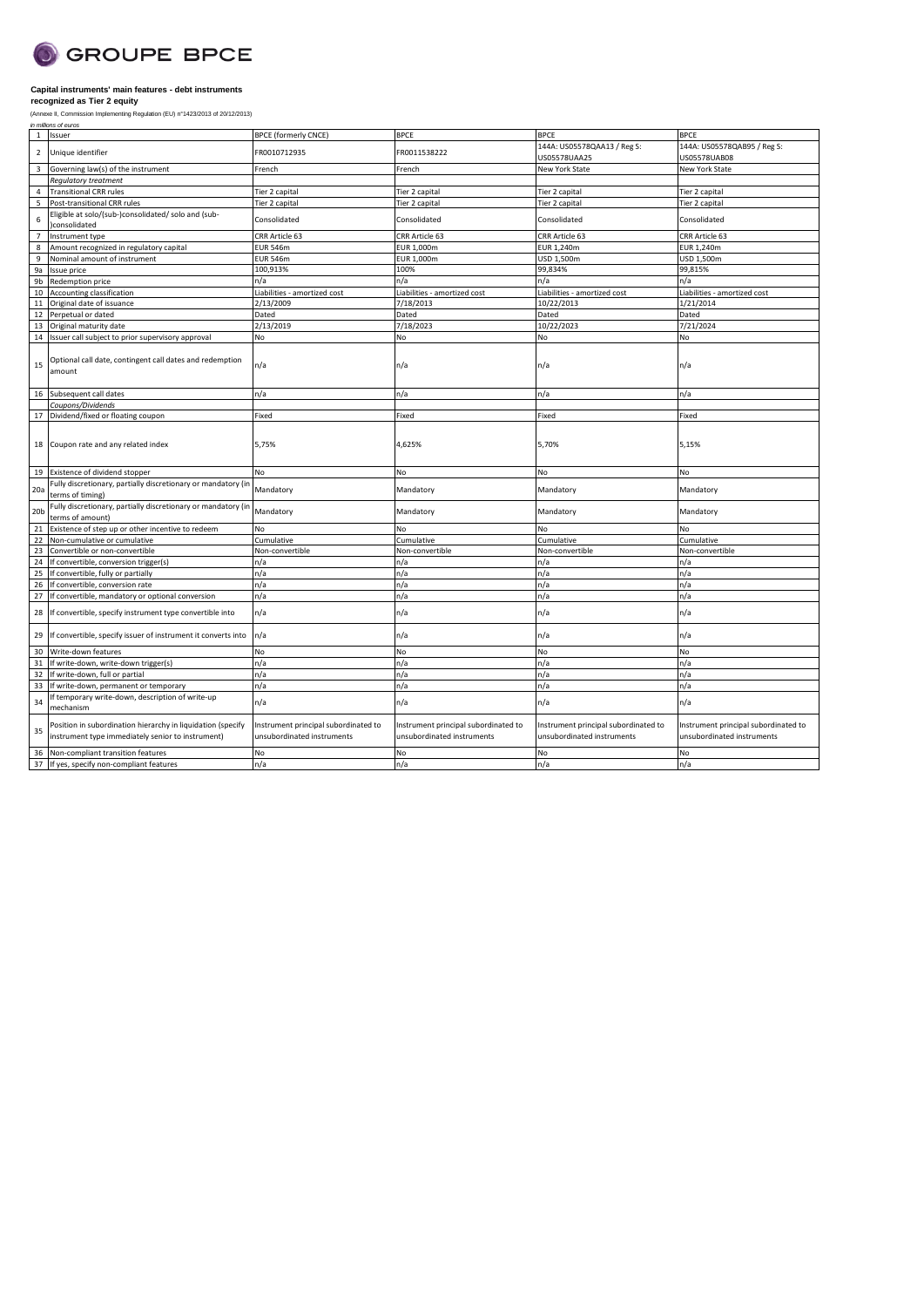

| in millions of euros<br>Issuer<br><b>BPCE (formerly CNCE)</b><br><b>BPCE</b><br><b>BPCE</b><br><b>BPCE</b><br>1<br>144A: US05578QAA13 / Reg S:<br>144A: US05578QAB95 / Reg S:<br>Unique identifier<br>FR0010712935<br>FR0011538222<br>$\overline{2}$<br>US05578UAA25<br>US05578UAB08<br>New York State<br>$\overline{3}$<br>Governing law(s) of the instrument<br>French<br>New York State<br>French<br>Regulatory treatment<br><b>Transitional CRR rules</b><br>Tier 2 capital<br>Tier 2 capital<br>Tier 2 capital<br>Tier 2 capital<br>4<br>5<br>Post-transitional CRR rules<br>Tier 2 capital<br>Tier 2 capital<br>Tier 2 capital<br>Tier 2 capital<br>Eligible at solo/(sub-)consolidated/ solo and (sub-<br>6<br>Consolidated<br>Consolidated<br>Consolidated<br>Consolidated<br>consolidated<br>CRR Article 63<br>CRR Article 63<br>Instrument type<br>CRR Article 63<br>CRR Article 63<br>$\overline{7}$<br><b>EUR 546m</b><br>EUR 1,240m<br>8<br>Amount recognized in regulatory capital<br>EUR 1,000m<br>EUR 1,240m<br>9<br>Nominal amount of instrument<br><b>EUR 546m</b><br>EUR 1,000m<br>USD 1,500m<br>USD 1,500m<br>100,913%<br>99,834%<br>100%<br>99,815%<br>9a<br>Issue price<br>9b<br>Redemption price<br>n/a<br>n/a<br>n/a<br>n/a<br>10<br>Liabilities - amortized cost<br>Liabilities - amortized cost<br>Accounting classification<br>Liabilities - amortized cost<br>Liabilities - amortized cost<br>2/13/2009<br>7/18/2013<br>10/22/2013<br>1/21/2014<br>11<br>Original date of issuance<br>Dated<br>Dated<br>Dated<br>Dated<br>Perpetual or dated<br>12<br>2/13/2019<br>7/18/2023<br>10/22/2023<br>7/21/2024<br>13<br>Original maturity date<br>Issuer call subject to prior supervisory approval<br><b>No</b><br>No<br>No<br>No<br>14<br>Optional call date, contingent call dates and redemption<br>n/a<br>n/a<br>15<br>n/a<br>n/a<br>amount<br>Subsequent call dates<br>n/a<br>n/a<br>n/a<br>n/a<br>16 |
|----------------------------------------------------------------------------------------------------------------------------------------------------------------------------------------------------------------------------------------------------------------------------------------------------------------------------------------------------------------------------------------------------------------------------------------------------------------------------------------------------------------------------------------------------------------------------------------------------------------------------------------------------------------------------------------------------------------------------------------------------------------------------------------------------------------------------------------------------------------------------------------------------------------------------------------------------------------------------------------------------------------------------------------------------------------------------------------------------------------------------------------------------------------------------------------------------------------------------------------------------------------------------------------------------------------------------------------------------------------------------------------------------------------------------------------------------------------------------------------------------------------------------------------------------------------------------------------------------------------------------------------------------------------------------------------------------------------------------------------------------------------------------------------------------------------------------------------------------------------------------------------------------------------------------------|
|                                                                                                                                                                                                                                                                                                                                                                                                                                                                                                                                                                                                                                                                                                                                                                                                                                                                                                                                                                                                                                                                                                                                                                                                                                                                                                                                                                                                                                                                                                                                                                                                                                                                                                                                                                                                                                                                                                                                  |
|                                                                                                                                                                                                                                                                                                                                                                                                                                                                                                                                                                                                                                                                                                                                                                                                                                                                                                                                                                                                                                                                                                                                                                                                                                                                                                                                                                                                                                                                                                                                                                                                                                                                                                                                                                                                                                                                                                                                  |
|                                                                                                                                                                                                                                                                                                                                                                                                                                                                                                                                                                                                                                                                                                                                                                                                                                                                                                                                                                                                                                                                                                                                                                                                                                                                                                                                                                                                                                                                                                                                                                                                                                                                                                                                                                                                                                                                                                                                  |
|                                                                                                                                                                                                                                                                                                                                                                                                                                                                                                                                                                                                                                                                                                                                                                                                                                                                                                                                                                                                                                                                                                                                                                                                                                                                                                                                                                                                                                                                                                                                                                                                                                                                                                                                                                                                                                                                                                                                  |
|                                                                                                                                                                                                                                                                                                                                                                                                                                                                                                                                                                                                                                                                                                                                                                                                                                                                                                                                                                                                                                                                                                                                                                                                                                                                                                                                                                                                                                                                                                                                                                                                                                                                                                                                                                                                                                                                                                                                  |
|                                                                                                                                                                                                                                                                                                                                                                                                                                                                                                                                                                                                                                                                                                                                                                                                                                                                                                                                                                                                                                                                                                                                                                                                                                                                                                                                                                                                                                                                                                                                                                                                                                                                                                                                                                                                                                                                                                                                  |
|                                                                                                                                                                                                                                                                                                                                                                                                                                                                                                                                                                                                                                                                                                                                                                                                                                                                                                                                                                                                                                                                                                                                                                                                                                                                                                                                                                                                                                                                                                                                                                                                                                                                                                                                                                                                                                                                                                                                  |
|                                                                                                                                                                                                                                                                                                                                                                                                                                                                                                                                                                                                                                                                                                                                                                                                                                                                                                                                                                                                                                                                                                                                                                                                                                                                                                                                                                                                                                                                                                                                                                                                                                                                                                                                                                                                                                                                                                                                  |
|                                                                                                                                                                                                                                                                                                                                                                                                                                                                                                                                                                                                                                                                                                                                                                                                                                                                                                                                                                                                                                                                                                                                                                                                                                                                                                                                                                                                                                                                                                                                                                                                                                                                                                                                                                                                                                                                                                                                  |
|                                                                                                                                                                                                                                                                                                                                                                                                                                                                                                                                                                                                                                                                                                                                                                                                                                                                                                                                                                                                                                                                                                                                                                                                                                                                                                                                                                                                                                                                                                                                                                                                                                                                                                                                                                                                                                                                                                                                  |
|                                                                                                                                                                                                                                                                                                                                                                                                                                                                                                                                                                                                                                                                                                                                                                                                                                                                                                                                                                                                                                                                                                                                                                                                                                                                                                                                                                                                                                                                                                                                                                                                                                                                                                                                                                                                                                                                                                                                  |
|                                                                                                                                                                                                                                                                                                                                                                                                                                                                                                                                                                                                                                                                                                                                                                                                                                                                                                                                                                                                                                                                                                                                                                                                                                                                                                                                                                                                                                                                                                                                                                                                                                                                                                                                                                                                                                                                                                                                  |
|                                                                                                                                                                                                                                                                                                                                                                                                                                                                                                                                                                                                                                                                                                                                                                                                                                                                                                                                                                                                                                                                                                                                                                                                                                                                                                                                                                                                                                                                                                                                                                                                                                                                                                                                                                                                                                                                                                                                  |
|                                                                                                                                                                                                                                                                                                                                                                                                                                                                                                                                                                                                                                                                                                                                                                                                                                                                                                                                                                                                                                                                                                                                                                                                                                                                                                                                                                                                                                                                                                                                                                                                                                                                                                                                                                                                                                                                                                                                  |
|                                                                                                                                                                                                                                                                                                                                                                                                                                                                                                                                                                                                                                                                                                                                                                                                                                                                                                                                                                                                                                                                                                                                                                                                                                                                                                                                                                                                                                                                                                                                                                                                                                                                                                                                                                                                                                                                                                                                  |
|                                                                                                                                                                                                                                                                                                                                                                                                                                                                                                                                                                                                                                                                                                                                                                                                                                                                                                                                                                                                                                                                                                                                                                                                                                                                                                                                                                                                                                                                                                                                                                                                                                                                                                                                                                                                                                                                                                                                  |
|                                                                                                                                                                                                                                                                                                                                                                                                                                                                                                                                                                                                                                                                                                                                                                                                                                                                                                                                                                                                                                                                                                                                                                                                                                                                                                                                                                                                                                                                                                                                                                                                                                                                                                                                                                                                                                                                                                                                  |
|                                                                                                                                                                                                                                                                                                                                                                                                                                                                                                                                                                                                                                                                                                                                                                                                                                                                                                                                                                                                                                                                                                                                                                                                                                                                                                                                                                                                                                                                                                                                                                                                                                                                                                                                                                                                                                                                                                                                  |
|                                                                                                                                                                                                                                                                                                                                                                                                                                                                                                                                                                                                                                                                                                                                                                                                                                                                                                                                                                                                                                                                                                                                                                                                                                                                                                                                                                                                                                                                                                                                                                                                                                                                                                                                                                                                                                                                                                                                  |
|                                                                                                                                                                                                                                                                                                                                                                                                                                                                                                                                                                                                                                                                                                                                                                                                                                                                                                                                                                                                                                                                                                                                                                                                                                                                                                                                                                                                                                                                                                                                                                                                                                                                                                                                                                                                                                                                                                                                  |
|                                                                                                                                                                                                                                                                                                                                                                                                                                                                                                                                                                                                                                                                                                                                                                                                                                                                                                                                                                                                                                                                                                                                                                                                                                                                                                                                                                                                                                                                                                                                                                                                                                                                                                                                                                                                                                                                                                                                  |
| Coupons/Dividends                                                                                                                                                                                                                                                                                                                                                                                                                                                                                                                                                                                                                                                                                                                                                                                                                                                                                                                                                                                                                                                                                                                                                                                                                                                                                                                                                                                                                                                                                                                                                                                                                                                                                                                                                                                                                                                                                                                |
| Fixed<br>Dividend/fixed or floating coupon<br>Fixed<br>Fixed<br>Fixed<br>17                                                                                                                                                                                                                                                                                                                                                                                                                                                                                                                                                                                                                                                                                                                                                                                                                                                                                                                                                                                                                                                                                                                                                                                                                                                                                                                                                                                                                                                                                                                                                                                                                                                                                                                                                                                                                                                      |
| Coupon rate and any related index<br>5,75%<br>4,625%<br>5,70%<br>5,15%<br>18                                                                                                                                                                                                                                                                                                                                                                                                                                                                                                                                                                                                                                                                                                                                                                                                                                                                                                                                                                                                                                                                                                                                                                                                                                                                                                                                                                                                                                                                                                                                                                                                                                                                                                                                                                                                                                                     |
| Existence of dividend stopper<br>No<br>No<br>No<br>No<br>19                                                                                                                                                                                                                                                                                                                                                                                                                                                                                                                                                                                                                                                                                                                                                                                                                                                                                                                                                                                                                                                                                                                                                                                                                                                                                                                                                                                                                                                                                                                                                                                                                                                                                                                                                                                                                                                                      |
| Fully discretionary, partially discretionary or mandatory (in<br>Mandatory<br>Mandatory<br>Mandatory<br>20a<br>Mandatory<br>terms of timing)                                                                                                                                                                                                                                                                                                                                                                                                                                                                                                                                                                                                                                                                                                                                                                                                                                                                                                                                                                                                                                                                                                                                                                                                                                                                                                                                                                                                                                                                                                                                                                                                                                                                                                                                                                                     |
| Fully discretionary, partially discretionary or mandatory (in<br>Mandatory<br>20 <sub>b</sub><br>Mandatory<br>Mandatory<br>Mandatory<br>terms of amount)                                                                                                                                                                                                                                                                                                                                                                                                                                                                                                                                                                                                                                                                                                                                                                                                                                                                                                                                                                                                                                                                                                                                                                                                                                                                                                                                                                                                                                                                                                                                                                                                                                                                                                                                                                         |
| Existence of step up or other incentive to redeem<br>No<br>No<br>No<br>No<br>21                                                                                                                                                                                                                                                                                                                                                                                                                                                                                                                                                                                                                                                                                                                                                                                                                                                                                                                                                                                                                                                                                                                                                                                                                                                                                                                                                                                                                                                                                                                                                                                                                                                                                                                                                                                                                                                  |
| 22<br>Non-cumulative or cumulative<br>Cumulative<br>Cumulative<br>Cumulative<br>Cumulative                                                                                                                                                                                                                                                                                                                                                                                                                                                                                                                                                                                                                                                                                                                                                                                                                                                                                                                                                                                                                                                                                                                                                                                                                                                                                                                                                                                                                                                                                                                                                                                                                                                                                                                                                                                                                                       |
| 23<br>Non-convertible<br>Non-convertible<br>Non-convertible<br>Convertible or non-convertible<br>Non-convertible                                                                                                                                                                                                                                                                                                                                                                                                                                                                                                                                                                                                                                                                                                                                                                                                                                                                                                                                                                                                                                                                                                                                                                                                                                                                                                                                                                                                                                                                                                                                                                                                                                                                                                                                                                                                                 |
| 24<br>If convertible, conversion trigger(s)<br>n/a<br>n/a<br>n/a<br>n/a                                                                                                                                                                                                                                                                                                                                                                                                                                                                                                                                                                                                                                                                                                                                                                                                                                                                                                                                                                                                                                                                                                                                                                                                                                                                                                                                                                                                                                                                                                                                                                                                                                                                                                                                                                                                                                                          |
| If convertible, fully or partially<br>n/a<br>n/a<br>n/a<br>n/a<br>25                                                                                                                                                                                                                                                                                                                                                                                                                                                                                                                                                                                                                                                                                                                                                                                                                                                                                                                                                                                                                                                                                                                                                                                                                                                                                                                                                                                                                                                                                                                                                                                                                                                                                                                                                                                                                                                             |
| n/a<br>n/a<br>26<br>If convertible, conversion rate<br>n/a<br>n/a                                                                                                                                                                                                                                                                                                                                                                                                                                                                                                                                                                                                                                                                                                                                                                                                                                                                                                                                                                                                                                                                                                                                                                                                                                                                                                                                                                                                                                                                                                                                                                                                                                                                                                                                                                                                                                                                |
| n/a<br>27<br>If convertible, mandatory or optional conversion<br>n/a<br>n/a<br>n/a                                                                                                                                                                                                                                                                                                                                                                                                                                                                                                                                                                                                                                                                                                                                                                                                                                                                                                                                                                                                                                                                                                                                                                                                                                                                                                                                                                                                                                                                                                                                                                                                                                                                                                                                                                                                                                               |
| If convertible, specify instrument type convertible into<br>n/a<br>n/a<br>n/a<br>n/a<br>28                                                                                                                                                                                                                                                                                                                                                                                                                                                                                                                                                                                                                                                                                                                                                                                                                                                                                                                                                                                                                                                                                                                                                                                                                                                                                                                                                                                                                                                                                                                                                                                                                                                                                                                                                                                                                                       |
| If convertible, specify issuer of instrument it converts into<br>n/a<br>n/a<br>n/a<br>n/a<br>29                                                                                                                                                                                                                                                                                                                                                                                                                                                                                                                                                                                                                                                                                                                                                                                                                                                                                                                                                                                                                                                                                                                                                                                                                                                                                                                                                                                                                                                                                                                                                                                                                                                                                                                                                                                                                                  |
| <b>No</b><br>No<br>30<br>Write-down features<br>No<br>No                                                                                                                                                                                                                                                                                                                                                                                                                                                                                                                                                                                                                                                                                                                                                                                                                                                                                                                                                                                                                                                                                                                                                                                                                                                                                                                                                                                                                                                                                                                                                                                                                                                                                                                                                                                                                                                                         |
| 31<br>If write-down, write-down trigger(s)<br>n/a<br>n/a<br>n/a<br>n/a                                                                                                                                                                                                                                                                                                                                                                                                                                                                                                                                                                                                                                                                                                                                                                                                                                                                                                                                                                                                                                                                                                                                                                                                                                                                                                                                                                                                                                                                                                                                                                                                                                                                                                                                                                                                                                                           |
| 32<br>If write-down, full or partial<br>n/a<br>n/a<br>n/a<br>n/a                                                                                                                                                                                                                                                                                                                                                                                                                                                                                                                                                                                                                                                                                                                                                                                                                                                                                                                                                                                                                                                                                                                                                                                                                                                                                                                                                                                                                                                                                                                                                                                                                                                                                                                                                                                                                                                                 |
| 33<br>If write-down, permanent or temporary<br>n/a<br>n/a<br>n/a<br>n/a                                                                                                                                                                                                                                                                                                                                                                                                                                                                                                                                                                                                                                                                                                                                                                                                                                                                                                                                                                                                                                                                                                                                                                                                                                                                                                                                                                                                                                                                                                                                                                                                                                                                                                                                                                                                                                                          |
| f temporary write-down, description of write-up<br>34<br>n/a<br>n/a<br>n/a<br>n/a<br>mechanism                                                                                                                                                                                                                                                                                                                                                                                                                                                                                                                                                                                                                                                                                                                                                                                                                                                                                                                                                                                                                                                                                                                                                                                                                                                                                                                                                                                                                                                                                                                                                                                                                                                                                                                                                                                                                                   |
| Position in subordination hierarchy in liquidation (specify<br>Instrument principal subordinated to<br>Instrument principal subordinated to<br>Instrument principal subordinated to<br>Instrument principal subordinated to<br>35<br>instrument type immediately senior to instrument)<br>unsubordinated instruments<br>unsubordinated instruments<br>unsubordinated instruments<br>unsubordinated instruments                                                                                                                                                                                                                                                                                                                                                                                                                                                                                                                                                                                                                                                                                                                                                                                                                                                                                                                                                                                                                                                                                                                                                                                                                                                                                                                                                                                                                                                                                                                   |
| No<br>No<br><b>No</b><br>Non-compliant transition features<br>No<br>36                                                                                                                                                                                                                                                                                                                                                                                                                                                                                                                                                                                                                                                                                                                                                                                                                                                                                                                                                                                                                                                                                                                                                                                                                                                                                                                                                                                                                                                                                                                                                                                                                                                                                                                                                                                                                                                           |
| n/a<br>n/a<br>n/a<br>37 If yes, specify non-compliant features<br>n/a                                                                                                                                                                                                                                                                                                                                                                                                                                                                                                                                                                                                                                                                                                                                                                                                                                                                                                                                                                                                                                                                                                                                                                                                                                                                                                                                                                                                                                                                                                                                                                                                                                                                                                                                                                                                                                                            |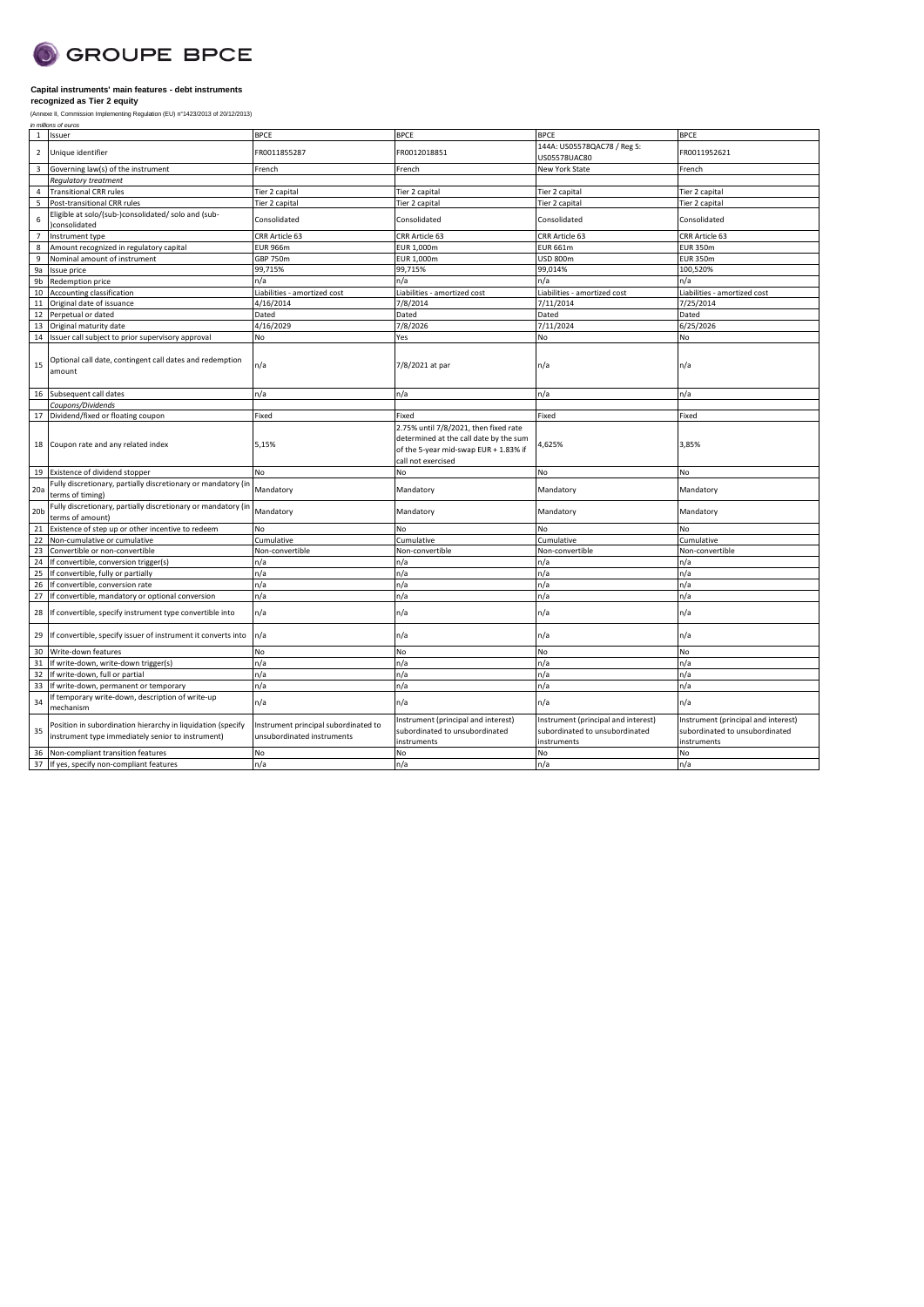

| $\mathbf{1}$    | Issuer                                                                                                           | <b>BPCE</b>                                                        | <b>BPCE</b>                                                                                                                                    | <b>BPCE</b>                                                                          | <b>BPCE</b>                                                                          |
|-----------------|------------------------------------------------------------------------------------------------------------------|--------------------------------------------------------------------|------------------------------------------------------------------------------------------------------------------------------------------------|--------------------------------------------------------------------------------------|--------------------------------------------------------------------------------------|
| $\overline{2}$  | Unique identifier                                                                                                | FR0011855287                                                       | FR0012018851                                                                                                                                   | 144A: US05578QAC78 / Reg S:<br>US05578UAC80                                          | FR0011952621                                                                         |
| $\overline{3}$  | Governing law(s) of the instrument                                                                               | French                                                             | French                                                                                                                                         | <b>New York State</b>                                                                | French                                                                               |
|                 | Regulatory treatment                                                                                             |                                                                    |                                                                                                                                                |                                                                                      |                                                                                      |
| $\overline{4}$  | <b>Transitional CRR rules</b>                                                                                    | Tier 2 capital                                                     | Tier 2 capital                                                                                                                                 | Tier 2 capital                                                                       | Tier 2 capital                                                                       |
| 5               | Post-transitional CRR rules                                                                                      | Tier 2 capital                                                     | Tier 2 capital                                                                                                                                 | Tier 2 capital                                                                       | Tier 2 capital                                                                       |
| 6               | Eligible at solo/(sub-)consolidated/ solo and (sub-<br>consolidated                                              | Consolidated                                                       | Consolidated                                                                                                                                   | Consolidated                                                                         | Consolidated                                                                         |
| $\overline{7}$  | Instrument type                                                                                                  | CRR Article 63                                                     | CRR Article 63                                                                                                                                 | CRR Article 63                                                                       | CRR Article 63                                                                       |
| 8               | Amount recognized in regulatory capital                                                                          | <b>EUR 966m</b>                                                    | EUR 1,000m                                                                                                                                     | <b>EUR 661m</b>                                                                      | <b>EUR 350m</b>                                                                      |
| $\overline{9}$  | Nominal amount of instrument                                                                                     | <b>GBP 750m</b>                                                    | EUR 1,000m                                                                                                                                     | <b>USD 800m</b>                                                                      | <b>EUR 350m</b>                                                                      |
| 9a              | Issue price                                                                                                      | 99,715%                                                            | 99,715%                                                                                                                                        | 99,014%                                                                              | 100,520%                                                                             |
| 9b              | Redemption price                                                                                                 | n/a                                                                | n/a                                                                                                                                            | n/a                                                                                  | n/a                                                                                  |
| 10              | Accounting classification                                                                                        | Liabilities - amortized cost                                       | Liabilities - amortized cost                                                                                                                   | Liabilities - amortized cost                                                         | Liabilities - amortized cost                                                         |
| 11              | Original date of issuance                                                                                        | 4/16/2014                                                          | 7/8/2014                                                                                                                                       | 7/11/2014                                                                            | 7/25/2014                                                                            |
| 12              | Perpetual or dated                                                                                               | Dated                                                              | Dated                                                                                                                                          | Dated                                                                                | Dated                                                                                |
| 13              | Original maturity date                                                                                           | 4/16/2029                                                          | 7/8/2026                                                                                                                                       | 7/11/2024                                                                            | 6/25/2026                                                                            |
| 14              | Issuer call subject to prior supervisory approval                                                                | No                                                                 | Yes                                                                                                                                            | No                                                                                   | No                                                                                   |
| 15              | Optional call date, contingent call dates and redemption<br>amount                                               | n/a                                                                | 7/8/2021 at par                                                                                                                                | n/a                                                                                  | n/a                                                                                  |
| 16              | Subsequent call dates                                                                                            | n/a                                                                | n/a                                                                                                                                            | n/a                                                                                  | n/a                                                                                  |
|                 | Coupons/Dividends                                                                                                |                                                                    |                                                                                                                                                |                                                                                      |                                                                                      |
| 17              | Dividend/fixed or floating coupon                                                                                | Fixed                                                              | Fixed                                                                                                                                          | Fixed                                                                                | Fixed                                                                                |
| 18              | Coupon rate and any related index                                                                                | 5,15%                                                              | 2.75% until 7/8/2021, then fixed rate<br>determined at the call date by the sum<br>of the 5-year mid-swap EUR + 1.83% if<br>call not exercised | 4,625%                                                                               | 3,85%                                                                                |
| 19              | Existence of dividend stopper                                                                                    | No                                                                 | No                                                                                                                                             | <b>No</b>                                                                            | No                                                                                   |
| 20a             | Fully discretionary, partially discretionary or mandatory (in<br>terms of timing)                                | Mandatory                                                          | Mandatory                                                                                                                                      | Mandatory                                                                            | Mandatory                                                                            |
| 20 <sub>b</sub> | Fully discretionary, partially discretionary or mandatory (in<br>terms of amount)                                | Mandatory                                                          | Mandatory                                                                                                                                      | Mandatory                                                                            | Mandatory                                                                            |
| 21              | Existence of step up or other incentive to redeem                                                                | No                                                                 | No                                                                                                                                             | No                                                                                   | No                                                                                   |
| 22              | Non-cumulative or cumulative                                                                                     | Cumulative                                                         | Cumulative                                                                                                                                     | Cumulative                                                                           | Cumulative                                                                           |
| 23              | Convertible or non-convertible                                                                                   | Non-convertible                                                    | Non-convertible                                                                                                                                | Non-convertible                                                                      | Non-convertible                                                                      |
| 24              | If convertible, conversion trigger(s)                                                                            | n/a                                                                | n/a                                                                                                                                            | n/a                                                                                  | n/a                                                                                  |
| 25              | If convertible, fully or partially                                                                               | n/a                                                                | n/a                                                                                                                                            | n/a                                                                                  | n/a                                                                                  |
| 26              | If convertible, conversion rate                                                                                  | n/a                                                                | n/a                                                                                                                                            | n/a                                                                                  | n/a                                                                                  |
| 27              | If convertible, mandatory or optional conversion                                                                 | n/a                                                                | n/a                                                                                                                                            | n/a                                                                                  | n/a                                                                                  |
| 28              | If convertible, specify instrument type convertible into                                                         | n/a                                                                | n/a                                                                                                                                            | n/a                                                                                  | n/a                                                                                  |
| 29              | If convertible, specify issuer of instrument it converts into                                                    | n/a                                                                | n/a                                                                                                                                            | n/a                                                                                  | n/a                                                                                  |
| 30              | Write-down features                                                                                              | No                                                                 | No                                                                                                                                             | No                                                                                   | No                                                                                   |
| 31              | If write-down, write-down trigger(s)                                                                             | n/a                                                                | n/a                                                                                                                                            | n/a                                                                                  | n/a                                                                                  |
| 32              | If write-down, full or partial                                                                                   | n/a                                                                | n/a                                                                                                                                            | n/a                                                                                  | n/a                                                                                  |
| 33              | If write-down, permanent or temporary                                                                            | n/a                                                                | n/a                                                                                                                                            | n/a                                                                                  | n/a                                                                                  |
| 34              | f temporary write-down, description of write-up<br>mechanism                                                     | n/a                                                                | n/a                                                                                                                                            | n/a                                                                                  | n/a                                                                                  |
| 35              | Position in subordination hierarchy in liquidation (specify<br>instrument type immediately senior to instrument) | Instrument principal subordinated to<br>unsubordinated instruments | Instrument (principal and interest)<br>subordinated to unsubordinated<br>instruments                                                           | Instrument (principal and interest)<br>subordinated to unsubordinated<br>instruments | Instrument (principal and interest)<br>subordinated to unsubordinated<br>instruments |
| 36              | Non-compliant transition features                                                                                | N <sub>o</sub>                                                     | No                                                                                                                                             | <b>No</b>                                                                            | No                                                                                   |
|                 | 37 If yes, specify non-compliant features                                                                        | n/a                                                                | n/a                                                                                                                                            | n/a                                                                                  | n/a                                                                                  |